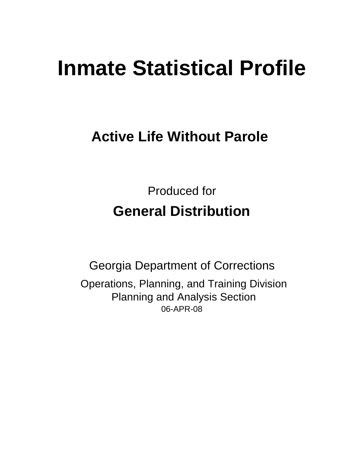# **Inmate Statistical Profile**

## **Active Life Without Parole**

Produced for **General Distribution**

06-APR-08 Georgia Department of Corrections Operations, Planning, and Training Division Planning and Analysis Section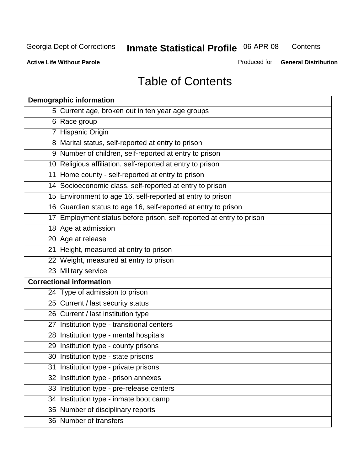**Contents** 

**Active Life Without Parole** 

Produced for **General Distribution**

## Table of Contents

| <b>Demographic information</b>                                       |
|----------------------------------------------------------------------|
| 5 Current age, broken out in ten year age groups                     |
| 6 Race group                                                         |
| 7 Hispanic Origin                                                    |
| 8 Marital status, self-reported at entry to prison                   |
| 9 Number of children, self-reported at entry to prison               |
| 10 Religious affiliation, self-reported at entry to prison           |
| 11 Home county - self-reported at entry to prison                    |
| 14 Socioeconomic class, self-reported at entry to prison             |
| 15 Environment to age 16, self-reported at entry to prison           |
| 16 Guardian status to age 16, self-reported at entry to prison       |
| 17 Employment status before prison, self-reported at entry to prison |
| 18 Age at admission                                                  |
| 20 Age at release                                                    |
| 21 Height, measured at entry to prison                               |
| 22 Weight, measured at entry to prison                               |
| 23 Military service                                                  |
| <b>Correctional information</b>                                      |
| 24 Type of admission to prison                                       |
| 25 Current / last security status                                    |
| 26 Current / last institution type                                   |
| 27 Institution type - transitional centers                           |
| 28 Institution type - mental hospitals                               |
| 29 Institution type - county prisons                                 |
| 30 Institution type - state prisons                                  |
| 31 Institution type - private prisons                                |
| 32 Institution type - prison annexes                                 |
| 33 Institution type - pre-release centers                            |
| 34 Institution type - inmate boot camp                               |
| 35 Number of disciplinary reports                                    |
| 36 Number of transfers                                               |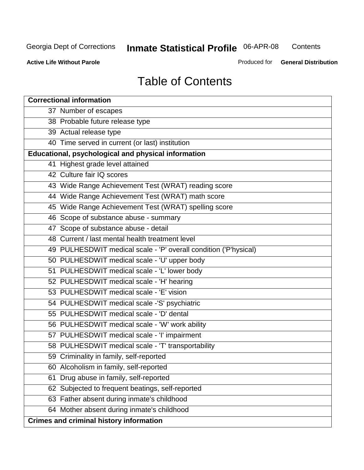**Contents** 

**Active Life Without Parole** 

Produced for **General Distribution**

## Table of Contents

| <b>Correctional information</b>                                  |
|------------------------------------------------------------------|
| 37 Number of escapes                                             |
| 38 Probable future release type                                  |
| 39 Actual release type                                           |
| 40 Time served in current (or last) institution                  |
| Educational, psychological and physical information              |
| 41 Highest grade level attained                                  |
| 42 Culture fair IQ scores                                        |
| 43 Wide Range Achievement Test (WRAT) reading score              |
| 44 Wide Range Achievement Test (WRAT) math score                 |
| 45 Wide Range Achievement Test (WRAT) spelling score             |
| 46 Scope of substance abuse - summary                            |
| 47 Scope of substance abuse - detail                             |
| 48 Current / last mental health treatment level                  |
| 49 PULHESDWIT medical scale - 'P' overall condition ('P'hysical) |
| 50 PULHESDWIT medical scale - 'U' upper body                     |
| 51 PULHESDWIT medical scale - 'L' lower body                     |
| 52 PULHESDWIT medical scale - 'H' hearing                        |
| 53 PULHESDWIT medical scale - 'E' vision                         |
| 54 PULHESDWIT medical scale -'S' psychiatric                     |
| 55 PULHESDWIT medical scale - 'D' dental                         |
| 56 PULHESDWIT medical scale - 'W' work ability                   |
| 57 PULHESDWIT medical scale - 'I' impairment                     |
| 58 PULHESDWIT medical scale - 'T' transportability               |
| 59 Criminality in family, self-reported                          |
| 60 Alcoholism in family, self-reported                           |
| 61 Drug abuse in family, self-reported                           |
| 62 Subjected to frequent beatings, self-reported                 |
| 63 Father absent during inmate's childhood                       |
| 64 Mother absent during inmate's childhood                       |
| <b>Crimes and criminal history information</b>                   |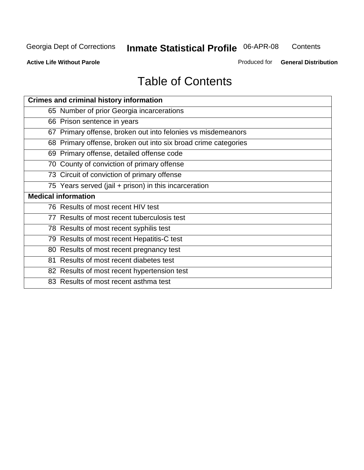**Contents** 

**Active Life Without Parole** 

Produced for **General Distribution**

## Table of Contents

| <b>Crimes and criminal history information</b>                 |
|----------------------------------------------------------------|
| 65 Number of prior Georgia incarcerations                      |
| 66 Prison sentence in years                                    |
| 67 Primary offense, broken out into felonies vs misdemeanors   |
| 68 Primary offense, broken out into six broad crime categories |
| 69 Primary offense, detailed offense code                      |
| 70 County of conviction of primary offense                     |
| 73 Circuit of conviction of primary offense                    |
| 75 Years served (jail + prison) in this incarceration          |
| <b>Medical information</b>                                     |
|                                                                |
| 76 Results of most recent HIV test                             |
| 77 Results of most recent tuberculosis test                    |
| 78 Results of most recent syphilis test                        |
| 79 Results of most recent Hepatitis-C test                     |
| 80 Results of most recent pregnancy test                       |
| 81 Results of most recent diabetes test                        |
| 82 Results of most recent hypertension test                    |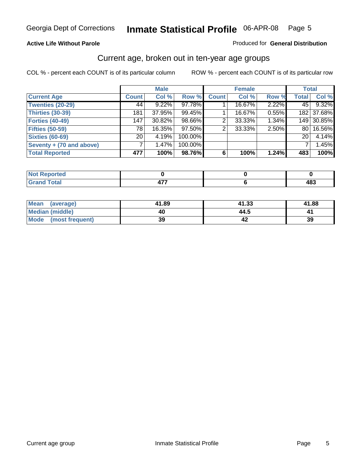#### **Active Life Without Parole**

#### Produced for **General Distribution**

#### Current age, broken out in ten-year age groups

|                          |              | <b>Male</b> |         |              | <b>Female</b> |       |                 | <b>Total</b> |
|--------------------------|--------------|-------------|---------|--------------|---------------|-------|-----------------|--------------|
| <b>Current Age</b>       | <b>Count</b> | Col %       | Row %   | <b>Count</b> | Col %         | Row % | <b>Total</b>    | Col %        |
| <b>Twenties (20-29)</b>  | 44           | 9.22%       | 97.78%  |              | 16.67%        | 2.22% | 45              | 9.32%        |
| <b>Thirties (30-39)</b>  | 181          | 37.95%      | 99.45%  |              | 16.67%        | 0.55% |                 | 182 37.68%   |
| Forties (40-49)          | 147          | 30.82%      | 98.66%  | 2            | 33.33%        | 1.34% |                 | 149 30.85%   |
| <b>Fifties (50-59)</b>   | 78           | 16.35%      | 97.50%  | 2            | 33.33%        | 2.50% | 80 l            | 16.56%       |
| <b>Sixties (60-69)</b>   | 20           | 4.19%       | 100.00% |              |               |       | 20 <sup>1</sup> | 4.14%        |
| Seventy + (70 and above) |              | 1.47%       | 100.00% |              |               |       |                 | 1.45%        |
| <b>Total Reported</b>    | 477          | 100%        | 98.76%  | 6            | 100%          | 1.24% | 483             | 100%         |

| <b>Not Reported</b>              |     |                   |
|----------------------------------|-----|-------------------|
| <b>Total</b><br>$\mathbf{v}$ and | TI. | <b>AR?</b><br>40J |

| <b>Mean</b><br>(average) | 41.89 | 41.33 | 41.88 |
|--------------------------|-------|-------|-------|
| Median (middle)          | 40    | 44.5  |       |
| Mode<br>(most frequent)  | 39    |       | 39    |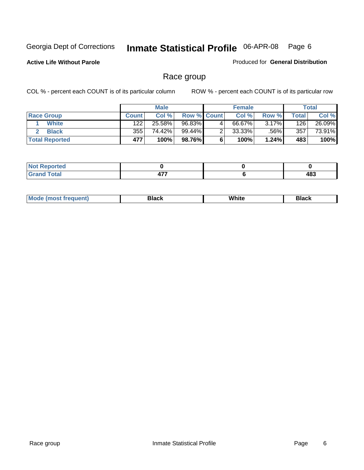**Active Life Without Parole** 

Produced for **General Distribution**

#### Race group

|                       |              | <b>Male</b> |                    |   | <b>Female</b> |       |       | <b>Total</b> |
|-----------------------|--------------|-------------|--------------------|---|---------------|-------|-------|--------------|
| <b>Race Group</b>     | <b>Count</b> | Col %       | <b>Row % Count</b> |   | Col %         | Row % | Total | Col %        |
| <b>White</b>          | 122          | 25.58%      | 96.83%             | 4 | 66.67%        | 3.17% | 126   | 26.09%       |
| <b>Black</b>          | 355          | 74.42%      | 99.44%             |   | $33.33\%$     | .56%  | 357   | 73.91%       |
| <b>Total Reported</b> | 477          | 100%        | 98.76%             |   | 100%          | 1.24% | 483   | 100%         |

| <b>orted</b><br>N |            |           |
|-------------------|------------|-----------|
| Total             | 177<br>477 | 483<br>__ |

| $^1$ Mo. | Rlack | White | 3lack |
|----------|-------|-------|-------|
| .        |       |       |       |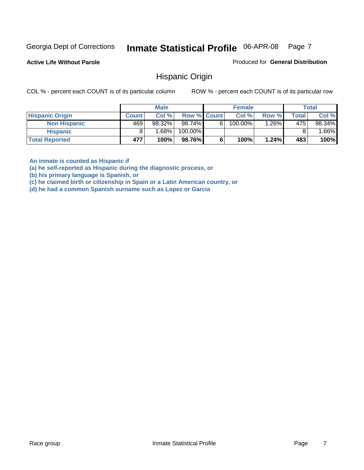**Active Life Without Parole** 

Produced for **General Distribution**

#### Hispanic Origin

COL % - percent each COUNT is of its particular column ROW % - percent each COUNT is of its particular row

|                        |              | <b>Male</b> |             |    | <b>Female</b> |         |       | <b>Total</b> |
|------------------------|--------------|-------------|-------------|----|---------------|---------|-------|--------------|
| <b>Hispanic Origin</b> | <b>Count</b> | Col%        | Row % Count |    | Col %         | Row %   | Total | Col %        |
| <b>Non Hispanic</b>    | 469          | 98.32%      | 98.74%      | 61 | $100.00\%$    | $.26\%$ | 475   | 98.34%       |
| <b>Hispanic</b>        |              | 1.68% l     | 100.00%     |    |               |         |       | $.66\%$      |
| <b>Total Reported</b>  | 477          | 100%        | 98.76%      |    | 100%          | 1.24%   | 483   | 100%         |

**An inmate is counted as Hispanic if** 

**(a) he self-reported as Hispanic during the diagnostic process, or** 

**(b) his primary language is Spanish, or** 

**(c) he claimed birth or citizenship in Spain or a Latin American country, or** 

**(d) he had a common Spanish surname such as Lopez or Garcia**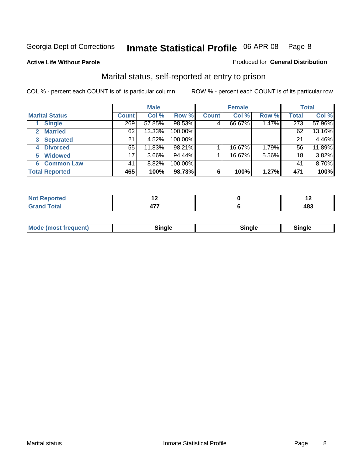#### **Active Life Without Parole**

#### Produced for **General Distribution**

#### Marital status, self-reported at entry to prison

|                        | <b>Male</b>  |          |         | <b>Female</b> |        |       | <b>Total</b> |        |
|------------------------|--------------|----------|---------|---------------|--------|-------|--------------|--------|
| <b>Marital Status</b>  | <b>Count</b> | Col %    | Row %   | <b>Count</b>  | Col %  | Row % | <b>Total</b> | Col %  |
| <b>Single</b>          | 269          | 57.85%   | 98.53%  | 4             | 66.67% | 1.47% | 273          | 57.96% |
| <b>Married</b><br>2.   | 62           | 13.33%   | 100.00% |               |        |       | 62           | 13.16% |
| <b>Separated</b><br>3  | 21           | 4.52%    | 100.00% |               |        |       | 21           | 4.46%  |
| <b>Divorced</b><br>4   | 55           | 11.83%   | 98.21%  |               | 16.67% | 1.79% | 56           | 11.89% |
| <b>Widowed</b><br>5    | 17           | $3.66\%$ | 94.44%  |               | 16.67% | 5.56% | 18           | 3.82%  |
| <b>Common Law</b><br>6 | 41           | 8.82%    | 100.00% |               |        |       | 41           | 8.70%  |
| <b>Total Reported</b>  | 465          | 100%     | 98.73%  | 6             | 100%   | 1.27% | 471          | 100%   |

|       |  | $\overline{\phantom{0}}$ |
|-------|--|--------------------------|
| ----- |  | י הו                     |

| <b>Mode (most frequent)</b><br>Sinale<br>≒ınale |
|-------------------------------------------------|
|-------------------------------------------------|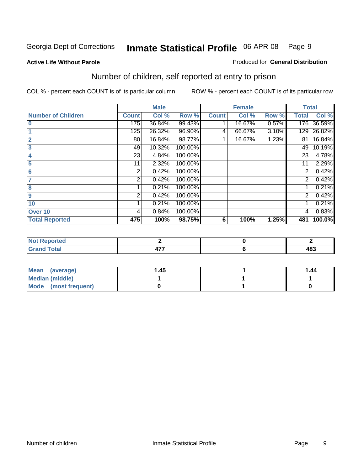#### **Active Life Without Parole**

#### Produced for **General Distribution**

## Number of children, self reported at entry to prison

|                           |              | <b>Male</b> |         |              | <b>Female</b> |       |                | <b>Total</b> |
|---------------------------|--------------|-------------|---------|--------------|---------------|-------|----------------|--------------|
| <b>Number of Children</b> | <b>Count</b> | Col %       | Row %   | <b>Count</b> | Col %         | Row % | <b>Total</b>   | Col %        |
| $\bf{0}$                  | 175          | 36.84%      | 99.43%  |              | 16.67%        | 0.57% | 176            | 36.59%       |
|                           | 125          | 26.32%      | 96.90%  | 4            | 66.67%        | 3.10% | 129            | 26.82%       |
| $\overline{2}$            | 80           | 16.84%      | 98.77%  |              | 16.67%        | 1.23% | 81             | 16.84%       |
| 3                         | 49           | 10.32%      | 100.00% |              |               |       | 49             | 10.19%       |
| 4                         | 23           | 4.84%       | 100.00% |              |               |       | 23             | 4.78%        |
| 5                         | 11           | 2.32%       | 100.00% |              |               |       | 11             | 2.29%        |
| 6                         | 2            | 0.42%       | 100.00% |              |               |       | 2              | 0.42%        |
|                           | 2            | 0.42%       | 100.00% |              |               |       | 2              | 0.42%        |
| 8                         |              | 0.21%       | 100.00% |              |               |       |                | 0.21%        |
| $\boldsymbol{9}$          | 2            | 0.42%       | 100.00% |              |               |       | $\overline{2}$ | 0.42%        |
| 10                        |              | 0.21%       | 100.00% |              |               |       |                | 0.21%        |
| Over 10                   | 4            | 0.84%       | 100.00% |              |               |       | 4              | 0.83%        |
| <b>Total Reported</b>     | 475          | 100%        | 98.75%  | 6            | 100%          | 1.25% | 481            | 100.0%       |

| ™rteu<br>$\sim$  |     |     |
|------------------|-----|-----|
| <b>otal</b>      | --- | 102 |
| $\mathbf{v}$ and | .   | 409 |

| <b>Mean</b><br>(average) | 45. ا | 1.44 |
|--------------------------|-------|------|
| Median (middle)          |       |      |
| Mode (most frequent)     |       |      |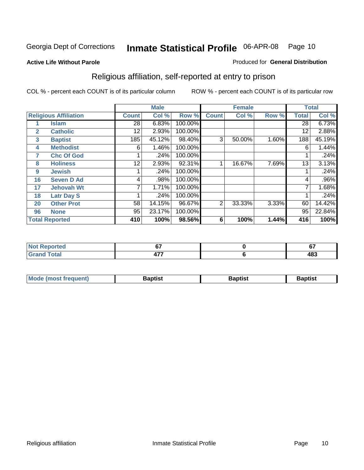#### **Active Life Without Parole**

#### Produced for **General Distribution**

## Religious affiliation, self-reported at entry to prison

|              |                              |              | <b>Male</b> |         |              | <b>Female</b> |       |              | <b>Total</b> |
|--------------|------------------------------|--------------|-------------|---------|--------------|---------------|-------|--------------|--------------|
|              | <b>Religious Affiliation</b> | <b>Count</b> | Col %       | Row %   | <b>Count</b> | Col %         | Row % | <b>Total</b> | Col %        |
|              | <b>Islam</b>                 | 28           | 6.83%       | 100.00% |              |               |       | 28           | 6.73%        |
| $\mathbf{2}$ | <b>Catholic</b>              | 12           | 2.93%       | 100.00% |              |               |       | 12           | 2.88%        |
| 3            | <b>Baptist</b>               | 185          | 45.12%      | 98.40%  | 3            | 50.00%        | 1.60% | 188          | 45.19%       |
| 4            | <b>Methodist</b>             | 6            | 1.46%       | 100.00% |              |               |       | 6            | 1.44%        |
| 7            | <b>Chc Of God</b>            |              | .24%        | 100.00% |              |               |       |              | .24%         |
| 8            | <b>Holiness</b>              | 12           | 2.93%       | 92.31%  |              | 16.67%        | 7.69% | 13           | 3.13%        |
| 9            | <b>Jewish</b>                |              | .24%        | 100.00% |              |               |       |              | .24%         |
| 16           | <b>Seven D Ad</b>            | 4            | .98%        | 100.00% |              |               |       | 4            | $.96\%$      |
| 17           | <b>Jehovah Wt</b>            |              | 1.71%       | 100.00% |              |               |       |              | 1.68%        |
| 18           | <b>Latr Day S</b>            |              | .24%        | 100.00% |              |               |       |              | .24%         |
| 20           | <b>Other Prot</b>            | 58           | 14.15%      | 96.67%  | 2            | 33.33%        | 3.33% | 60           | 14.42%       |
| 96           | <b>None</b>                  | 95           | 23.17%      | 100.00% |              |               |       | 95           | 22.84%       |
|              | <b>Total Reported</b>        | 410          | 100%        | 98.56%  | 6            | 100%          | 1.44% | 416          | 100%         |

| <b>ported</b> | ^¬             | $\sim$<br>v. |
|---------------|----------------|--------------|
| 'otal         | $\overline{a}$ | 122<br>40J   |

| ' Mo<br>went | <b>}aptist</b> | Baptist<br>$ -$ | <b>Baptist</b> |
|--------------|----------------|-----------------|----------------|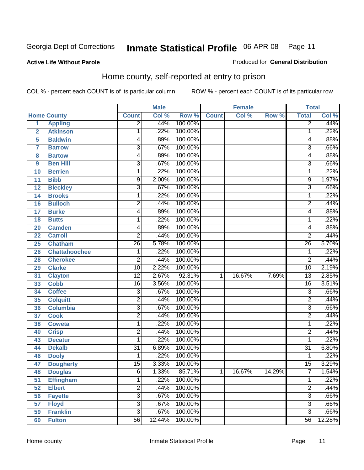Produced for **General Distribution**

#### **Active Life Without Parole**

#### Home county, self-reported at entry to prison

|                         |                      |                 | <b>Male</b> |         |              | <b>Female</b> |        | <b>Total</b>    |        |
|-------------------------|----------------------|-----------------|-------------|---------|--------------|---------------|--------|-----------------|--------|
|                         | <b>Home County</b>   | <b>Count</b>    | Col %       | Row %   | <b>Count</b> | Col %         | Row %  | <b>Total</b>    | Col %  |
| $\overline{1}$          | <b>Appling</b>       | $\overline{2}$  | .44%        | 100.00% |              |               |        | $\overline{2}$  | .44%   |
| $\overline{2}$          | <b>Atkinson</b>      | 1               | .22%        | 100.00% |              |               |        | 1               | .22%   |
| 5                       | <b>Baldwin</b>       | 4               | .89%        | 100.00% |              |               |        | 4               | .88%   |
| $\overline{\mathbf{7}}$ | <b>Barrow</b>        | 3               | .67%        | 100.00% |              |               |        | $\overline{3}$  | .66%   |
| 8                       | <b>Bartow</b>        | 4               | .89%        | 100.00% |              |               |        | 4               | .88%   |
| 9                       | <b>Ben Hill</b>      | $\overline{3}$  | .67%        | 100.00% |              |               |        | $\overline{3}$  | .66%   |
| 10                      | <b>Berrien</b>       | 1               | .22%        | 100.00% |              |               |        | 1               | .22%   |
| 11                      | <b>Bibb</b>          | 9               | 2.00%       | 100.00% |              |               |        | 9               | 1.97%  |
| 12                      | <b>Bleckley</b>      | 3               | .67%        | 100.00% |              |               |        | 3               | .66%   |
| 14                      | <b>Brooks</b>        | 1               | .22%        | 100.00% |              |               |        | 1               | .22%   |
| 16                      | <b>Bulloch</b>       | $\overline{2}$  | .44%        | 100.00% |              |               |        | $\overline{2}$  | .44%   |
| 17                      | <b>Burke</b>         | 4               | .89%        | 100.00% |              |               |        | 4               | .88%   |
| 18                      | <b>Butts</b>         | 1               | .22%        | 100.00% |              |               |        | 1               | .22%   |
| 20                      | <b>Camden</b>        | 4               | .89%        | 100.00% |              |               |        | 4               | .88%   |
| 22                      | <b>Carroll</b>       | $\overline{2}$  | .44%        | 100.00% |              |               |        | $\overline{2}$  | .44%   |
| 25                      | Chatham              | 26              | 5.78%       | 100.00% |              |               |        | $\overline{26}$ | 5.70%  |
| 26                      | <b>Chattahoochee</b> | 1               | .22%        | 100.00% |              |               |        | 1               | .22%   |
| 28                      | <b>Cherokee</b>      | $\overline{2}$  | .44%        | 100.00% |              |               |        | $\overline{2}$  | .44%   |
| 29                      | <b>Clarke</b>        | $\overline{10}$ | 2.22%       | 100.00% |              |               |        | 10              | 2.19%  |
| 31                      | <b>Clayton</b>       | $\overline{12}$ | 2.67%       | 92.31%  | 1            | 16.67%        | 7.69%  | $\overline{13}$ | 2.85%  |
| 33                      | <b>Cobb</b>          | $\overline{16}$ | 3.56%       | 100.00% |              |               |        | $\overline{16}$ | 3.51%  |
| 34                      | <b>Coffee</b>        | 3               | .67%        | 100.00% |              |               |        | $\overline{3}$  | .66%   |
| 35                      | <b>Colquitt</b>      | $\overline{2}$  | .44%        | 100.00% |              |               |        | $\overline{2}$  | .44%   |
| 36                      | <b>Columbia</b>      | 3               | .67%        | 100.00% |              |               |        | $\overline{3}$  | .66%   |
| 37                      | <b>Cook</b>          | $\overline{2}$  | .44%        | 100.00% |              |               |        | $\overline{2}$  | .44%   |
| 38                      | <b>Coweta</b>        | $\mathbf{1}$    | .22%        | 100.00% |              |               |        | 1               | .22%   |
| 40                      | <b>Crisp</b>         | $\overline{2}$  | .44%        | 100.00% |              |               |        | $\overline{2}$  | .44%   |
| 43                      | <b>Decatur</b>       | 1               | .22%        | 100.00% |              |               |        | 1               | .22%   |
| 44                      | <b>Dekalb</b>        | $\overline{31}$ | 6.89%       | 100.00% |              |               |        | $\overline{31}$ | 6.80%  |
| 46                      | <b>Dooly</b>         | 1               | .22%        | 100.00% |              |               |        | 1               | .22%   |
| 47                      | <b>Dougherty</b>     | $\overline{15}$ | 3.33%       | 100.00% |              |               |        | $\overline{15}$ | 3.29%  |
| 48                      | <b>Douglas</b>       | 6               | 1.33%       | 85.71%  | 1            | 16.67%        | 14.29% | $\overline{7}$  | 1.54%  |
| 51                      | <b>Effingham</b>     | 1               | .22%        | 100.00% |              |               |        | 1               | .22%   |
| 52                      | <b>Elbert</b>        | $\overline{2}$  | .44%        | 100.00% |              |               |        | $\overline{2}$  | .44%   |
| 56                      | <b>Fayette</b>       | $\overline{3}$  | .67%        | 100.00% |              |               |        | $\overline{3}$  | .66%   |
| 57                      | <b>Floyd</b>         | $\overline{3}$  | .67%        | 100.00% |              |               |        | $\overline{3}$  | .66%   |
| 59                      | <b>Franklin</b>      | $\overline{3}$  | .67%        | 100.00% |              |               |        | $\overline{3}$  | .66%   |
| 60                      | <b>Fulton</b>        | $\overline{56}$ | 12.44%      | 100.00% |              |               |        | 56              | 12.28% |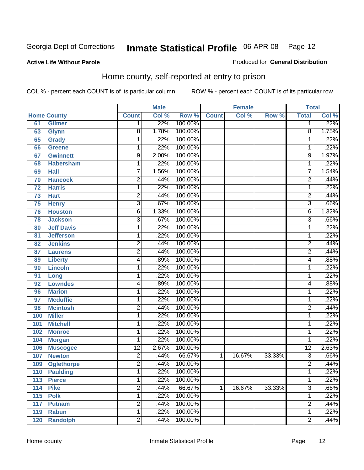Produced for **General Distribution**

#### **Active Life Without Parole**

#### Home county, self-reported at entry to prison

|     |                    |                         | <b>Male</b> |         |              | <b>Female</b> |        | <b>Total</b>    |       |
|-----|--------------------|-------------------------|-------------|---------|--------------|---------------|--------|-----------------|-------|
|     | <b>Home County</b> | <b>Count</b>            | Col %       | Row %   | <b>Count</b> | Col %         | Row %  | <b>Total</b>    | Col % |
| 61  | <b>Gilmer</b>      | 1                       | .22%        | 100.00% |              |               |        | 1               | .22%  |
| 63  | <b>Glynn</b>       | 8                       | 1.78%       | 100.00% |              |               |        | 8               | 1.75% |
| 65  | <b>Grady</b>       | $\mathbf 1$             | .22%        | 100.00% |              |               |        | 1               | .22%  |
| 66  | <b>Greene</b>      | $\mathbf 1$             | .22%        | 100.00% |              |               |        | 1               | .22%  |
| 67  | <b>Gwinnett</b>    | 9                       | 2.00%       | 100.00% |              |               |        | 9               | 1.97% |
| 68  | <b>Habersham</b>   | $\mathbf 1$             | .22%        | 100.00% |              |               |        | 1               | .22%  |
| 69  | <b>Hall</b>        | 7                       | 1.56%       | 100.00% |              |               |        | 7               | 1.54% |
| 70  | <b>Hancock</b>     | $\overline{c}$          | .44%        | 100.00% |              |               |        | $\overline{2}$  | .44%  |
| 72  | <b>Harris</b>      | $\mathbf 1$             | .22%        | 100.00% |              |               |        | 1               | .22%  |
| 73  | <b>Hart</b>        | $\overline{2}$          | .44%        | 100.00% |              |               |        | $\overline{2}$  | .44%  |
| 75  | <b>Henry</b>       | $\overline{3}$          | .67%        | 100.00% |              |               |        | $\overline{3}$  | .66%  |
| 76  | <b>Houston</b>     | 6                       | 1.33%       | 100.00% |              |               |        | 6               | 1.32% |
| 78  | <b>Jackson</b>     | $\overline{3}$          | .67%        | 100.00% |              |               |        | $\overline{3}$  | .66%  |
| 80  | <b>Jeff Davis</b>  | $\mathbf 1$             | .22%        | 100.00% |              |               |        | 1               | .22%  |
| 81  | <b>Jefferson</b>   | $\mathbf 1$             | .22%        | 100.00% |              |               |        | 1               | .22%  |
| 82  | <b>Jenkins</b>     | $\overline{c}$          | .44%        | 100.00% |              |               |        | $\overline{2}$  | .44%  |
| 87  | <b>Laurens</b>     | $\overline{2}$          | .44%        | 100.00% |              |               |        | $\overline{2}$  | .44%  |
| 89  | <b>Liberty</b>     | 4                       | .89%        | 100.00% |              |               |        | 4               | .88%  |
| 90  | <b>Lincoln</b>     | $\mathbf 1$             | .22%        | 100.00% |              |               |        | 1               | .22%  |
| 91  | Long               | $\mathbf 1$             | .22%        | 100.00% |              |               |        | 1               | .22%  |
| 92  | <b>Lowndes</b>     | 4                       | .89%        | 100.00% |              |               |        | 4               | .88%  |
| 96  | <b>Marion</b>      | $\mathbf 1$             | .22%        | 100.00% |              |               |        | 1               | .22%  |
| 97  | <b>Mcduffie</b>    | $\mathbf 1$             | .22%        | 100.00% |              |               |        | 1               | .22%  |
| 98  | <b>Mcintosh</b>    | $\overline{c}$          | .44%        | 100.00% |              |               |        | $\overline{c}$  | .44%  |
| 100 | <b>Miller</b>      | $\mathbf 1$             | .22%        | 100.00% |              |               |        | 1               | .22%  |
| 101 | <b>Mitchell</b>    | $\mathbf 1$             | .22%        | 100.00% |              |               |        | 1               | .22%  |
| 102 | <b>Monroe</b>      | $\mathbf 1$             | .22%        | 100.00% |              |               |        | 1               | .22%  |
| 104 | <b>Morgan</b>      | 1                       | .22%        | 100.00% |              |               |        | 1               | .22%  |
| 106 | <b>Muscogee</b>    | $\overline{12}$         | 2.67%       | 100.00% |              |               |        | $\overline{12}$ | 2.63% |
| 107 | <b>Newton</b>      | $\overline{\mathbf{c}}$ | .44%        | 66.67%  | 1            | 16.67%        | 33.33% | $\overline{3}$  | .66%  |
| 109 | <b>Oglethorpe</b>  | $\overline{2}$          | .44%        | 100.00% |              |               |        | $\overline{2}$  | .44%  |
| 110 | <b>Paulding</b>    | 1                       | .22%        | 100.00% |              |               |        | 1               | .22%  |
| 113 | <b>Pierce</b>      | $\mathbf{1}$            | .22%        | 100.00% |              |               |        | 1               | .22%  |
| 114 | <b>Pike</b>        | $\overline{2}$          | .44%        | 66.67%  | 1            | 16.67%        | 33.33% | $\overline{3}$  | .66%  |
| 115 | <b>Polk</b>        | $\mathbf 1$             | .22%        | 100.00% |              |               |        | 1               | .22%  |
| 117 | <b>Putnam</b>      | $\overline{2}$          | .44%        | 100.00% |              |               |        | $\overline{2}$  | .44%  |
| 119 | <b>Rabun</b>       | $\mathbf 1$             | .22%        | 100.00% |              |               |        | 1               | .22%  |
| 120 | <b>Randolph</b>    | $\overline{2}$          | .44%        | 100.00% |              |               |        | $\overline{2}$  | .44%  |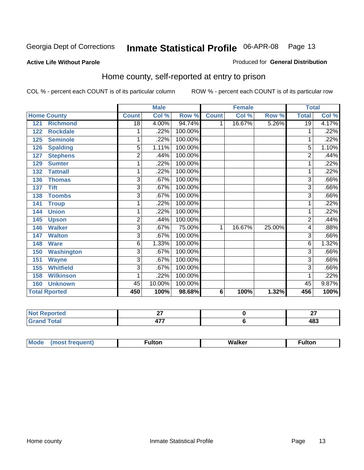Produced for **General Distribution**

#### **Active Life Without Parole**

#### Home county, self-reported at entry to prison

|                          |                 | <b>Male</b> |         |              | <b>Female</b> |        | <b>Total</b>    |       |
|--------------------------|-----------------|-------------|---------|--------------|---------------|--------|-----------------|-------|
| <b>Home County</b>       | <b>Count</b>    | Col %       | Row %   | <b>Count</b> | Col %         | Row %  | <b>Total</b>    | Col % |
| <b>Richmond</b><br>121   | $\overline{18}$ | 4.00%       | 94.74%  | 1            | 16.67%        | 5.26%  | $\overline{19}$ | 4.17% |
| <b>Rockdale</b><br>122   | 1               | .22%        | 100.00% |              |               |        | 1               | .22%  |
| <b>Seminole</b><br>125   | 1               | .22%        | 100.00% |              |               |        | 1               | .22%  |
| <b>Spalding</b><br>126   | 5               | 1.11%       | 100.00% |              |               |        | 5               | 1.10% |
| <b>Stephens</b><br>127   | 2               | .44%        | 100.00% |              |               |        | $\overline{2}$  | .44%  |
| 129<br><b>Sumter</b>     | 1               | .22%        | 100.00% |              |               |        |                 | .22%  |
| <b>Tattnall</b><br>132   | 1               | .22%        | 100.00% |              |               |        |                 | .22%  |
| <b>Thomas</b><br>136     | 3               | .67%        | 100.00% |              |               |        | 3               | .66%  |
| <b>Tift</b><br>137       | 3               | .67%        | 100.00% |              |               |        | 3               | .66%  |
| <b>Toombs</b><br>138     | 3               | .67%        | 100.00% |              |               |        | 3               | .66%  |
| 141<br><b>Troup</b>      | 1               | .22%        | 100.00% |              |               |        | 1               | .22%  |
| <b>Union</b><br>144      | 1               | .22%        | 100.00% |              |               |        | 1               | .22%  |
| 145<br><b>Upson</b>      | $\overline{2}$  | .44%        | 100.00% |              |               |        | $\overline{2}$  | .44%  |
| <b>Walker</b><br>146     | 3               | .67%        | 75.00%  | 1            | 16.67%        | 25.00% | 4               | .88%  |
| <b>Walton</b><br>147     | 3               | .67%        | 100.00% |              |               |        | 3               | .66%  |
| <b>Ware</b><br>148       | 6               | 1.33%       | 100.00% |              |               |        | 6               | 1.32% |
| <b>Washington</b><br>150 | 3               | .67%        | 100.00% |              |               |        | 3               | .66%  |
| <b>Wayne</b><br>151      | 3               | .67%        | 100.00% |              |               |        | 3               | .66%  |
| <b>Whitfield</b><br>155  | 3               | .67%        | 100.00% |              |               |        | $\overline{3}$  | .66%  |
| <b>Wilkinson</b><br>158  | 1               | .22%        | 100.00% |              |               |        | 1               | .22%  |
| <b>Unknown</b><br>160    | 45              | 10.00%      | 100.00% |              |               |        | 45              | 9.87% |
| <b>Total Rported</b>     | 450             | 100%        | 98.68%  | 6            | 100%          | 1.32%  | 456             | 100%  |

| ' leu<br>. | $ -$<br>. . | $\sim$<br>--<br>$ -$ |
|------------|-------------|----------------------|
| .          | ---<br>.    | י ה<br>40J           |

| M. | .<br>uiton | W.<br>alker<br>_______ | uiton |
|----|------------|------------------------|-------|
|    |            |                        |       |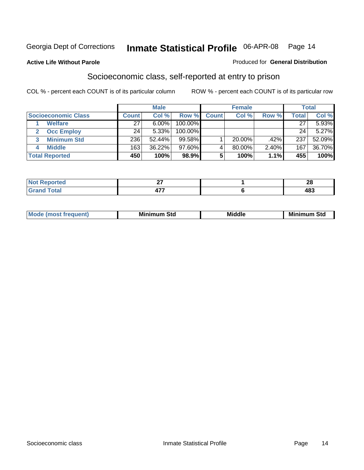Produced for **General Distribution**

#### **Active Life Without Parole**

## Socioeconomic class, self-reported at entry to prison

|                            | <b>Male</b>  |        | <b>Female</b> |              |        | <b>Total</b> |              |        |
|----------------------------|--------------|--------|---------------|--------------|--------|--------------|--------------|--------|
| <b>Socioeconomic Class</b> | <b>Count</b> | Col %  | Row %         | <b>Count</b> | Col %  | Row %        | <b>Total</b> | Col %  |
| <b>Welfare</b>             | 27           | 6.00%  | 100.00%       |              |        |              | 27           | 5.93%  |
| <b>Occ Employ</b>          | 24           | 5.33%  | 100.00%       |              |        |              | 24           | 5.27%  |
| <b>Minimum Std</b>         | 236          | 52.44% | 99.58%        |              | 20.00% | .42%         | 237          | 52.09% |
| <b>Middle</b>              | 163          | 36.22% | $97.60\%$     |              | 80.00% | 2.40%        | 167          | 36.70% |
| <b>Total Reported</b>      | 450          | 100%   | 98.9%         |              | 100%   | 1.1%         | 455          | 100%   |

| <b><i>College Avenue</i></b><br>teol<br>.     | $\sim$<br>-    | $\sim$<br>--              |
|-----------------------------------------------|----------------|---------------------------|
| $T \wedge A \wedge T$<br><b>Oldi</b><br>_____ | $\overline{a}$ | 10 <sup>0</sup><br>$\sim$ |

| M<br>Mir<br>Mil<br><b>Middle</b><br><b>C</b> ta<br>Sta<br>oτu<br>.<br>the contract of the contract of the contract of the contract of the contract of the contract of the contract of<br>- - - - |
|--------------------------------------------------------------------------------------------------------------------------------------------------------------------------------------------------|
|--------------------------------------------------------------------------------------------------------------------------------------------------------------------------------------------------|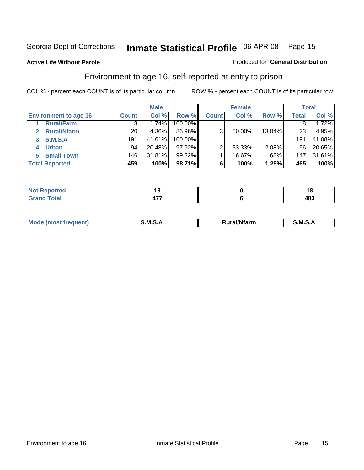Produced for **General Distribution**

#### **Active Life Without Parole**

#### Environment to age 16, self-reported at entry to prison

|                                      |                  | <b>Male</b> |         |              | <b>Female</b> |        |              | <b>Total</b> |
|--------------------------------------|------------------|-------------|---------|--------------|---------------|--------|--------------|--------------|
| <b>Environment to age 16</b>         | <b>Count</b>     | Col %       | Row %   | <b>Count</b> | Col %         | Row %  | <b>Total</b> | Col %        |
| <b>Rural/Farm</b>                    | 8                | 1.74%       | 100.00% |              |               |        |              | 1.72%        |
| <b>Rural/Nfarm</b><br>$\overline{2}$ | 20               | 4.36%       | 86.96%  | 3            | 50.00%        | 13.04% | 23           | 4.95%        |
| <b>S.M.S.A</b><br>3                  | 191              | 41.61%      | 100.00% |              |               |        | 191          | 41.08%       |
| <b>Urban</b><br>4                    | 94               | 20.48%      | 97.92%  |              | 33.33%        | 2.08%  | 96           | 20.65%       |
| <b>Small Town</b><br>5.              | 146 <sub>1</sub> | 31.81%      | 99.32%  |              | 16.67%        | .68%   | 147          | 31.61%       |
| <b>Total Reported</b>                | 459              | 100%        | 98.71%  | 6            | 100%          | 1.29%  | 465          | 100%         |

| Reported<br>Not<br>$\sim$ |     | ıo  |
|---------------------------|-----|-----|
| <b>Grand Total</b>        | --- | 483 |

| Mo<br><b>CONTRACTOR</b><br>. M S<br>M<br>---<br>Nfarn<br>.<br>______<br>______ |  |  |
|--------------------------------------------------------------------------------|--|--|
|                                                                                |  |  |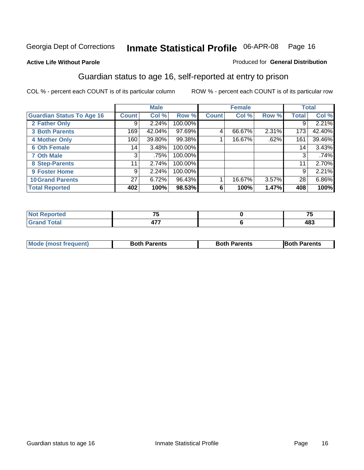Produced for **General Distribution**

#### **Active Life Without Parole**

#### Guardian status to age 16, self-reported at entry to prison

|                                  |              | <b>Male</b> |           |              | <b>Female</b> |       |              | <b>Total</b> |
|----------------------------------|--------------|-------------|-----------|--------------|---------------|-------|--------------|--------------|
| <b>Guardian Status To Age 16</b> | <b>Count</b> | Col %       | Row %     | <b>Count</b> | Col %         | Row % | <b>Total</b> | Col %        |
| 2 Father Only                    | 9            | 2.24%       | 100.00%   |              |               |       | 9            | 2.21%        |
| <b>3 Both Parents</b>            | 169          | 42.04%      | $97.69\%$ | 4            | 66.67%        | 2.31% | 173          | 42.40%       |
| <b>4 Mother Only</b>             | 160          | 39.80%      | 99.38%    |              | 16.67%        | .62%  | 161          | 39.46%       |
| <b>6 Oth Female</b>              | 14           | 3.48%       | 100.00%   |              |               |       | 14           | 3.43%        |
| <b>7 Oth Male</b>                | 3            | .75%        | 100.00%   |              |               |       | 3            | .74%         |
| 8 Step-Parents                   | 11           | 2.74%       | 100.00%   |              |               |       | 11           | 2.70%        |
| 9 Foster Home                    | 9            | 2.24%       | 100.00%   |              |               |       | 9            | 2.21%        |
| <b>10 Grand Parents</b>          | 27           | 6.72%       | 96.43%    |              | 16.67%        | 3.57% | 28           | 6.86%        |
| <b>Total Reported</b>            | 402          | 100%        | 98.53%    | 6            | 100%          | 1.47% | 408          | 100%         |

| тео                   | -- | $-$ |
|-----------------------|----|-----|
| $F \wedge f \wedge f$ | .  | 102 |
| $\sim$                |    | 409 |

| Mode (most frequent) | <b>Both Parents</b> | <b>Both Parents</b> | <b>IBoth Parents</b> |
|----------------------|---------------------|---------------------|----------------------|
|                      |                     |                     |                      |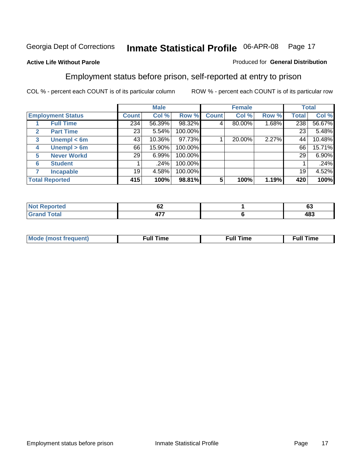#### **Active Life Without Parole**

#### Produced for **General Distribution**

#### Employment status before prison, self-reported at entry to prison

|              |                          |              | <b>Male</b> |         |              | <b>Female</b> |       |              | <b>Total</b> |
|--------------|--------------------------|--------------|-------------|---------|--------------|---------------|-------|--------------|--------------|
|              | <b>Employment Status</b> | <b>Count</b> | Col %       | Row %   | <b>Count</b> | Col %         | Row % | <b>Total</b> | Col %        |
|              | <b>Full Time</b>         | 234          | 56.39%      | 98.32%  | 4            | 80.00%        | 1.68% | 238          | 56.67%       |
| $\mathbf{2}$ | <b>Part Time</b>         | 23           | 5.54%       | 100.00% |              |               |       | 23           | 5.48%        |
| 3            | Unempl $<$ 6m            | 43           | 10.36%      | 97.73%  |              | 20.00%        | 2.27% | 44           | 10.48%       |
| 4            | Unempl $> 6m$            | 66           | 15.90%      | 100.00% |              |               |       | 66           | 15.71%       |
| 5            | <b>Never Workd</b>       | 29           | 6.99%       | 100.00% |              |               |       | 29           | 6.90%        |
| 6            | <b>Student</b>           |              | .24%        | 100.00% |              |               |       |              | .24%         |
|              | <b>Incapable</b>         | 19           | 4.58%       | 100.00% |              |               |       | 19           | 4.52%        |
|              | <b>Total Reported</b>    | 415          | 100%        | 98.81%  | 5            | 100%          | 1.19% | 420          | 100%         |

| тео.         | ^^<br>VŁ   | $\sim$<br>vj |
|--------------|------------|--------------|
| <b>Total</b> | .          | 10O          |
| _______      | <b>TII</b> | 403          |

| <b>M</b> ດ | the contract of the contract of the contract of the contract of the contract of the contract of the contract of | , ull i<br>ıme<br>the contract of the contract of the contract of the contract of the contract of the contract of the contract of | ïme<br>uı |
|------------|-----------------------------------------------------------------------------------------------------------------|-----------------------------------------------------------------------------------------------------------------------------------|-----------|
|            |                                                                                                                 |                                                                                                                                   |           |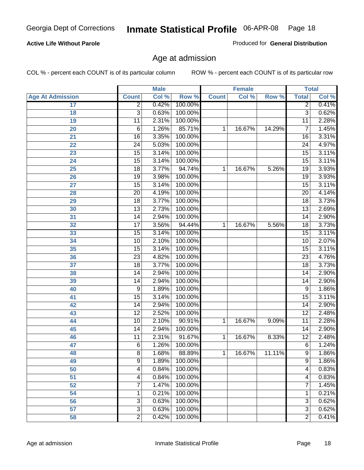#### **Active Life Without Parole**

Produced for **General Distribution**

#### Age at admission

|                         |                 | <b>Male</b> |         |              | <b>Female</b> |        | <b>Total</b>    |       |
|-------------------------|-----------------|-------------|---------|--------------|---------------|--------|-----------------|-------|
| <b>Age At Admission</b> | <b>Count</b>    | Col %       | Row %   | <b>Count</b> | Col %         | Row %  | <b>Total</b>    | Col % |
| 17                      | $\overline{2}$  | 0.42%       | 100.00% |              |               |        | 2               | 0.41% |
| 18                      | $\overline{3}$  | 0.63%       | 100.00% |              |               |        | $\overline{3}$  | 0.62% |
| 19                      | $\overline{11}$ | 2.31%       | 100.00% |              |               |        | $\overline{11}$ | 2.28% |
| 20                      | 6               | 1.26%       | 85.71%  | 1            | 16.67%        | 14.29% | 7               | 1.45% |
| 21                      | $\overline{16}$ | 3.35%       | 100.00% |              |               |        | 16              | 3.31% |
| 22                      | $\overline{24}$ | 5.03%       | 100.00% |              |               |        | $\overline{24}$ | 4.97% |
| 23                      | $\overline{15}$ | 3.14%       | 100.00% |              |               |        | $\overline{15}$ | 3.11% |
| 24                      | $\overline{15}$ | 3.14%       | 100.00% |              |               |        | 15              | 3.11% |
| 25                      | $\overline{18}$ | 3.77%       | 94.74%  | 1            | 16.67%        | 5.26%  | $\overline{19}$ | 3.93% |
| 26                      | 19              | 3.98%       | 100.00% |              |               |        | 19              | 3.93% |
| 27                      | $\overline{15}$ | 3.14%       | 100.00% |              |               |        | $\overline{15}$ | 3.11% |
| 28                      | $\overline{20}$ | 4.19%       | 100.00% |              |               |        | $\overline{20}$ | 4.14% |
| 29                      | $\overline{18}$ | 3.77%       | 100.00% |              |               |        | $\overline{18}$ | 3.73% |
| 30                      | $\overline{13}$ | 2.73%       | 100.00% |              |               |        | $\overline{13}$ | 2.69% |
| 31                      | $\overline{14}$ | 2.94%       | 100.00% |              |               |        | $\overline{14}$ | 2.90% |
| 32                      | $\overline{17}$ | 3.56%       | 94.44%  | 1            | 16.67%        | 5.56%  | 18              | 3.73% |
| 33                      | $\overline{15}$ | 3.14%       | 100.00% |              |               |        | 15              | 3.11% |
| 34                      | 10              | 2.10%       | 100.00% |              |               |        | 10              | 2.07% |
| 35                      | $\overline{15}$ | 3.14%       | 100.00% |              |               |        | $\overline{15}$ | 3.11% |
| 36                      | $\overline{23}$ | 4.82%       | 100.00% |              |               |        | $\overline{23}$ | 4.76% |
| 37                      | $\overline{18}$ | 3.77%       | 100.00% |              |               |        | $\overline{18}$ | 3.73% |
| 38                      | $\overline{14}$ | 2.94%       | 100.00% |              |               |        | 14              | 2.90% |
| 39                      | 14              | 2.94%       | 100.00% |              |               |        | 14              | 2.90% |
| 40                      | 9               | 1.89%       | 100.00% |              |               |        | 9               | 1.86% |
| 41                      | 15              | 3.14%       | 100.00% |              |               |        | 15              | 3.11% |
| 42                      | 14              | 2.94%       | 100.00% |              |               |        | 14              | 2.90% |
| 43                      | $\overline{12}$ | 2.52%       | 100.00% |              |               |        | $\overline{12}$ | 2.48% |
| 44                      | 10              | 2.10%       | 90.91%  | 1            | 16.67%        | 9.09%  | 11              | 2.28% |
| 45                      | $\overline{14}$ | 2.94%       | 100.00% |              |               |        | 14              | 2.90% |
| 46                      | $\overline{11}$ | 2.31%       | 91.67%  | 1            | 16.67%        | 8.33%  | $\overline{12}$ | 2.48% |
| 47                      | $\overline{6}$  | 1.26%       | 100.00% |              |               |        | 6               | 1.24% |
| 48                      | 8               | 1.68%       | 88.89%  | 1            | 16.67%        | 11.11% | 9               | 1.86% |
| 49                      | 9               | 1.89%       | 100.00% |              |               |        | 9               | 1.86% |
| 50                      | 4               | 0.84%       | 100.00% |              |               |        | 4               | 0.83% |
| 51                      | 4               | 0.84%       | 100.00% |              |               |        | 4               | 0.83% |
| 52                      | 7               | 1.47%       | 100.00% |              |               |        | 7               | 1.45% |
| 54                      | 1               | 0.21%       | 100.00% |              |               |        | 1               | 0.21% |
| 56                      | 3               | 0.63%       | 100.00% |              |               |        | $\overline{3}$  | 0.62% |
| 57                      | $\overline{3}$  | 0.63%       | 100.00% |              |               |        | $\overline{3}$  | 0.62% |
| 58                      | $\overline{2}$  | 0.42%       | 100.00% |              |               |        | $\overline{2}$  | 0.41% |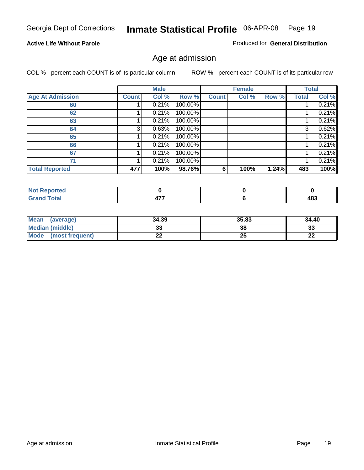#### **Active Life Without Parole**

Produced for **General Distribution**

#### Age at admission

|                         |              | <b>Male</b> |         |              | <b>Female</b> |       |              | <b>Total</b> |
|-------------------------|--------------|-------------|---------|--------------|---------------|-------|--------------|--------------|
| <b>Age At Admission</b> | <b>Count</b> | Col %       | Row %   | <b>Count</b> | Col %         | Row % | <b>Total</b> | Col %        |
| 60                      |              | 0.21%       | 100.00% |              |               |       |              | 0.21%        |
| 62                      |              | 0.21%       | 100.00% |              |               |       |              | 0.21%        |
| 63                      |              | 0.21%       | 100.00% |              |               |       |              | 0.21%        |
| 64                      | 3            | 0.63%       | 100.00% |              |               |       | 3            | 0.62%        |
| 65                      |              | 0.21%       | 100.00% |              |               |       |              | 0.21%        |
| 66                      |              | 0.21%       | 100.00% |              |               |       |              | 0.21%        |
| 67                      |              | 0.21%       | 100.00% |              |               |       |              | 0.21%        |
| 71                      |              | 0.21%       | 100.00% |              |               |       |              | 0.21%        |
| <b>Total Reported</b>   | 477          | 100%        | 98.76%  | 6            | 100%          | 1.24% | 483          | 100%         |

| <b>eported</b>                  |     |            |
|---------------------------------|-----|------------|
| <b>Total</b><br>Cron<br>oranu i | --- | 102<br>409 |

| Mean<br>(average)       | 34.39 | 35.83 | 34.40 |
|-------------------------|-------|-------|-------|
| Median (middle)         |       | 38    | 33    |
| Mode<br>(most frequent) | - -   | 25    | n-    |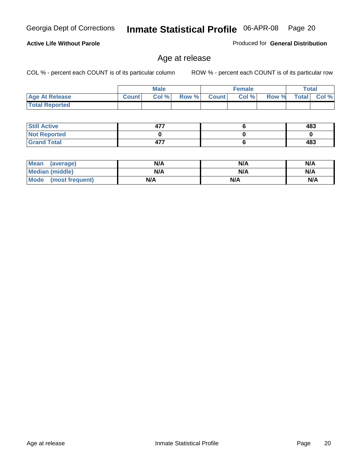**Active Life Without Parole** 

Georgia Dept of Corrections **Inmate Statistical Profile** 06-APR-08 Page 20

Produced for **General Distribution**

#### Age at release

|                       |              | <b>Male</b> |       |              | <b>Female</b> |       |              | Total |
|-----------------------|--------------|-------------|-------|--------------|---------------|-------|--------------|-------|
| <b>Age At Release</b> | <b>Count</b> | Col%        | Row % | <b>Count</b> | Col%          | Row % | <b>Total</b> | Col % |
| <b>Total Reported</b> |              |             |       |              |               |       |              |       |

| <b>Still Active</b> | --  | 483 |
|---------------------|-----|-----|
| <b>Not Reported</b> |     |     |
| <b>Grand Total</b>  | 477 | 483 |

| Mean (average)         | N/A | N/A | N/A |
|------------------------|-----|-----|-----|
| <b>Median (middle)</b> | N/A | N/A | N/A |
| Mode (most frequent)   | N/A | N/A | N/A |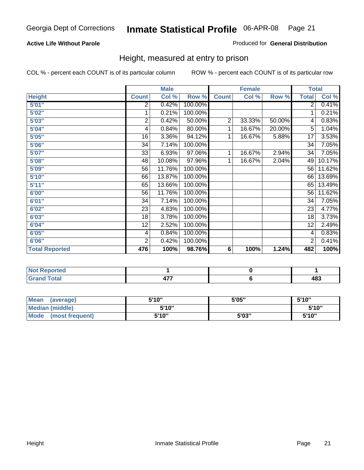#### **Active Life Without Parole**

#### Produced for **General Distribution**

#### Height, measured at entry to prison

|                       |                | <b>Male</b> |         |                | <b>Female</b> |        |                 | <b>Total</b>        |
|-----------------------|----------------|-------------|---------|----------------|---------------|--------|-----------------|---------------------|
| <b>Height</b>         | <b>Count</b>   | Col %       | Row %   | <b>Count</b>   | Col %         | Row %  | <b>Total</b>    | Col %               |
| 5'01''                | 2              | 0.42%       | 100.00% |                |               |        | $\overline{2}$  | 0.41%               |
| 5'02"                 | 1              | 0.21%       | 100.00% |                |               |        | 1               | 0.21%               |
| 5'03"                 | $\overline{2}$ | 0.42%       | 50.00%  | $\overline{2}$ | 33.33%        | 50.00% | 4               | $\overline{0.83\%}$ |
| 5'04"                 | 4              | 0.84%       | 80.00%  | 1              | 16.67%        | 20.00% | 5               | 1.04%               |
| 5'05"                 | 16             | 3.36%       | 94.12%  | 1              | 16.67%        | 5.88%  | 17              | 3.53%               |
| 5'06"                 | 34             | 7.14%       | 100.00% |                |               |        | $\overline{34}$ | 7.05%               |
| 5'07''                | 33             | 6.93%       | 97.06%  | 1              | 16.67%        | 2.94%  | 34              | 7.05%               |
| 5'08"                 | 48             | 10.08%      | 97.96%  | 1              | 16.67%        | 2.04%  | 49              | 10.17%              |
| <b>5'09"</b>          | 56             | 11.76%      | 100.00% |                |               |        | 56              | 11.62%              |
| 5'10''                | 66             | 13.87%      | 100.00% |                |               |        | 66              | 13.69%              |
| 5'11''                | 65             | 13.66%      | 100.00% |                |               |        | 65              | 13.49%              |
| 6'00''                | 56             | 11.76%      | 100.00% |                |               |        | 56              | 11.62%              |
| 6'01''                | 34             | 7.14%       | 100.00% |                |               |        | 34              | 7.05%               |
| 6'02"                 | 23             | 4.83%       | 100.00% |                |               |        | 23              | 4.77%               |
| 6'03"                 | 18             | 3.78%       | 100.00% |                |               |        | 18              | 3.73%               |
| 6'04"                 | 12             | 2.52%       | 100.00% |                |               |        | 12              | 2.49%               |
| 6'05"                 | 4              | 0.84%       | 100.00% |                |               |        | 4               | 0.83%               |
| 6'06"                 | $\overline{2}$ | 0.42%       | 100.00% |                |               |        | $\overline{2}$  | 0.41%               |
| <b>Total Reported</b> | 476            | 100%        | 98.76%  | $\bf 6$        | 100%          | 1.24%  | 482             | 100%                |

| τeα<br>.          |                        |           |
|-------------------|------------------------|-----------|
| -4-<br>-<br>_____ | $\rightarrow -$<br>. . | ៸៰<br>40J |

| <b>Mean</b><br>(average) | 5'10" | 5'05" | 5'10" |
|--------------------------|-------|-------|-------|
| <b>Median (middle)</b>   | 5'10" |       | 5'10" |
| Mode<br>(most frequent)  | 5'10" | 5'03" | 5'10" |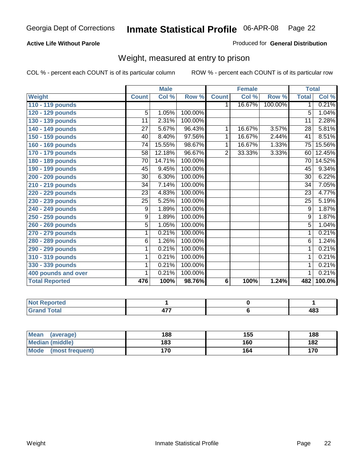#### **Active Life Without Parole**

#### Produced for **General Distribution**

#### Weight, measured at entry to prison

|                       |                 | <b>Male</b> |         |                | <b>Female</b> |         | <b>Total</b>    |        |
|-----------------------|-----------------|-------------|---------|----------------|---------------|---------|-----------------|--------|
| <b>Weight</b>         | <b>Count</b>    | Col %       | Row %   | <b>Count</b>   | Col %         | Row %   | <b>Total</b>    | Col %  |
| 110 - 119 pounds      |                 |             |         | 1.             | 16.67%        | 100.00% | 1               | 0.21%  |
| 120 - 129 pounds      | 5               | 1.05%       | 100.00% |                |               |         | 5               | 1.04%  |
| 130 - 139 pounds      | 11              | 2.31%       | 100.00% |                |               |         | 11              | 2.28%  |
| 140 - 149 pounds      | $\overline{27}$ | 5.67%       | 96.43%  | 1.             | 16.67%        | 3.57%   | $\overline{28}$ | 5.81%  |
| 150 - 159 pounds      | 40              | 8.40%       | 97.56%  | 1              | 16.67%        | 2.44%   | 41              | 8.51%  |
| 160 - 169 pounds      | $\overline{74}$ | 15.55%      | 98.67%  | 1              | 16.67%        | 1.33%   | 75              | 15.56% |
| 170 - 179 pounds      | 58              | 12.18%      | 96.67%  | $\overline{2}$ | 33.33%        | 3.33%   | 60              | 12.45% |
| 180 - 189 pounds      | 70              | 14.71%      | 100.00% |                |               |         | 70              | 14.52% |
| 190 - 199 pounds      | 45              | 9.45%       | 100.00% |                |               |         | 45              | 9.34%  |
| 200 - 209 pounds      | 30              | 6.30%       | 100.00% |                |               |         | $\overline{30}$ | 6.22%  |
| 210 - 219 pounds      | 34              | 7.14%       | 100.00% |                |               |         | 34              | 7.05%  |
| 220 - 229 pounds      | 23              | 4.83%       | 100.00% |                |               |         | $\overline{23}$ | 4.77%  |
| 230 - 239 pounds      | 25              | 5.25%       | 100.00% |                |               |         | 25              | 5.19%  |
| 240 - 249 pounds      | 9               | 1.89%       | 100.00% |                |               |         | 9               | 1.87%  |
| 250 - 259 pounds      | 9               | 1.89%       | 100.00% |                |               |         | 9               | 1.87%  |
| 260 - 269 pounds      | $\overline{5}$  | 1.05%       | 100.00% |                |               |         | $\overline{5}$  | 1.04%  |
| 270 - 279 pounds      | 1               | 0.21%       | 100.00% |                |               |         | 1               | 0.21%  |
| 280 - 289 pounds      | 6               | 1.26%       | 100.00% |                |               |         | $\overline{6}$  | 1.24%  |
| 290 - 299 pounds      | 1               | 0.21%       | 100.00% |                |               |         | 1               | 0.21%  |
| 310 - 319 pounds      | 1               | 0.21%       | 100.00% |                |               |         | 1               | 0.21%  |
| 330 - 339 pounds      | 1               | 0.21%       | 100.00% |                |               |         | 1               | 0.21%  |
| 400 pounds and over   | 1               | 0.21%       | 100.00% |                |               |         | 1               | 0.21%  |
| <b>Total Reported</b> | 476             | 100%        | 98.76%  | 6              | 100%          | 1.24%   | 482             | 100.0% |

| Not Reported     |      |     |
|------------------|------|-----|
| <b>otal</b>      | ---- | פסו |
| $\mathbf{v}$ and |      | 40ა |

| <b>Mean</b><br>(average) | 188 | 155 | 188 |
|--------------------------|-----|-----|-----|
| Median (middle)          | 183 | 160 | 182 |
| Mode<br>(most frequent)  | 170 | 164 | 170 |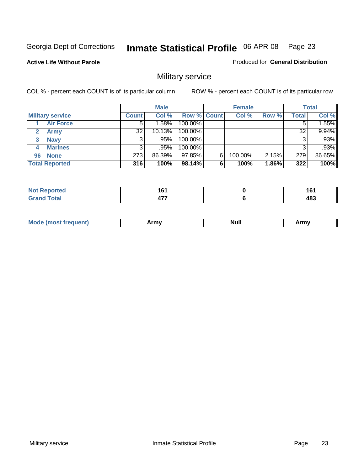**Active Life Without Parole** 

Produced for **General Distribution**

## Military service

|                         |              | <b>Male</b> |                    |   | <b>Female</b> |       |       | <b>Total</b> |
|-------------------------|--------------|-------------|--------------------|---|---------------|-------|-------|--------------|
| <b>Military service</b> | <b>Count</b> | Col %       | <b>Row % Count</b> |   | Col %         | Row % | Total | Col %        |
| <b>Air Force</b>        | 5            | 1.58%       | 100.00%            |   |               |       |       | 1.55%        |
| <b>Army</b>             | 32           | 10.13%      | 100.00%            |   |               |       | 32    | 9.94%        |
| <b>Navy</b><br>3        |              | $.95\%$     | 100.00%            |   |               |       |       | .93%         |
| <b>Marines</b><br>4     | 3            | .95%        | 100.00%            |   |               |       | 3     | .93%         |
| 96 None                 | 273          | 86.39%      | 97.85%             | 6 | 100.00%       | 2.15% | 279   | 86.65%       |
| <b>Total Reported</b>   | 316          | 100%        | 98.14%             | 6 | 100%          | 1.86% | 322   | 100%         |

| prted               | .<br>. .<br>$-$             | 4 C 4<br>ιv<br>$\sim$ |
|---------------------|-----------------------------|-----------------------|
| $F \circ f \circ f$ | $\overline{a}$<br><b>TI</b> | 483                   |

| M<br><b>INUIL</b><br>.<br>. |
|-----------------------------|
|-----------------------------|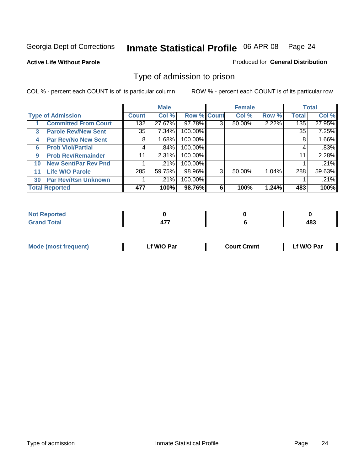#### **Active Life Without Parole**

#### Produced for **General Distribution**

#### Type of admission to prison

|    |                             |              | <b>Male</b> |                    |   | <b>Female</b> |       |              | <b>Total</b> |
|----|-----------------------------|--------------|-------------|--------------------|---|---------------|-------|--------------|--------------|
|    | <b>Type of Admission</b>    | <b>Count</b> | Col %       | <b>Row % Count</b> |   | Col %         | Row % | <b>Total</b> | Col %        |
|    | <b>Committed From Court</b> | 132          | 27.67%      | 97.78%             | 3 | 50.00%        | 2.22% | 135          | 27.95%       |
| 3  | <b>Parole Rev/New Sent</b>  | 35           | 7.34%       | 100.00%            |   |               |       | 35           | 7.25%        |
| 4  | <b>Par Rev/No New Sent</b>  | 8            | 1.68%       | 100.00%            |   |               |       | 8            | 1.66%        |
| 6  | <b>Prob Viol/Partial</b>    | 4            | .84%        | 100.00%            |   |               |       | 4            | .83%         |
| 9  | <b>Prob Rev/Remainder</b>   | 11           | 2.31%       | 100.00%            |   |               |       | 11           | 2.28%        |
| 10 | <b>New Sent/Par Rev Pnd</b> |              | .21%        | 100.00%            |   |               |       |              | .21%         |
| 11 | <b>Life W/O Parole</b>      | 285          | 59.75%      | 98.96%             | 3 | 50.00%        | 1.04% | 288          | 59.63%       |
| 30 | <b>Par Rev/Rsn Unknown</b>  |              | .21%        | 100.00%            |   |               |       |              | .21%         |
|    | <b>Total Reported</b>       | 477          | 100%        | 98.76%             | 6 | 100%          | 1.24% | 483          | 100%         |

| <b>eported</b><br>NOI                            |                     |            |
|--------------------------------------------------|---------------------|------------|
| <b>Total</b><br>Circ<br>$\sim$ . $\sim$ . $\sim$ | $\overline{a}$<br>. | 10O<br>403 |

| <b>Mode (most frequent)</b> | <b>W/O Par</b> | <b>Court Cmmt</b> | M/O Par |
|-----------------------------|----------------|-------------------|---------|
|                             |                |                   |         |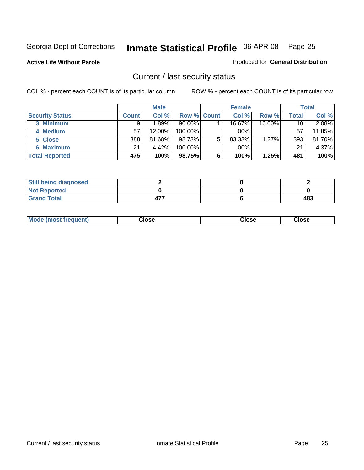**Active Life Without Parole** 

Produced for **General Distribution**

#### Current / last security status

|                        |         | <b>Male</b> |                    |   | <b>Female</b> |        |       | <b>Total</b> |
|------------------------|---------|-------------|--------------------|---|---------------|--------|-------|--------------|
| <b>Security Status</b> | Count l | Col %       | <b>Row % Count</b> |   | Col %         | Row %  | Total | Col %        |
| 3 Minimum              | 9       | 1.89% l     | $90.00\%$          |   | 16.67%        | 10.00% | 10    | 2.08%        |
| 4 Medium               | 57      | 12.00%      | 100.00%            |   | $.00\%$       |        | 57    | 11.85%       |
| 5 Close                | 388     | 81.68%      | 98.73%             | 5 | 83.33%        | 1.27%  | 393   | 81.70%       |
| <b>6 Maximum</b>       | 21      | 4.42%       | $100.00\%$         |   | .00%          |        | 21    | 4.37%        |
| <b>Total Reported</b>  | 475     | 100%        | 98.75%             | 6 | 100%          | 1.25%  | 481   | 100%         |

| <b>Still being diagnosed</b> |  |     |
|------------------------------|--|-----|
| <b>Not Reported</b>          |  |     |
| <b>Grand Total</b>           |  | 483 |

|  | Mo<br>frequent)<br>יצניות ו | Close<br>. | ાose<br>. | <b>OSE</b><br>. |
|--|-----------------------------|------------|-----------|-----------------|
|--|-----------------------------|------------|-----------|-----------------|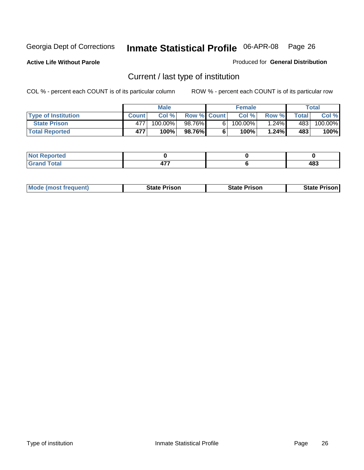**Active Life Without Parole** 

Produced for **General Distribution**

## Current / last type of institution

|                            |              | <b>Male</b> |                    | <b>Female</b> |        |       | Total   |
|----------------------------|--------------|-------------|--------------------|---------------|--------|-------|---------|
| <b>Type of Institution</b> | <b>Count</b> | Col%        | <b>Row % Count</b> | Col %         | Row %I | Total | Col %   |
| <b>State Prison</b>        | 477          | 100.00%」    | 98.76%             | $100.00\%$    | 1.24%  | 483   | 100.00% |
| <b>Total Reported</b>      | 477          | 100%        | 98.76%             | $100\%$       | 1.24%  | 483   | 100%    |

| <b>rted</b><br>. |              |     |
|------------------|--------------|-----|
| $\sim$           | $\mathbf{r}$ | 483 |
| ι υιαι           |              | - - |

|  | <b>Mode (most frequent)</b> | State Prison | <b>State Prison</b> | <b>State Prison</b> |
|--|-----------------------------|--------------|---------------------|---------------------|
|--|-----------------------------|--------------|---------------------|---------------------|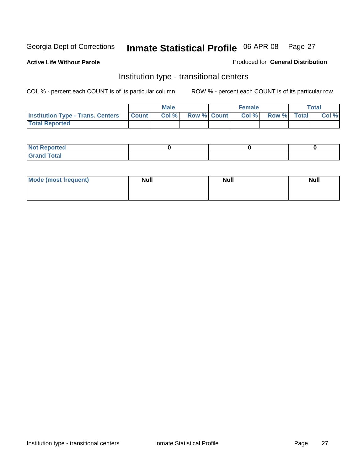**Active Life Without Parole** 

Produced for **General Distribution**

#### Institution type - transitional centers

|                                                  | <b>Male</b> |                    | <b>Female</b> |             | <b>Total</b> |
|--------------------------------------------------|-------------|--------------------|---------------|-------------|--------------|
| <b>Institution Type - Trans. Centers Count  </b> | Col %       | <b>Row % Count</b> | Col%          | Row % Total | Col %        |
| <b>Total Reported</b>                            |             |                    |               |             |              |

| rtea<br>20 NGL 2<br>  |  |  |
|-----------------------|--|--|
| into!<br>---<br>_____ |  |  |

| Mode (most frequent) | <b>Null</b> | <b>Null</b> | <b>Null</b> |
|----------------------|-------------|-------------|-------------|
|                      |             |             |             |
|                      |             |             |             |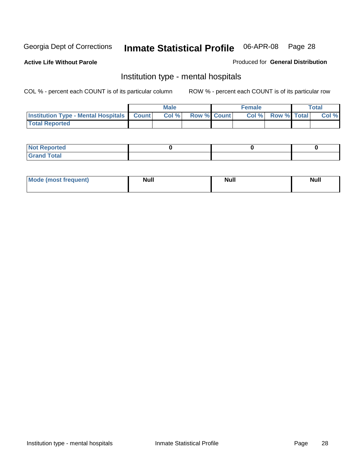**Active Life Without Parole** 

Produced for **General Distribution**

#### Institution type - mental hospitals

|                                                  | <b>Male</b> |                    | <b>Female</b> |                   | <b>Total</b> |
|--------------------------------------------------|-------------|--------------------|---------------|-------------------|--------------|
| <b>Institution Type - Mental Hospitals Count</b> | Col%        | <b>Row % Count</b> |               | Col % Row % Total | Col %        |
| <b>Total Reported</b>                            |             |                    |               |                   |              |

| <b>Not Reported</b> |  |  |
|---------------------|--|--|
| <b>Fotal</b><br>Cro |  |  |

| Mode (most frequent) | <b>Null</b> | <b>Null</b> | <b>Null</b> |
|----------------------|-------------|-------------|-------------|
|                      |             |             |             |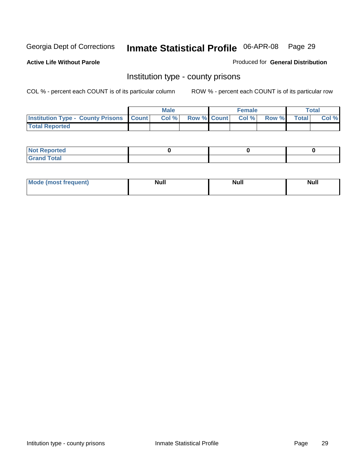**Active Life Without Parole** 

Produced for **General Distribution**

#### Institution type - county prisons

|                                                    | <b>Male</b> |                          | <b>Female</b> |       |              | Total |
|----------------------------------------------------|-------------|--------------------------|---------------|-------|--------------|-------|
| <b>Institution Type - County Prisons   Count  </b> | Col %       | <b>Row % Count Col %</b> |               | Row % | <b>Total</b> | Col % |
| <b>Total Reported</b>                              |             |                          |               |       |              |       |

| <b>Not</b><br><b>Reported</b> |  |  |
|-------------------------------|--|--|
| <b>Grand Total</b>            |  |  |

| <b>Mo</b><br>frequent) | NI. . II<br>1u 11 | <b>Moll</b> | <b>Null</b> |
|------------------------|-------------------|-------------|-------------|
|                        |                   |             |             |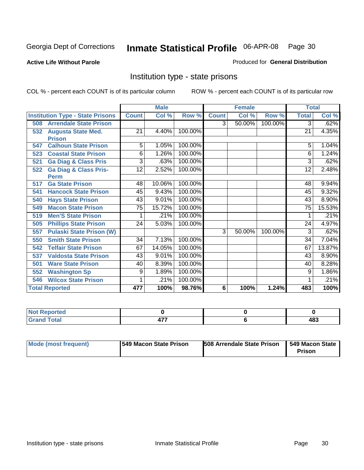**Active Life Without Parole** 

Produced for **General Distribution**

#### Institution type - state prisons

|     |                                         |                 | <b>Male</b> |         |              | <b>Female</b> |         | <b>Total</b>    |        |
|-----|-----------------------------------------|-----------------|-------------|---------|--------------|---------------|---------|-----------------|--------|
|     | <b>Institution Type - State Prisons</b> | <b>Count</b>    | Col %       | Row %   | <b>Count</b> | Col %         | Row %   | <b>Total</b>    | Col %  |
| 508 | <b>Arrendale State Prison</b>           |                 |             |         | 3            | 50.00%        | 100.00% | 3               | .62%   |
| 532 | <b>Augusta State Med.</b>               | 21              | 4.40%       | 100.00% |              |               |         | 21              | 4.35%  |
|     | <b>Prison</b>                           |                 |             |         |              |               |         |                 |        |
| 547 | <b>Calhoun State Prison</b>             | 5               | 1.05%       | 100.00% |              |               |         | 5               | 1.04%  |
| 523 | <b>Coastal State Prison</b>             | 6               | 1.26%       | 100.00% |              |               |         | 6               | 1.24%  |
| 521 | <b>Ga Diag &amp; Class Pris</b>         | 3               | .63%        | 100.00% |              |               |         | 3               | .62%   |
| 522 | <b>Ga Diag &amp; Class Pris-</b>        | 12              | 2.52%       | 100.00% |              |               |         | 12              | 2.48%  |
|     | <b>Perm</b>                             |                 |             |         |              |               |         |                 |        |
| 517 | <b>Ga State Prison</b>                  | 48              | 10.06%      | 100.00% |              |               |         | 48              | 9.94%  |
| 541 | <b>Hancock State Prison</b>             | 45              | 9.43%       | 100.00% |              |               |         | 45              | 9.32%  |
| 540 | <b>Hays State Prison</b>                | 43              | 9.01%       | 100.00% |              |               |         | 43              | 8.90%  |
| 549 | <b>Macon State Prison</b>               | $\overline{75}$ | 15.72%      | 100.00% |              |               |         | $\overline{75}$ | 15.53% |
| 519 | <b>Men'S State Prison</b>               |                 | .21%        | 100.00% |              |               |         |                 | .21%   |
| 505 | <b>Phillips State Prison</b>            | 24              | 5.03%       | 100.00% |              |               |         | 24              | 4.97%  |
| 557 | <b>Pulaski State Prison (W)</b>         |                 |             |         | 3            | 50.00%        | 100.00% | 3               | .62%   |
| 550 | <b>Smith State Prison</b>               | 34              | 7.13%       | 100.00% |              |               |         | 34              | 7.04%  |
| 542 | <b>Telfair State Prison</b>             | 67              | 14.05%      | 100.00% |              |               |         | 67              | 13.87% |
| 537 | <b>Valdosta State Prison</b>            | 43              | 9.01%       | 100.00% |              |               |         | 43              | 8.90%  |
| 501 | <b>Ware State Prison</b>                | 40              | 8.39%       | 100.00% |              |               |         | 40              | 8.28%  |
| 552 | <b>Washington Sp</b>                    | 9               | 1.89%       | 100.00% |              |               |         | 9               | 1.86%  |
| 546 | <b>Wilcox State Prison</b>              |                 | .21%        | 100.00% |              |               |         |                 | .21%   |
|     | <b>Total Reported</b>                   | 477             | 100%        | 98.76%  | 6            | 100%          | 1.24%   | 483             | 100%   |

| ---<br>тео         |                              |     |
|--------------------|------------------------------|-----|
| Contact:<br>$\sim$ | $\overline{a}$<br><b>TII</b> | 483 |

| Mode (most frequent) | 1549 Macon State Prison | <b>508 Arrendale State Prison</b> | 1549 Macon State<br>Prison |
|----------------------|-------------------------|-----------------------------------|----------------------------|
|----------------------|-------------------------|-----------------------------------|----------------------------|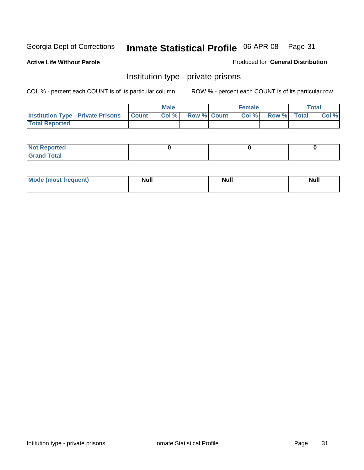**Active Life Without Parole** 

Produced for **General Distribution**

#### Institution type - private prisons

|                                                     | <b>Male</b> |                    | <b>Female</b> |             | Total |
|-----------------------------------------------------|-------------|--------------------|---------------|-------------|-------|
| <b>Institution Type - Private Prisons   Count  </b> | Col %       | <b>Row % Count</b> | Col %         | Row % Total | Col % |
| <b>Total Reported</b>                               |             |                    |               |             |       |

| <b>Not Reported</b>        |  |  |
|----------------------------|--|--|
| <b>otal</b><br>. Gror<br>. |  |  |

| Mode (most frequent) | <b>Null</b> | <b>Null</b> | <b>Null</b> |
|----------------------|-------------|-------------|-------------|
|                      |             |             |             |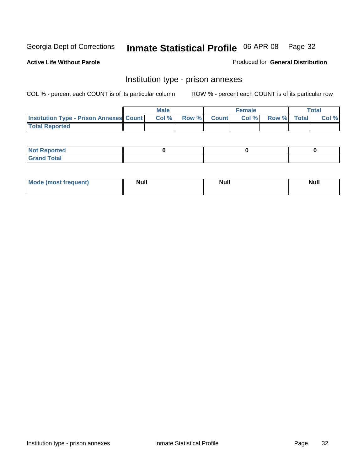**Active Life Without Parole** 

Produced for **General Distribution**

#### Institution type - prison annexes

|                                                | <b>Male</b> |              |                | <b>Female</b> |             | <b>Total</b> |
|------------------------------------------------|-------------|--------------|----------------|---------------|-------------|--------------|
| <b>Institution Type - Prison Annexes Count</b> | Col %       | <b>Row %</b> | <b>Count</b> Ⅰ | Col%          | Row % Total | Col %        |
| <b>Total Reported</b>                          |             |              |                |               |             |              |

| <b>Not</b><br><b>Reported</b>    |  |  |
|----------------------------------|--|--|
| <b>Total</b><br>Gran<br>$\sim$ . |  |  |

| Mode (most frequent) | <b>Null</b> | <b>Null</b> | <b>Null</b> |
|----------------------|-------------|-------------|-------------|
|                      |             |             |             |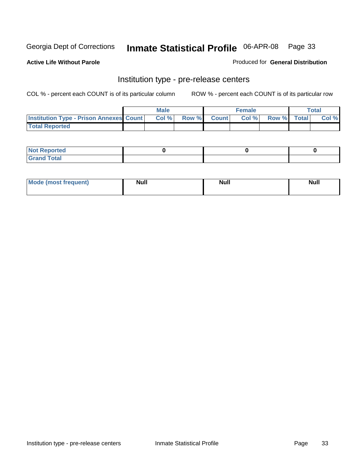**Active Life Without Parole** 

Produced for **General Distribution**

#### Institution type - pre-release centers

|                                                | <b>Male</b> |                    | <b>Female</b> |             | <b>Total</b> |
|------------------------------------------------|-------------|--------------------|---------------|-------------|--------------|
| <b>Institution Type - Prison Annexes Count</b> | Col %       | <b>Row % Count</b> | Col %         | Row % Total | Col %        |
| <b>Total Reported</b>                          |             |                    |               |             |              |

| <b>Not Reported</b>            |  |  |
|--------------------------------|--|--|
| <b>Total</b><br>Croi<br>$\sim$ |  |  |

| Mode (most frequent) | <b>Null</b> | <b>Null</b> | <b>Null</b> |
|----------------------|-------------|-------------|-------------|
|                      |             |             |             |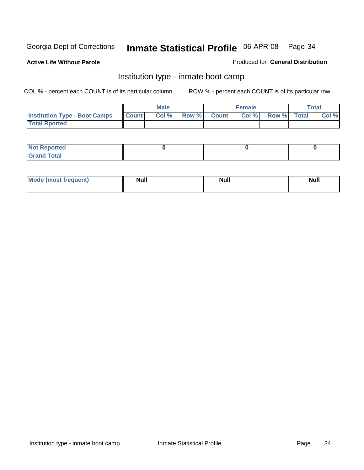**Active Life Without Parole** 

Produced for **General Distribution**

#### Institution type - inmate boot camp

|                                      |              | Male  |             | <b>Female</b> |             | <b>Total</b> |
|--------------------------------------|--------------|-------|-------------|---------------|-------------|--------------|
| <b>Institution Type - Boot Camps</b> | <b>Count</b> | Col % | Row % Count | Col%          | Row % Total | Col %        |
| <b>Total Rported</b>                 |              |       |             |               |             |              |

| <b>Not Reported</b>  |  |  |
|----------------------|--|--|
| <b>Total</b><br>Croy |  |  |

| Mode (most frequent) | <b>Null</b> | <b>Null</b> | <b>Null</b> |
|----------------------|-------------|-------------|-------------|
|                      |             |             |             |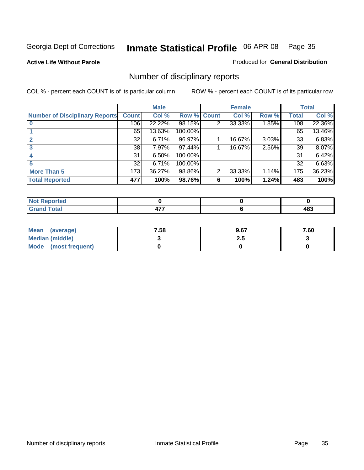**Active Life Without Parole** 

Produced for **General Distribution**

## Number of disciplinary reports

|                                       |              | <b>Male</b> |                    |   | <b>Female</b> |       |              | <b>Total</b> |
|---------------------------------------|--------------|-------------|--------------------|---|---------------|-------|--------------|--------------|
| <b>Number of Disciplinary Reports</b> | <b>Count</b> | Col %       | <b>Row % Count</b> |   | Col %         | Row % | <b>Total</b> | Col %        |
|                                       | 106          | 22.22%      | 98.15%             | 2 | 33.33%        | 1.85% | 108          | 22.36%       |
|                                       | 65           | 13.63%      | 100.00%            |   |               |       | 65           | 13.46%       |
|                                       | 32           | 6.71%       | 96.97%             |   | 16.67%        | 3.03% | 33           | 6.83%        |
| 3                                     | 38           | 7.97%       | 97.44%             |   | 16.67%        | 2.56% | 39           | 8.07%        |
|                                       | 31           | 6.50%       | 100.00%            |   |               |       | 31           | 6.42%        |
|                                       | 32           | 6.71%       | 100.00%            |   |               |       | 32           | 6.63%        |
| <b>More Than 5</b>                    | 173          | 36.27%      | 98.86%             | 2 | 33.33%        | 1.14% | 175          | 36.23%       |
| <b>Total Reported</b>                 | 477          | 100%        | 98.76%             | 6 | 100%          | 1.24% | 483          | 100%         |

| rted<br>N0 |     |     |
|------------|-----|-----|
| Total      | . . | 483 |

| Mean (average)       | 7.58 | 9.67 | 7.60 |
|----------------------|------|------|------|
| Median (middle)      |      | 2.J  |      |
| Mode (most frequent) |      |      |      |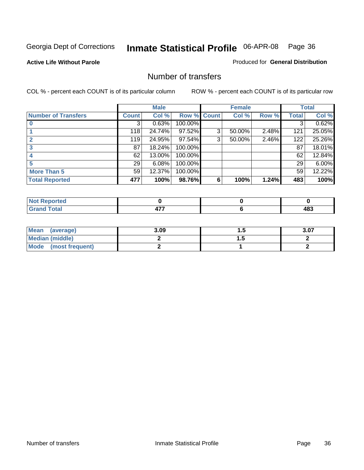#### **Active Life Without Parole**

#### Produced for **General Distribution**

#### Number of transfers

|                            |                 | <b>Male</b> |         |              | <b>Female</b> |       |              | <b>Total</b> |
|----------------------------|-----------------|-------------|---------|--------------|---------------|-------|--------------|--------------|
| <b>Number of Transfers</b> | Count l         | Col %       | Row %   | <b>Count</b> | Col %         | Row % | <b>Total</b> | Col %        |
|                            | 3               | 0.63%       | 100.00% |              |               |       | 3            | 0.62%        |
|                            | 118             | 24.74%      | 97.52%  | 3            | 50.00%        | 2.48% | 121          | 25.05%       |
|                            | 119             | 24.95%      | 97.54%  | 3            | 50.00%        | 2.46% | 122          | 25.26%       |
|                            | 87              | 18.24%      | 100.00% |              |               |       | 87           | 18.01%       |
|                            | 62              | 13.00%      | 100.00% |              |               |       | 62           | 12.84%       |
|                            | 29 <sub>1</sub> | 6.08%       | 100.00% |              |               |       | 29           | 6.00%        |
| <b>More Than 5</b>         | 59              | 12.37%      | 100.00% |              |               |       | 59           | 12.22%       |
| <b>Total Reported</b>      | 477             | 100%        | 98.76%  | 6            | 100%          | 1.24% | 483          | 100%         |

| N<br>TER.            |    |      |
|----------------------|----|------|
| $\sim$ 40            | -- | ים ו |
| $\sim$ $\sim$ $\sim$ |    | .    |

| Mean (average)       | 3.09 |   | 3.07 |
|----------------------|------|---|------|
| Median (middle)      |      | . |      |
| Mode (most frequent) |      |   |      |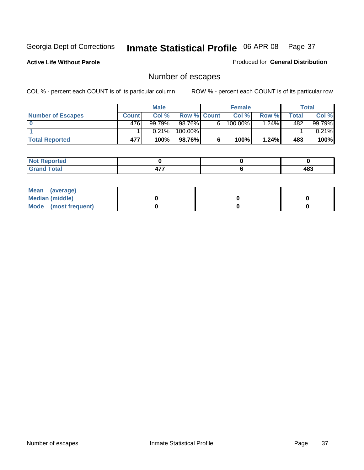**Active Life Without Parole** 

Produced for **General Distribution**

# Number of escapes

|                       |         | <b>Male</b> |             |   | <b>Female</b> |         |       | <b>Total</b> |
|-----------------------|---------|-------------|-------------|---|---------------|---------|-------|--------------|
| Number of Escapes     | Count l | Col %       | Row % Count |   | Col %         | Row %   | Total | Col %        |
|                       | 476     | 99.79%      | 98.76%      | 6 | $100.00\%$    | $.24\%$ | 482   | 99.79%       |
|                       |         | 0.21%       | 100.00%     |   |               |         |       | 0.21%        |
| <b>Total Reported</b> | 477     | 100%        | 98.76%      |   | 100%          | 1.24%   | 483   | 100%         |

| المتحافظ<br>prteol    |     |     |
|-----------------------|-----|-----|
| <b>otal</b><br>ulallu | . . | 483 |

| Mean (average)       |  |  |
|----------------------|--|--|
| Median (middle)      |  |  |
| Mode (most frequent) |  |  |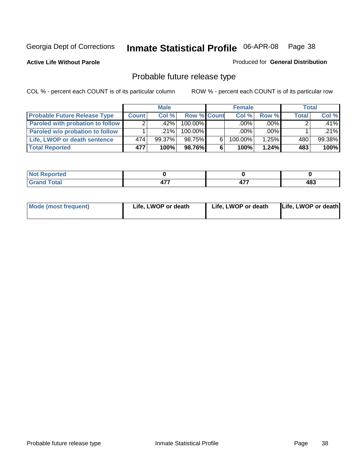**Active Life Without Parole** 

Produced for **General Distribution**

# Probable future release type

|                                         |              | <b>Male</b> |                    |   | <b>Female</b> |         | Total        |        |
|-----------------------------------------|--------------|-------------|--------------------|---|---------------|---------|--------------|--------|
| <b>Probable Future Release Type</b>     | <b>Count</b> | Col %       | <b>Row % Count</b> |   | Col%          | Row %   | <b>Total</b> | Col %  |
| <b>Paroled with probation to follow</b> |              | .42%        | 100.00%            |   | $.00\%$       | $.00\%$ |              | .41%   |
| Paroled w/o probation to follow         |              | $.21\%$     | $100.00\%$         |   | $.00\%$       | $.00\%$ |              | .21%   |
| Life, LWOP or death sentence            | 474          | $99.37\%$   | 98.75%             | 6 | 100.00%       | 1.25%   | 480          | 99.38% |
| <b>Total Reported</b>                   | 477          | 100%        | 98.76%             | 6 | 100%          | 1.24%   | 483          | 100%   |

| ______ | r 1 | ----<br>. | ៱៰៰<br>טז<br>__ |
|--------|-----|-----------|-----------------|

| Mode (most frequent) | Life, LWOP or death | Life, LWOP or death | Life, LWOP or death |
|----------------------|---------------------|---------------------|---------------------|
|----------------------|---------------------|---------------------|---------------------|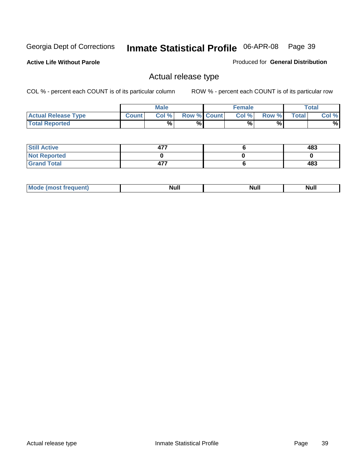**Active Life Without Parole** 

Produced for **General Distribution**

### Actual release type

|                            |              | <b>Male</b> |                    | <b>Female</b> |        |       | Total |
|----------------------------|--------------|-------------|--------------------|---------------|--------|-------|-------|
| <b>Actual Release Type</b> | <b>Count</b> | Col %       | <b>Row % Count</b> | Col %         | Row %I | Total | Col % |
| <b>Total Reported</b>      |              | $\%$        | %                  | %             | %      |       | %     |

| <b>Still Active</b> | ר ד<br>47. | 483 |
|---------------------|------------|-----|
| <b>Not Reported</b> |            |     |
| <b>Grand Total</b>  | 477        | 483 |

| M<br>_____<br>_____ | NI | Null | $\cdots$ |
|---------------------|----|------|----------|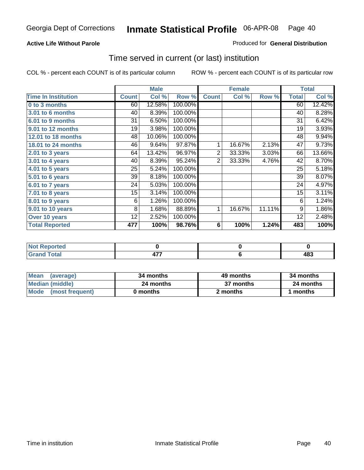#### **Active Life Without Parole**

#### Produced for **General Distribution**

### Time served in current (or last) institution

|                            |              | <b>Male</b> |         |                | <b>Female</b> |        |              | <b>Total</b> |
|----------------------------|--------------|-------------|---------|----------------|---------------|--------|--------------|--------------|
| <b>Time In Institution</b> | <b>Count</b> | Col %       | Row %   | <b>Count</b>   | Col %         | Row %  | <b>Total</b> | Col %        |
| 0 to 3 months              | 60           | 12.58%      | 100.00% |                |               |        | 60           | 12.42%       |
| 3.01 to 6 months           | 40           | 8.39%       | 100.00% |                |               |        | 40           | 8.28%        |
| 6.01 to 9 months           | 31           | 6.50%       | 100.00% |                |               |        | 31           | 6.42%        |
| 9.01 to 12 months          | 19           | 3.98%       | 100.00% |                |               |        | 19           | 3.93%        |
| 12.01 to 18 months         | 48           | 10.06%      | 100.00% |                |               |        | 48           | 9.94%        |
| 18.01 to 24 months         | 46           | 9.64%       | 97.87%  | 1              | 16.67%        | 2.13%  | 47           | 9.73%        |
| 2.01 to 3 years            | 64           | 13.42%      | 96.97%  | $\overline{2}$ | 33.33%        | 3.03%  | 66           | 13.66%       |
| 3.01 to 4 years            | 40           | 8.39%       | 95.24%  | $\overline{2}$ | 33.33%        | 4.76%  | 42           | 8.70%        |
| 4.01 to 5 years            | 25           | 5.24%       | 100.00% |                |               |        | 25           | 5.18%        |
| $5.01$ to 6 years          | 39           | 8.18%       | 100.00% |                |               |        | 39           | 8.07%        |
| 6.01 to 7 years            | 24           | 5.03%       | 100.00% |                |               |        | 24           | 4.97%        |
| $7.01$ to 8 years          | 15           | 3.14%       | 100.00% |                |               |        | 15           | 3.11%        |
| 8.01 to 9 years            | 6            | 1.26%       | 100.00% |                |               |        | 6            | 1.24%        |
| 9.01 to 10 years           | 8            | 1.68%       | 88.89%  | 1              | 16.67%        | 11.11% | 9            | 1.86%        |
| Over 10 years              | 12           | 2.52%       | 100.00% |                |               |        | 12           | 2.48%        |
| <b>Total Reported</b>      | 477          | 100%        | 98.76%  | 6              | 100%          | 1.24%  | 483          | 100%         |

| <b>Not Reported</b> |                 |            |
|---------------------|-----------------|------------|
| <b>Total</b>        | $\rightarrow -$ | ៱៰៰<br>10J |

| <b>Mean</b><br>(average) | 34 months | 49 months | 34 months |  |
|--------------------------|-----------|-----------|-----------|--|
| Median (middle)          | 24 months | 37 months | 24 months |  |
| Mode (most frequent)     | 0 months  | 2 months  | months    |  |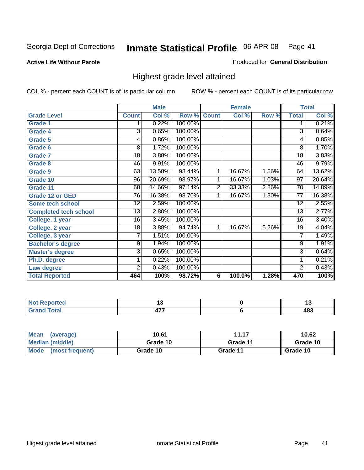**Active Life Without Parole** 

Produced for **General Distribution**

### Highest grade level attained

|                              |                 | <b>Male</b> |         |                | <b>Female</b> |       |                 | <b>Total</b> |
|------------------------------|-----------------|-------------|---------|----------------|---------------|-------|-----------------|--------------|
| <b>Grade Level</b>           | <b>Count</b>    | Col %       | Row %   | <b>Count</b>   | Col %         | Row % | <b>Total</b>    | Col %        |
| <b>Grade 1</b>               | 1               | 0.22%       | 100.00% |                |               |       | 1               | 0.21%        |
| <b>Grade 4</b>               | 3               | 0.65%       | 100.00% |                |               |       | $\overline{3}$  | 0.64%        |
| Grade 5                      | 4               | 0.86%       | 100.00% |                |               |       | 4               | 0.85%        |
| Grade 6                      | 8               | 1.72%       | 100.00% |                |               |       | 8               | 1.70%        |
| <b>Grade 7</b>               | 18              | 3.88%       | 100.00% |                |               |       | $\overline{18}$ | 3.83%        |
| <b>Grade 8</b>               | 46              | 9.91%       | 100.00% |                |               |       | 46              | 9.79%        |
| <b>Grade 9</b>               | 63              | 13.58%      | 98.44%  | 1              | 16.67%        | 1.56% | 64              | 13.62%       |
| Grade 10                     | $\overline{96}$ | 20.69%      | 98.97%  | 1              | 16.67%        | 1.03% | $\overline{97}$ | 20.64%       |
| Grade 11                     | 68              | 14.66%      | 97.14%  | $\overline{2}$ | 33.33%        | 2.86% | 70              | 14.89%       |
| <b>Grade 12 or GED</b>       | 76              | 16.38%      | 98.70%  | 1              | 16.67%        | 1.30% | 77              | 16.38%       |
| <b>Some tech school</b>      | 12              | 2.59%       | 100.00% |                |               |       | 12              | 2.55%        |
| <b>Completed tech school</b> | 13              | 2.80%       | 100.00% |                |               |       | 13              | 2.77%        |
| College, 1 year              | 16              | 3.45%       | 100.00% |                |               |       | 16              | 3.40%        |
| College, 2 year              | 18              | 3.88%       | 94.74%  | 1              | 16.67%        | 5.26% | 19              | 4.04%        |
| College, 3 year              | 7               | 1.51%       | 100.00% |                |               |       | 7               | 1.49%        |
| <b>Bachelor's degree</b>     | 9               | 1.94%       | 100.00% |                |               |       | 9               | 1.91%        |
| <b>Master's degree</b>       | 3               | 0.65%       | 100.00% |                |               |       | $\overline{3}$  | 0.64%        |
| Ph.D. degree                 | 1               | 0.22%       | 100.00% |                |               |       | 1               | 0.21%        |
| Law degree                   | $\overline{2}$  | 0.43%       | 100.00% |                |               |       | $\overline{2}$  | 0.43%        |
| <b>Total Reported</b>        | 464             | 100%        | 98.72%  | 6              | 100.0%        | 1.28% | 470             | 100%         |

| i Alban<br>المناسب<br>rtea<br>NI.<br>. | . . | .           |
|----------------------------------------|-----|-------------|
| $T \sim 4 \times 1$<br><b>C.A.A</b>    | .   | , 00<br>40ა |

| <b>Mean</b><br>(average)       | 10.61    | 11.17    | 10.62    |
|--------------------------------|----------|----------|----------|
| Median (middle)                | Grade 10 | Grade 11 | Grade 10 |
| <b>Mode</b><br>(most frequent) | Grade 10 | Grade 11 | Grade 10 |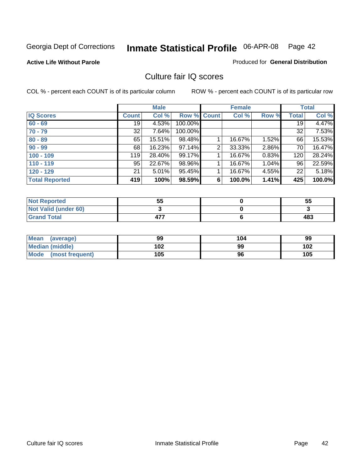#### **Active Life Without Parole**

#### Produced for **General Distribution**

### Culture fair IQ scores

|                       |              | <b>Male</b> |             |   | <b>Female</b> |          |              | <b>Total</b> |
|-----------------------|--------------|-------------|-------------|---|---------------|----------|--------------|--------------|
| <b>IQ Scores</b>      | <b>Count</b> | Col %       | Row % Count |   | Col %         | Row %    | <b>Total</b> | Col %        |
| $60 - 69$             | 19           | 4.53%       | 100.00%     |   |               |          | 19           | 4.47%        |
| $70 - 79$             | 32           | 7.64%       | 100.00%     |   |               |          | 32           | 7.53%        |
| $80 - 89$             | 65           | 15.51%      | 98.48%      |   | 16.67%        | $1.52\%$ | 66           | 15.53%       |
| $90 - 99$             | 68           | 16.23%      | 97.14%      | 2 | 33.33%        | 2.86%    | 70           | 16.47%       |
| $100 - 109$           | 119          | 28.40%      | 99.17%      |   | 16.67%        | 0.83%    | 120          | 28.24%       |
| $110 - 119$           | 95           | 22.67%      | 98.96%      |   | 16.67%        | 1.04%    | 96           | 22.59%       |
| $120 - 129$           | 21           | 5.01%       | 95.45%      |   | 16.67%        | 4.55%    | 22           | 5.18%        |
| <b>Total Reported</b> | 419          | 100%        | 98.59%      | 6 | 100.0%        | 1.41%    | 425          | 100.0%       |

| <b>Not Reported</b>         | 55  | 55  |
|-----------------------------|-----|-----|
| <b>Not Valid (under 60)</b> |     |     |
| <b>Grand Total</b>          | 177 | 483 |

| <b>Mean</b><br>(average) | 99  | 104 | 99  |
|--------------------------|-----|-----|-----|
| Median (middle)          | 102 | 99  | 102 |
| Mode (most frequent)     | 105 | 96  | 105 |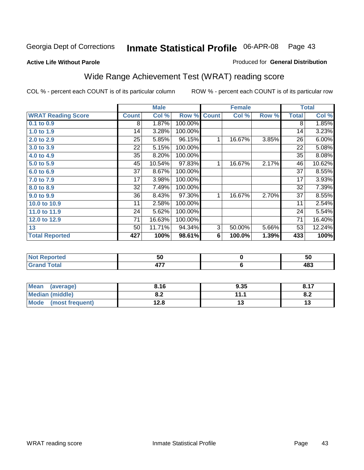#### **Active Life Without Parole**

#### Produced for **General Distribution**

# Wide Range Achievement Test (WRAT) reading score

COL % - percent each COUNT is of its particular column ROW % - percent each COUNT is of its particular row

 **6**

|                           |                 | <b>Male</b> |         |                | <b>Female</b> |       |                 | <b>Total</b> |
|---------------------------|-----------------|-------------|---------|----------------|---------------|-------|-----------------|--------------|
| <b>WRAT Reading Score</b> | <b>Count</b>    | Col %       | Row %   | <b>Count</b>   | Col %         | Row % | <b>Total</b>    | Col %        |
| 0.1 to 0.9                | 8               | 1.87%       | 100.00% |                |               |       | 8               | 1.85%        |
| 1.0 to 1.9                | 14              | 3.28%       | 100.00% |                |               |       | 14              | 3.23%        |
| 2.0 to 2.9                | 25              | 5.85%       | 96.15%  | 1              | 16.67%        | 3.85% | 26              | 6.00%        |
| 3.0 to 3.9                | 22              | 5.15%       | 100.00% |                |               |       | 22              | 5.08%        |
| 4.0 to 4.9                | 35              | 8.20%       | 100.00% |                |               |       | 35              | 8.08%        |
| 5.0 to 5.9                | 45              | 10.54%      | 97.83%  | 1              | 16.67%        | 2.17% | 46              | 10.62%       |
| 6.0 to 6.9                | 37              | 8.67%       | 100.00% |                |               |       | 37              | 8.55%        |
| 7.0 to 7.9                | 17              | 3.98%       | 100.00% |                |               |       | 17              | 3.93%        |
| 8.0 to 8.9                | $\overline{32}$ | 7.49%       | 100.00% |                |               |       | $\overline{32}$ | 7.39%        |
| 9.0 to 9.9                | 36              | 8.43%       | 97.30%  | 1              | 16.67%        | 2.70% | 37              | 8.55%        |
| 10.0 to 10.9              | 11              | 2.58%       | 100.00% |                |               |       | 11              | 2.54%        |
| 11.0 to 11.9              | 24              | 5.62%       | 100.00% |                |               |       | 24              | 5.54%        |
| 12.0 to 12.9              | 71              | 16.63%      | 100.00% |                |               |       | 71              | 16.40%       |
| 13                        | 50              | 11.71%      | 94.34%  | $\overline{3}$ | 50.00%        | 5.66% | 53              | 12.24%       |
| <b>Total Reported</b>     | 427             | 100%        | 98.61%  | 6              | 100.0%        | 1.39% | 433             | 100%         |
|                           |                 |             |         |                |               |       |                 |              |
| <b>Not Reported</b>       |                 | 50          |         |                | $\bf{0}$      |       |                 | 50           |

| <b>Mean</b><br>(average)       | 8.16       | 9.35     | 0. I I     |
|--------------------------------|------------|----------|------------|
| Median (middle)                | י ה<br>o.z | 111<br>. | о о<br>o.z |
| <b>Mode</b><br>(most frequent) | 12.8       | IJ       | ט ו        |

 **477**

 **Grand Total**

 **483**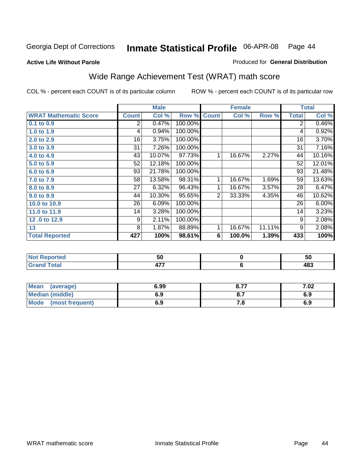**Active Life Without Parole** 

#### Produced for **General Distribution**

# Wide Range Achievement Test (WRAT) math score

|                              |                | <b>Male</b> |         |              | <b>Female</b> |        |                | <b>Total</b> |
|------------------------------|----------------|-------------|---------|--------------|---------------|--------|----------------|--------------|
| <b>WRAT Mathematic Score</b> | <b>Count</b>   | Col %       | Row %   | <b>Count</b> | Col %         | Row %  | <b>Total</b>   | Col %        |
| $0.1$ to $0.9$               | $\overline{2}$ | 0.47%       | 100.00% |              |               |        | $\overline{2}$ | 0.46%        |
| 1.0 to 1.9                   | 4              | 0.94%       | 100.00% |              |               |        | 4              | 0.92%        |
| 2.0 to 2.9                   | 16             | 3.75%       | 100.00% |              |               |        | 16             | 3.70%        |
| 3.0 to 3.9                   | 31             | 7.26%       | 100.00% |              |               |        | 31             | 7.16%        |
| 4.0 to 4.9                   | 43             | 10.07%      | 97.73%  | 1            | 16.67%        | 2.27%  | 44             | 10.16%       |
| 5.0 to 5.9                   | 52             | 12.18%      | 100.00% |              |               |        | 52             | 12.01%       |
| 6.0 to 6.9                   | 93             | 21.78%      | 100.00% |              |               |        | 93             | 21.48%       |
| 7.0 to 7.9                   | 58             | 13.58%      | 98.31%  | 1            | 16.67%        | 1.69%  | 59             | 13.63%       |
| 8.0 to 8.9                   | 27             | 6.32%       | 96.43%  | 1            | 16.67%        | 3.57%  | 28             | 6.47%        |
| 9.0 to 9.9                   | 44             | 10.30%      | 95.65%  | 2            | 33.33%        | 4.35%  | 46             | 10.62%       |
| 10.0 to 10.9                 | 26             | 6.09%       | 100.00% |              |               |        | 26             | 6.00%        |
| 11.0 to 11.9                 | 14             | 3.28%       | 100.00% |              |               |        | 14             | 3.23%        |
| 12.0 to 12.9                 | 9              | 2.11%       | 100.00% |              |               |        | 9              | 2.08%        |
| 13                           | 8              | 1.87%       | 88.89%  | 1            | 16.67%        | 11.11% | 9              | 2.08%        |
| <b>Total Reported</b>        | 427            | 100%        | 98.61%  | 6            | 100.0%        | 1.39%  | 433            | 100%         |
|                              |                |             |         |              |               |        |                |              |
|                              |                |             |         |              |               |        |                |              |

| .       | - -<br>ວບ | ้วน |
|---------|-----------|-----|
| --      | ---       | ,,, |
| _______ | .         | 40ა |

| <b>Mean</b><br>(average)       | 6.99 | 0.77<br>O.1. | 7.02 |
|--------------------------------|------|--------------|------|
| <b>Median (middle)</b>         | 6.9  | <b>v.i</b>   | 6.9  |
| <b>Mode</b><br>(most frequent) | 6.9  | .c           | 6.9  |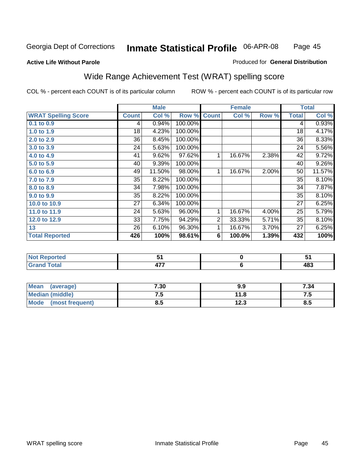Page 45

#### **Active Life Without Parole**

#### Produced for **General Distribution**

# Wide Range Achievement Test (WRAT) spelling score

|                            |              | <b>Male</b> |         |                | <b>Female</b> |       | <b>Total</b> |        |
|----------------------------|--------------|-------------|---------|----------------|---------------|-------|--------------|--------|
| <b>WRAT Spelling Score</b> | <b>Count</b> | Col %       | Row %   | <b>Count</b>   | Col %         | Row % | <b>Total</b> | Col %  |
| $0.1$ to $0.9$             | 4            | 0.94%       | 100.00% |                |               |       | 4            | 0.93%  |
| 1.0 to 1.9                 | 18           | 4.23%       | 100.00% |                |               |       | 18           | 4.17%  |
| 2.0 to 2.9                 | 36           | 8.45%       | 100.00% |                |               |       | 36           | 8.33%  |
| 3.0 to 3.9                 | 24           | 5.63%       | 100.00% |                |               |       | 24           | 5.56%  |
| 4.0 to 4.9                 | 41           | 9.62%       | 97.62%  | 1              | 16.67%        | 2.38% | 42           | 9.72%  |
| 5.0 to 5.9                 | 40           | 9.39%       | 100.00% |                |               |       | 40           | 9.26%  |
| 6.0 to 6.9                 | 49           | 11.50%      | 98.00%  | 1              | 16.67%        | 2.00% | 50           | 11.57% |
| 7.0 to 7.9                 | 35           | 8.22%       | 100.00% |                |               |       | 35           | 8.10%  |
| 8.0 to 8.9                 | 34           | 7.98%       | 100.00% |                |               |       | 34           | 7.87%  |
| 9.0 to 9.9                 | 35           | 8.22%       | 100.00% |                |               |       | 35           | 8.10%  |
| 10.0 to 10.9               | 27           | 6.34%       | 100.00% |                |               |       | 27           | 6.25%  |
| 11.0 to 11.9               | 24           | 5.63%       | 96.00%  | 1              | 16.67%        | 4.00% | 25           | 5.79%  |
| 12.0 to 12.9               | 33           | 7.75%       | 94.29%  | $\overline{2}$ | 33.33%        | 5.71% | 35           | 8.10%  |
| 13                         | 26           | 6.10%       | 96.30%  | 1              | 16.67%        | 3.70% | 27           | 6.25%  |
| <b>Total Reported</b>      | 426          | 100%        | 98.61%  | 6              | 100.0%        | 1.39% | 432          | 100%   |
|                            |              |             |         |                |               |       |              |        |
| <b>Not Reported</b>        |              | 51          |         |                | $\pmb{0}$     |       |              | 51     |
| <b>Grand Total</b>         |              | 477         |         |                | $\bf 6$       |       |              | 483    |

| Mean<br>(average)              | 7.30 | 9.9  | 7.34 |
|--------------------------------|------|------|------|
| <b>Median (middle)</b>         | . ت  | 11.8 | .    |
| <b>Mode</b><br>(most frequent) | ช.ว  | 12.3 | ၓ.ͻ  |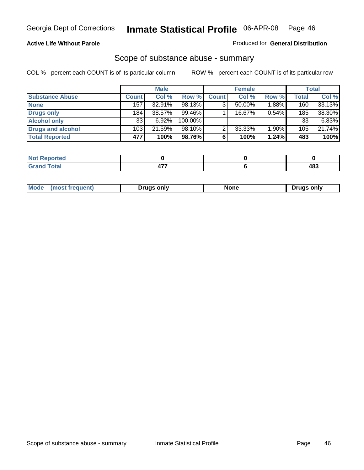#### **Active Life Without Parole**

#### Produced for **General Distribution**

### Scope of substance abuse - summary

|                        |                  | <b>Male</b> |            |              | <b>Female</b> |          |              | <b>Total</b> |
|------------------------|------------------|-------------|------------|--------------|---------------|----------|--------------|--------------|
| <b>Substance Abuse</b> | <b>Count</b>     | Col %       | Row %      | <b>Count</b> | Col %         | Row %    | <b>Total</b> | Col %        |
| <b>None</b>            | 157              | 32.91%      | 98.13%     | ◠            | $50.00\%$     | $1.88\%$ | 160          | 33.13%       |
| Drugs only             | 184 <sub>1</sub> | 38.57%      | $99.46\%$  |              | 16.67%        | 0.54%    | 185          | 38.30%       |
| <b>Alcohol only</b>    | 33               | 6.92%       | $100.00\%$ |              |               |          | 33           | $6.83\%$     |
| Drugs and alcohol      | 103              | 21.59%      | $98.10\%$  | ◠            | 33.33%        | 1.90%    | 105          | 21.74%       |
| <b>Total Reported</b>  | 477              | 100%        | 98.76%     | 6            | 100%          | 1.24%    | 483          | 100%         |

| <b>Reported</b><br>    |  |            |
|------------------------|--|------------|
| <b>Total</b><br>$\sim$ |  | 483<br>- - |

|  | Mode<br>ונוצוווי | Druas onlv | None | only<br>Pruas . |
|--|------------------|------------|------|-----------------|
|--|------------------|------------|------|-----------------|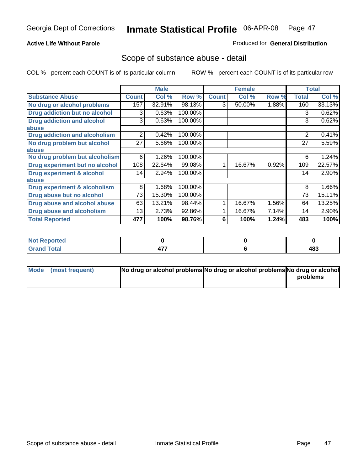#### **Active Life Without Parole**

#### Produced for **General Distribution**

### Scope of substance abuse - detail

|                                         |              | <b>Male</b> |         |              | <b>Female</b> |       |                | <b>Total</b> |
|-----------------------------------------|--------------|-------------|---------|--------------|---------------|-------|----------------|--------------|
| <b>Substance Abuse</b>                  | <b>Count</b> | Col %       | Row %   | <b>Count</b> | Col %         | Row % | <b>Total</b>   | Col %        |
| No drug or alcohol problems             | 157          | 32.91%      | 98.13%  | 3            | 50.00%        | 1.88% | 160            | 33.13%       |
| <b>Drug addiction but no alcohol</b>    | 3            | 0.63%       | 100.00% |              |               |       | 3              | 0.62%        |
| <b>Drug addiction and alcohol</b>       | 3            | 0.63%       | 100.00% |              |               |       | 3              | 0.62%        |
| abuse                                   |              |             |         |              |               |       |                |              |
| <b>Drug addiction and alcoholism</b>    | 2            | 0.42%       | 100.00% |              |               |       | $\overline{2}$ | 0.41%        |
| No drug problem but alcohol             | 27           | 5.66%       | 100.00% |              |               |       | 27             | 5.59%        |
| abuse                                   |              |             |         |              |               |       |                |              |
| No drug problem but alcoholism          | 6            | 1.26%       | 100.00% |              |               |       | 6              | 1.24%        |
| Drug experiment but no alcohol          | 108          | 22.64%      | 99.08%  |              | 16.67%        | 0.92% | 109            | 22.57%       |
| <b>Drug experiment &amp; alcohol</b>    | 14           | 2.94%       | 100.00% |              |               |       | 14             | 2.90%        |
| abuse                                   |              |             |         |              |               |       |                |              |
| <b>Drug experiment &amp; alcoholism</b> | 8            | 1.68%       | 100.00% |              |               |       | 8              | 1.66%        |
| Drug abuse but no alcohol               | 73           | 15.30%      | 100.00% |              |               |       | 73             | 15.11%       |
| Drug abuse and alcohol abuse            | 63           | 13.21%      | 98.44%  |              | 16.67%        | 1.56% | 64             | 13.25%       |
| <b>Drug abuse and alcoholism</b>        | 13           | 2.73%       | 92.86%  |              | 16.67%        | 7.14% | 14             | 2.90%        |
| <b>Total Reported</b>                   | 477          | 100%        | 98.76%  | 6            | 100%          | 1.24% | 483            | 100%         |

| ∣Not Reported          |                     |     |
|------------------------|---------------------|-----|
| <b>Total</b><br>$\sim$ | ----<br>- <b>11</b> | 483 |

| Mode (most frequent) | No drug or alcohol problems No drug or alcohol problems No drug or alcohol |          |
|----------------------|----------------------------------------------------------------------------|----------|
|                      |                                                                            | problems |
|                      |                                                                            |          |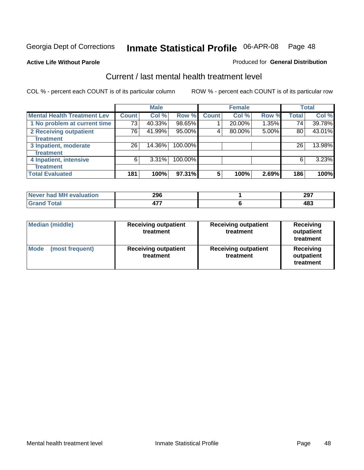#### **Active Life Without Parole**

#### Produced for **General Distribution**

### Current / last mental health treatment level

|                                    |              | <b>Male</b> |         |              | <b>Female</b> |          |              | <b>Total</b> |
|------------------------------------|--------------|-------------|---------|--------------|---------------|----------|--------------|--------------|
| <b>Mental Health Treatment Lev</b> | <b>Count</b> | Col %       | Row %   | <b>Count</b> | Col %         | Row %    | <b>Total</b> | Col %        |
| 1 No problem at current time       | 73           | 40.33%      | 98.65%  |              | 20.00%        | $1.35\%$ | 74           | 39.78%       |
| 2 Receiving outpatient             | 76           | 41.99%      | 95.00%  | 4            | 80.00%        | 5.00%    | 80           | 43.01%       |
| treatment                          |              |             |         |              |               |          |              |              |
| 3 Inpatient, moderate              | 26           | 14.36%      | 100.00% |              |               |          | 26           | 13.98%       |
| treatment                          |              |             |         |              |               |          |              |              |
| 4 Inpatient, intensive             | 6            | 3.31%       | 100.00% |              |               |          | 6            | 3.23%        |
| treatment                          |              |             |         |              |               |          |              |              |
| <b>Total Evaluated</b>             | 181          | 100%        | 97.31%  | 5            | 100%          | 2.69%    | 186          | 100%         |

| Never had MH evaluation | 296 | 207<br>291 |
|-------------------------|-----|------------|
| Total                   |     | 100<br>שי  |

| <b>Median (middle)</b>         | <b>Receiving outpatient</b><br>treatment | <b>Receiving outpatient</b><br>treatment | <b>Receiving</b><br>outpatient<br>treatment |
|--------------------------------|------------------------------------------|------------------------------------------|---------------------------------------------|
| <b>Mode</b><br>(most frequent) | <b>Receiving outpatient</b><br>treatment | <b>Receiving outpatient</b><br>treatment | Receiving<br>outpatient<br>treatment        |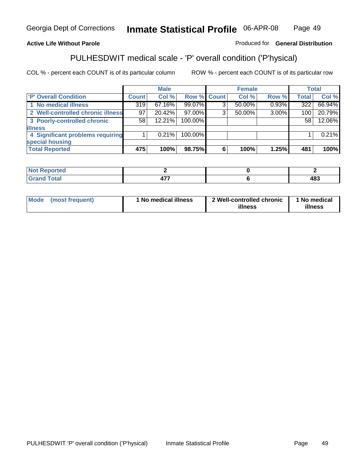### **Active Life Without Parole**

### Produced for **General Distribution**

# PULHESDWIT medical scale - 'P' overall condition ('P'hysical)

|                                   |                 | <b>Male</b> |             |   | <b>Female</b> |       |              | <b>Total</b> |
|-----------------------------------|-----------------|-------------|-------------|---|---------------|-------|--------------|--------------|
| 'P' Overall Condition             | Count l         | Col %       | Row % Count |   | Col %         | Row % | <b>Total</b> | Col %        |
| 1 No medical illness              | 319             | 67.16%      | 99.07%      | ົ | 50.00%        | 0.93% | 322          | 66.94%       |
| 2 Well-controlled chronic illness | 97 <sup>1</sup> | 20.42%      | 97.00%      | 3 | 50.00%        | 3.00% | 100          | 20.79%       |
| 3 Poorly-controlled chronic       | 58              | 12.21%      | 100.00%     |   |               |       | 58           | 12.06%       |
| <b>illness</b>                    |                 |             |             |   |               |       |              |              |
| 4 Significant problems requiring  |                 | $0.21\%$    | 100.00%     |   |               |       |              | 0.21%        |
| special housing                   |                 |             |             |   |               |       |              |              |
| <b>Total Reported</b>             | 475             | 100%        | 98.75%      |   | 100%          | 1.25% | 481          | 100%         |

| Not Reported |                      |            |
|--------------|----------------------|------------|
| <b>otal</b>  | ----<br>$\mathbf{r}$ | 102<br>40ა |

| Mode (most frequent) |  | 1 No medical illness | 2 Well-controlled chronic<br>illness | 1 No medical<br>illness |
|----------------------|--|----------------------|--------------------------------------|-------------------------|
|----------------------|--|----------------------|--------------------------------------|-------------------------|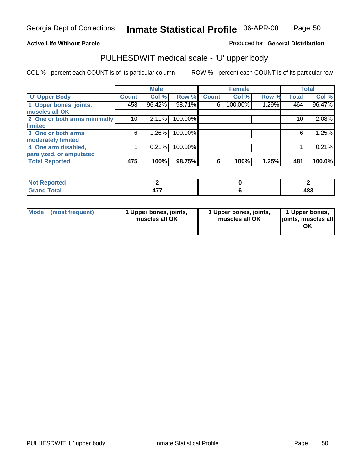### **Active Life Without Parole**

Produced for **General Distribution**

# PULHESDWIT medical scale - 'U' upper body

|                              |                    | <b>Male</b> |         |              | <b>Female</b> |       |              | <b>Total</b> |
|------------------------------|--------------------|-------------|---------|--------------|---------------|-------|--------------|--------------|
| <b>U' Upper Body</b>         | Count <sup>1</sup> | Col %       | Row %   | <b>Count</b> | Col %         | Row % | <b>Total</b> | Col %        |
| 1 Upper bones, joints,       | 458                | 96.42%      | 98.71%  | 6            | 100.00%       | 1.29% | 464          | 96.47%       |
| muscles all OK               |                    |             |         |              |               |       |              |              |
| 2 One or both arms minimally | 10                 | 2.11%       | 100.00% |              |               |       | 10           | 2.08%        |
| limited                      |                    |             |         |              |               |       |              |              |
| 3 One or both arms           | 6                  | 1.26%       | 100.00% |              |               |       | 6            | 1.25%        |
| moderately limited           |                    |             |         |              |               |       |              |              |
| 4 One arm disabled,          |                    | 0.21%       | 100.00% |              |               |       |              | 0.21%        |
| paralyzed, or amputated      |                    |             |         |              |               |       |              |              |
| <b>Total Reported</b>        | 475                | 100%        | 98.75%  | 6            | 100%          | 1.25% | 481          | 100.0%       |

| <b>Not</b><br>Reported<br>$\sim$ |                |     |
|----------------------------------|----------------|-----|
| <b>Total</b>                     | $\overline{a}$ | 483 |

|  | Mode (most frequent) | 1 Upper bones, joints,<br>muscles all OK | 1 Upper bones, joints,<br>muscles all OK | 1 Upper bones,<br>joints, muscles all<br>OK |
|--|----------------------|------------------------------------------|------------------------------------------|---------------------------------------------|
|--|----------------------|------------------------------------------|------------------------------------------|---------------------------------------------|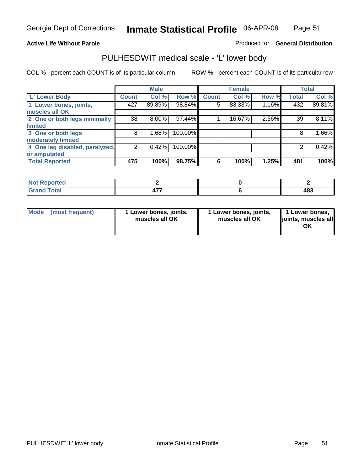#### **Active Life Without Parole**

#### Produced for **General Distribution**

### PULHESDWIT medical scale - 'L' lower body

|                                |                | <b>Male</b> |           |              | <b>Female</b> |       |              | <b>Total</b> |
|--------------------------------|----------------|-------------|-----------|--------------|---------------|-------|--------------|--------------|
| 'L' Lower Body                 | <b>Count</b>   | Col %       | Row %     | <b>Count</b> | Col %         | Row % | <b>Total</b> | Col %        |
| 1 Lower bones, joints,         | 427            | 89.89%      | 98.84%    | 5            | 83.33%        | 1.16% | 432          | 89.81%       |
| muscles all OK                 |                |             |           |              |               |       |              |              |
| 2 One or both legs minimally   | 38             | $8.00\%$    | $97.44\%$ |              | 16.67%        | 2.56% | 39           | 8.11%        |
| limited                        |                |             |           |              |               |       |              |              |
| 3 One or both legs             | 8              | 1.68%       | 100.00%   |              |               |       | 8            | 1.66%        |
| moderately limited             |                |             |           |              |               |       |              |              |
| 4 One leg disabled, paralyzed, | $\overline{2}$ | 0.42%       | 100.00%   |              |               |       | 2            | 0.42%        |
| or amputated                   |                |             |           |              |               |       |              |              |
| <b>Total Reported</b>          | 475            | 100%        | 98.75%    | 6            | 100%          | 1.25% | 481          | 100%         |

| <b>rted</b><br>N                     |                     |     |
|--------------------------------------|---------------------|-----|
| $f \wedge f \wedge f$<br>ι υιαι<br>. | $\overline{a}$<br>. | 483 |

|  | Mode (most frequent) | 1 Lower bones, joints,<br>muscles all OK | 1 Lower bones, joints,<br>muscles all OK | 1 Lower bones,<br>joints, muscles all<br>OK |
|--|----------------------|------------------------------------------|------------------------------------------|---------------------------------------------|
|--|----------------------|------------------------------------------|------------------------------------------|---------------------------------------------|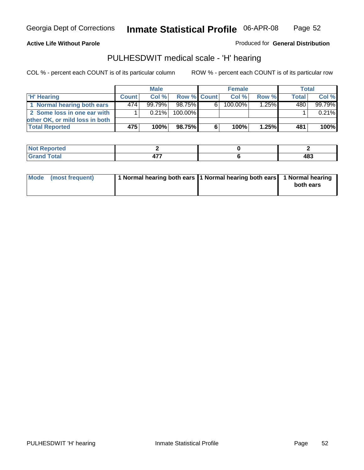#### **Active Life Without Parole**

Produced for **General Distribution**

### PULHESDWIT medical scale - 'H' hearing

|                                |              | <b>Male</b> |             | <b>Female</b> |            |       | Total        |         |
|--------------------------------|--------------|-------------|-------------|---------------|------------|-------|--------------|---------|
| 'H' Hearing                    | <b>Count</b> | Col%        | Row % Count |               | Col%       | Row % | <b>Total</b> | Col %   |
| 1 Normal hearing both ears     | 474          | $99.79\%$   | 98.75%      | 6             | $100.00\%$ | 1.25% | 480          | 99.79%  |
| 2 Some loss in one ear with    |              | $0.21\%$    | 100.00%     |               |            |       |              | 0.21%   |
| other OK, or mild loss in both |              |             |             |               |            |       |              |         |
| <b>Total Reported</b>          | 475          | 100%        | 98.75%      | 6             | 100%       | 1.25% | 481          | $100\%$ |

| orted<br>NI. |       |            |
|--------------|-------|------------|
| 'ota.        | $  -$ | 102<br>40ა |

| Mode (most frequent) | 1 Normal hearing both ears 1 Normal hearing both ears 1 Normal hearing | both ears |
|----------------------|------------------------------------------------------------------------|-----------|
|                      |                                                                        |           |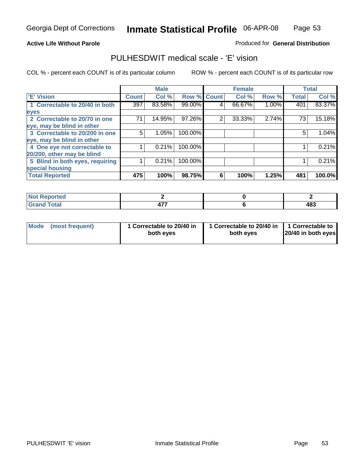### Page 53

#### **Active Life Without Parole**

#### Produced for **General Distribution**

### PULHESDWIT medical scale - 'E' vision

|                                 |              | <b>Male</b> |                    |   | <b>Female</b> |       |              | <b>Total</b> |
|---------------------------------|--------------|-------------|--------------------|---|---------------|-------|--------------|--------------|
| 'E' Vision                      | <b>Count</b> | Col %       | <b>Row % Count</b> |   | Col %         | Row % | <b>Total</b> | Col %        |
| 1 Correctable to 20/40 in both  | 397          | 83.58%      | 99.00%             | 4 | 66.67%        | 1.00% | 401          | 83.37%       |
| eyes                            |              |             |                    |   |               |       |              |              |
| 2 Correctable to 20/70 in one   | 71           | 14.95%      | 97.26%             | 2 | 33.33%        | 2.74% | 73           | 15.18%       |
| eye, may be blind in other      |              |             |                    |   |               |       |              |              |
| 3 Correctable to 20/200 in one  | 5            | 1.05%       | 100.00%            |   |               |       | 5            | 1.04%        |
| eye, may be blind in other      |              |             |                    |   |               |       |              |              |
| 4 One eye not correctable to    |              | 0.21%       | 100.00%            |   |               |       |              | 0.21%        |
| 20/200, other may be blind      |              |             |                    |   |               |       |              |              |
| 5 Blind in both eyes, requiring |              | 0.21%       | 100.00%            |   |               |       |              | 0.21%        |
| special housing                 |              |             |                    |   |               |       |              |              |
| <b>Total Reported</b>           | 475          | 100%        | 98.75%             | 6 | 100%          | 1.25% | 481          | 100.0%       |

| ντιεα<br>$\cdots$   |     |     |
|---------------------|-----|-----|
| $^{\sim}$<br>------ | --- | 483 |

| <b>Mode</b>     | 1 Correctable to 20/40 in | 1 Correctable to 20/40 in   1 Correctable to | 20/40 in both eyes |
|-----------------|---------------------------|----------------------------------------------|--------------------|
| (most frequent) | both eyes                 | both eves                                    |                    |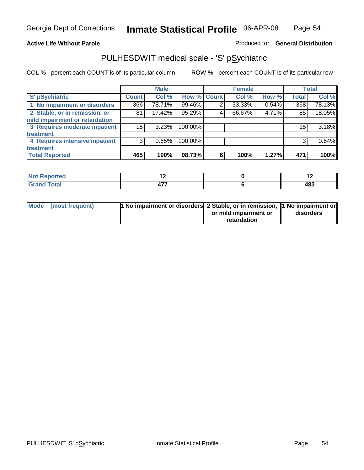#### **Active Life Without Parole**

### Produced for **General Distribution**

### PULHESDWIT medical scale - 'S' pSychiatric

|                                |              | <b>Male</b> |             |   | <b>Female</b> |       |              | <b>Total</b> |
|--------------------------------|--------------|-------------|-------------|---|---------------|-------|--------------|--------------|
| 'S' pSychiatric                | <b>Count</b> | Col %       | Row % Count |   | Col %         | Row % | <b>Total</b> | Col %        |
| 1 No impairment or disorders   | 366          | 78.71%      | 99.46%      | 2 | 33.33%        | 0.54% | 368          | 78.13%       |
| 2 Stable, or in remission, or  | 81           | 17.42%      | 95.29%      | 4 | 66.67%        | 4.71% | 85           | 18.05%       |
| mild impairment or retardation |              |             |             |   |               |       |              |              |
| 3 Requires moderate inpatient  | 15           | 3.23%       | 100.00%     |   |               |       | 15           | 3.18%        |
| treatment                      |              |             |             |   |               |       |              |              |
| 4 Requires intensive inpatient | 3            | 0.65%       | 100.00%     |   |               |       |              | 0.64%        |
| treatment                      |              |             |             |   |               |       |              |              |
| <b>Total Reported</b>          | 465          | 100%        | 98.73%      | 6 | 100%          | 1.27% | 471          | 100%         |

| المناسب<br>prted<br>.<br>. | . .                                  |                      |
|----------------------------|--------------------------------------|----------------------|
| <b>otal</b><br>$-1$ - $-1$ | $\overline{\phantom{a}}$<br>. .<br>. | $AB^{\sigma}$<br>10, |

| Mode (most frequent) | 1 No impairment or disorders 2 Stable, or in remission, 11 No impairment or |                       |           |
|----------------------|-----------------------------------------------------------------------------|-----------------------|-----------|
|                      |                                                                             | or mild impairment or | disorders |
|                      |                                                                             | retardation           |           |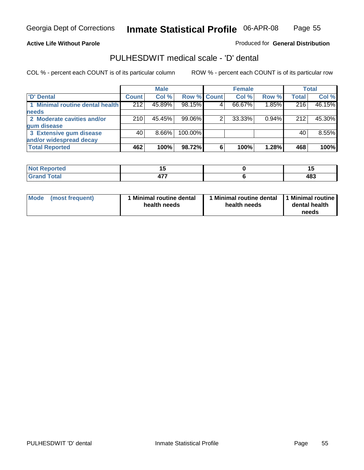Page 55

#### **Active Life Without Parole**

Produced for **General Distribution**

### PULHESDWIT medical scale - 'D' dental

|                                 |       | <b>Male</b> |             |   | <b>Female</b> |          |              | <b>Total</b> |
|---------------------------------|-------|-------------|-------------|---|---------------|----------|--------------|--------------|
| <b>D'</b> Dental                | Count | Col %       | Row % Count |   | Col %         | Row %    | <b>Total</b> | Col %        |
| 1 Minimal routine dental health | 212   | 45.89%      | 98.15%      |   | 66.67%        | 1.85%    | 216          | 46.15%       |
| <b>needs</b>                    |       |             |             |   |               |          |              |              |
| 2 Moderate cavities and/or      | 210   | 45.45%      | 99.06%      |   | 33.33%        | $0.94\%$ | 212          | 45.30%       |
| gum disease                     |       |             |             |   |               |          |              |              |
| 3 Extensive gum disease         | 40    | $8.66\%$    | 100.00%     |   |               |          | 40           | 8.55%        |
| and/or widespread decay         |       |             |             |   |               |          |              |              |
| <b>Total Reported</b>           | 462   | 100%        | 98.72%      | 6 | 100%          | 1.28%    | 468          | 100%         |

| <b>rted</b><br>N          | י י<br>$\sim$ |     |
|---------------------------|---------------|-----|
| $\sim$ $\sim$ $\sim$<br>. | 177<br>477    | 483 |

| Mode (most frequent) | <b>Minimal routine dental</b><br>health needs | 1 Minimal routine dental<br>health needs | 1 Minimal routine<br>dental health<br>needs |
|----------------------|-----------------------------------------------|------------------------------------------|---------------------------------------------|
|----------------------|-----------------------------------------------|------------------------------------------|---------------------------------------------|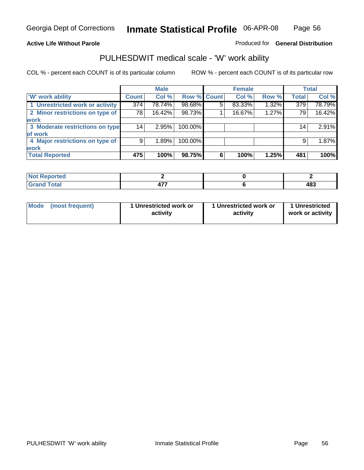### **Active Life Without Parole**

### Produced for **General Distribution**

### PULHESDWIT medical scale - 'W' work ability

|                                 |              | <b>Male</b> |             |   | <b>Female</b> |       |                 | <b>Total</b> |
|---------------------------------|--------------|-------------|-------------|---|---------------|-------|-----------------|--------------|
| <b>W' work ability</b>          | <b>Count</b> | Col %       | Row % Count |   | Col %         | Row % | <b>Total</b>    | Col %        |
| 1 Unrestricted work or activity | 374          | 78.74%      | 98.68%      | 5 | 83.33%        | 1.32% | 379             | 78.79%       |
| 2 Minor restrictions on type of | 78           | 16.42%      | 98.73%      |   | 16.67%        | 1.27% | 79              | 16.42%       |
| <b>work</b>                     |              |             |             |   |               |       |                 |              |
| 3 Moderate restrictions on type | 14           | 2.95%       | 100.00%     |   |               |       | 14 <sub>1</sub> | 2.91%        |
| of work                         |              |             |             |   |               |       |                 |              |
| 4 Major restrictions on type of | 9            | 1.89%       | 100.00%     |   |               |       | 9               | 1.87%        |
| <b>work</b>                     |              |             |             |   |               |       |                 |              |
| <b>Total Reported</b>           | 475          | 100%        | 98.75%      | 6 | 100%          | 1.25% | 481             | 100%         |

| <b>eported</b><br>. |                        |     |
|---------------------|------------------------|-----|
| <b>fotal</b><br>--  | $\overline{a}$<br>$ -$ | 483 |

| Mode            | 1 Unrestricted work or | 1 Unrestricted work or | 1 Unrestricted   |
|-----------------|------------------------|------------------------|------------------|
| (most frequent) | activity               | activity               | work or activity |
|                 |                        |                        |                  |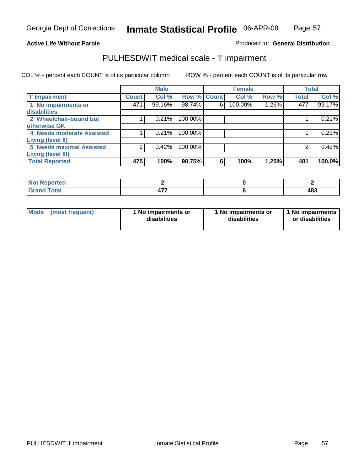#### **Active Life Without Parole**

#### Produced for **General Distribution**

### PULHESDWIT medical scale - 'I' impairment

|                                 |              | <b>Male</b> |                    |   | <b>Female</b> |          |              | <b>Total</b> |
|---------------------------------|--------------|-------------|--------------------|---|---------------|----------|--------------|--------------|
| <b>T' Impairment</b>            | <b>Count</b> | Col %       | <b>Row % Count</b> |   | Col %         | Row %    | <b>Total</b> | Col %        |
| 1 No impairments or             | 471          | 99.16%      | 98.74%             | 6 | 100.00%       | $1.26\%$ | 477          | 99.17%       |
| disabilities                    |              |             |                    |   |               |          |              |              |
| 2 Wheelchair-bound but          |              | 0.21%       | 100.00%            |   |               |          |              | 0.21%        |
| otherwise OK                    |              |             |                    |   |               |          |              |              |
| 4 Needs moderate Assisted       |              | 0.21%       | 100.00%            |   |               |          |              | 0.21%        |
| Living (level II)               |              |             |                    |   |               |          |              |              |
| <b>5 Needs maximal Assisted</b> | າ            | 0.42%       | 100.00%            |   |               |          |              | 0.42%        |
| <b>Living (level III)</b>       |              |             |                    |   |               |          |              |              |
| <b>Total Reported</b>           | 475          | 100%        | 98.75%             | 6 | 100%          | 1.25%    | 481          | 100.0%       |

| Not Reported         |             |            |
|----------------------|-------------|------------|
| <b>Total</b><br>Grar | ---<br>TI . | 402<br>יט- |

| <b>Mode</b> | (most frequent) | 1 No impairments or<br>disabilities | 1 No impairments or<br>disabilities | 1 No impairments<br>or disabilities |
|-------------|-----------------|-------------------------------------|-------------------------------------|-------------------------------------|
|-------------|-----------------|-------------------------------------|-------------------------------------|-------------------------------------|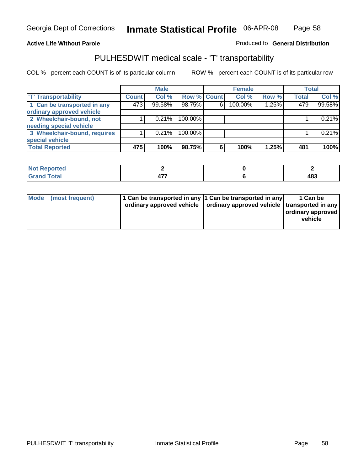#### **Inmate Statistical Profile** 06-APR-08 Page Page 58

### **Active Life Without Parole Produced fo Seneral Distribution**

### PULHESDWIT medical scale - 'T' transportability

|                              |              | <b>Male</b> |                    |   | <b>Female</b> |       |              | <b>Total</b> |
|------------------------------|--------------|-------------|--------------------|---|---------------|-------|--------------|--------------|
| <b>T' Transportability</b>   | <b>Count</b> | Col %       | <b>Row % Count</b> |   | Col %         | Row % | <b>Total</b> | Col %        |
| 1 Can be transported in any  | 473          | 99.58%      | 98.75%             | 6 | 100.00%       | 1.25% | 479          | 99.58%       |
| ordinary approved vehicle    |              |             |                    |   |               |       |              |              |
| 2 Wheelchair-bound, not      |              | 0.21%       | 100.00%            |   |               |       |              | 0.21%        |
| needing special vehicle      |              |             |                    |   |               |       |              |              |
| 3 Wheelchair-bound, requires |              | 0.21%       | 100.00%            |   |               |       |              | 0.21%        |
| special vehicle              |              |             |                    |   |               |       |              |              |
| <b>Total Reported</b>        | 475          | 100%        | 98.75%             | 6 | 100%          | 1.25% | 481          | 100%         |

| <b>Reported</b><br>NOT<br>         |      |                     |
|------------------------------------|------|---------------------|
| <b>otal</b><br>$\sim$ 0.000 $\sim$ | ---- | 10 C<br>70c<br>$ -$ |

| Mode (most frequent) | 1 Can be transported in any 1 Can be transported in any | ordinary approved vehicle   ordinary approved vehicle   transported in any | 1 Can be<br>  ordinary approved  <br>vehicle |
|----------------------|---------------------------------------------------------|----------------------------------------------------------------------------|----------------------------------------------|
|----------------------|---------------------------------------------------------|----------------------------------------------------------------------------|----------------------------------------------|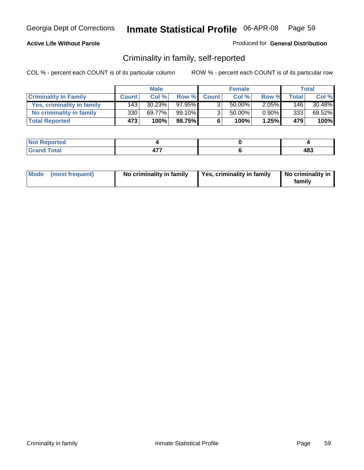#### **Active Life Without Parole**

#### Produced for **General Distribution**

### Criminality in family, self-reported

|                              |                  | <b>Male</b> |        |                | <b>Female</b> |          |              | Total  |
|------------------------------|------------------|-------------|--------|----------------|---------------|----------|--------------|--------|
| <b>Criminality In Family</b> | <b>Count</b>     | Col %       | Row %  | <b>Count</b>   | Col %         | Row %    | <b>Total</b> | Col %  |
| Yes, criminality in family   | 143              | 30.23%      | 97.95% | 3              | 50.00%        | $2.05\%$ | 146          | 30.48% |
| No criminality in family     | 330              | 69.77%      | 99.10% | 3 <sub>1</sub> | 50.00%        | $0.90\%$ | 333          | 69.52% |
| <b>Total Reported</b>        | 473 <sup>1</sup> | 100%        | 98.75% | 6              | 100%          | 1.25%    | 479          | 100%   |

| ported<br><b>NOT</b><br><b>IJCI</b> |     |     |
|-------------------------------------|-----|-----|
| $\sim$<br>Gran<br>-----             | --- | 483 |

| Mode (most frequent) |  | No criminality in family | Yes, criminality in family | No criminality in<br>family |
|----------------------|--|--------------------------|----------------------------|-----------------------------|
|----------------------|--|--------------------------|----------------------------|-----------------------------|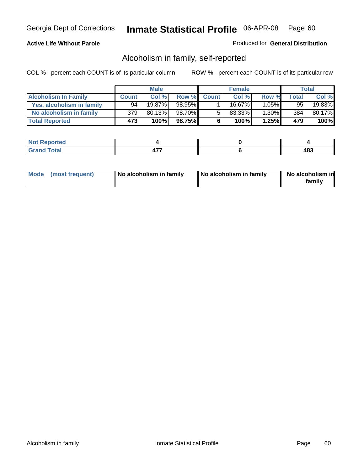#### **Active Life Without Parole**

#### Produced for **General Distribution**

### Alcoholism in family, self-reported

|                             |              | <b>Male</b> |        |              | <b>Female</b> |          |       | Total  |
|-----------------------------|--------------|-------------|--------|--------------|---------------|----------|-------|--------|
| <b>Alcoholism In Family</b> | <b>Count</b> | Col %       | Row %  | <b>Count</b> | Col %         | Row %    | Total | Col %  |
| Yes, alcoholism in family   | 94           | 19.87%      | 98.95% |              | 16.67%        | $1.05\%$ | 95    | 19.83% |
| No alcoholism in family     | 379          | 80.13%      | 98.70% | 5            | 83.33%        | $1.30\%$ | 384   | 80.17% |
| <b>Total Reported</b>       | 473          | 100%        | 98.75% | 6            | 100%          | 1.25%    | 479   | 100%   |

| oorted<br><b>NOT</b><br><b>IJCI</b> |                |            |
|-------------------------------------|----------------|------------|
| <b>c</b> otal<br>Gran<br>$\sim$     | $\overline{a}$ | 102<br>≖∪⊽ |

|  | Mode (most frequent) | No alcoholism in family | No alcoholism in family | No alcoholism in<br>familv |
|--|----------------------|-------------------------|-------------------------|----------------------------|
|--|----------------------|-------------------------|-------------------------|----------------------------|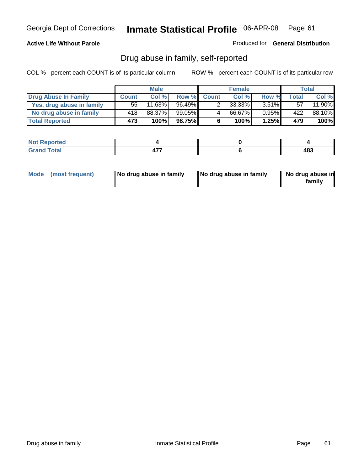#### **Active Life Without Parole**

Produced for **General Distribution**

### Drug abuse in family, self-reported

|                           |              | <b>Male</b>            |           |              | <b>Female</b> |          |       | <b>Total</b> |
|---------------------------|--------------|------------------------|-----------|--------------|---------------|----------|-------|--------------|
| Drug Abuse In Family      | <b>Count</b> | Col %                  | Row %     | <b>Count</b> | Col %         | Row %    | Total | Col %        |
| Yes, drug abuse in family | 55           | $11.\overline{63\%}$ i | 96.49%    |              | 33.33%        | $3.51\%$ | 57    | 11.90%       |
| No drug abuse in family   | 418'         | 88.37%                 | $99.05\%$ | 4            | 66.67%        | $0.95\%$ | 422   | 88.10%       |
| <b>Total Reported</b>     | 473          | 100%                   | 98.75%    | 6            | 100%          | 1.25%    | 479   | 100%         |

| oorted<br><b>NOT</b><br><b>IJCI</b> |                |            |
|-------------------------------------|----------------|------------|
| <b>Total</b><br>Gran<br>$\sim$      | $\overline{a}$ | 102<br>≖∪⊽ |

|  | Mode (most frequent) | No drug abuse in family | No drug abuse in family | No drug abuse in<br>family |
|--|----------------------|-------------------------|-------------------------|----------------------------|
|--|----------------------|-------------------------|-------------------------|----------------------------|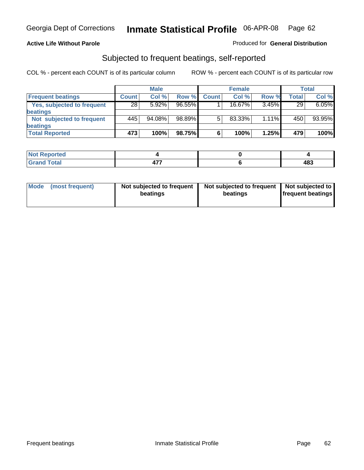#### **Active Life Without Parole**

#### Produced for **General Distribution**

### Subjected to frequent beatings, self-reported

|                            |              | <b>Male</b> |           |              | <b>Female</b> |       |              | Total  |
|----------------------------|--------------|-------------|-----------|--------------|---------------|-------|--------------|--------|
| <b>Frequent beatings</b>   | <b>Count</b> | Col%        | Row %     | <b>Count</b> | Col%          | Row % | <b>Total</b> | Col %  |
| Yes, subjected to frequent | 28           | 5.92%       | $96.55\%$ |              | $16.67\%$     | 3.45% | 29           | 6.05%  |
| beatings                   |              |             |           |              |               |       |              |        |
| Not subjected to frequent  | 445          | 94.08%      | 98.89%    | 5            | 83.33%        | 1.11% | 450          | 93.95% |
| beatings                   |              |             |           |              |               |       |              |        |
| <b>Total Reported</b>      | 473          | 100%        | 98.75%    | 6            | 100%          | 1.25% | 479          | 100%   |

| <b>Not Reported</b>   |     |     |
|-----------------------|-----|-----|
| Total<br>Cror<br>υιαι | --- | ៱៰៰ |

| Mode<br>(most frequent) | beatings | Not subjected to frequent | Not subjected to frequent<br>beatings | Not subjected to<br><b>frequent beatings</b> |
|-------------------------|----------|---------------------------|---------------------------------------|----------------------------------------------|
|                         |          |                           |                                       |                                              |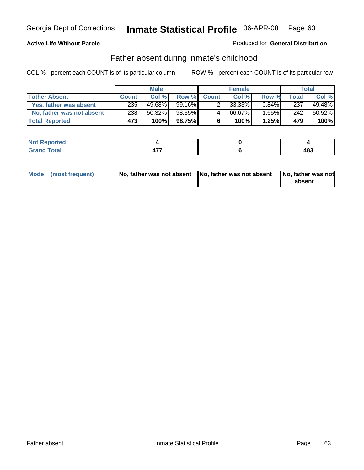#### **Active Life Without Parole**

#### Produced for **General Distribution**

### Father absent during inmate's childhood

|                           |              | <b>Male</b> |          |              | <b>Female</b> |          |       | Total  |
|---------------------------|--------------|-------------|----------|--------------|---------------|----------|-------|--------|
| <b>Father Absent</b>      | <b>Count</b> | Col%        | Row %    | <b>Count</b> | Col %         | Row %    | Total | Col %  |
| Yes, father was absent    | 235          | 49.68%      | 99.16% ∎ |              | 33.33%        | $0.84\%$ | 237   | 49.48% |
| No, father was not absent | 238          | 50.32%      | 98.35%   | 4            | 66.67%        | $1.65\%$ | 242   | 50.52% |
| <b>Total Reported</b>     | 473          | 100%        | 98.75%I  | 6            | 100%          | 1.25%    | 479′  | 100%   |

| <b>Not Reported</b>   |     |     |
|-----------------------|-----|-----|
| <b>Total</b><br>Grant | --- | 483 |

| Mode (most frequent) |  | 「No, father was not absent ┃No, father was not absent ┃No, father was not | absent |
|----------------------|--|---------------------------------------------------------------------------|--------|
|----------------------|--|---------------------------------------------------------------------------|--------|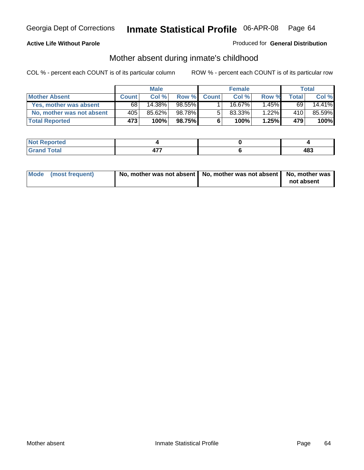#### **Active Life Without Parole**

#### Produced for **General Distribution**

# Mother absent during inmate's childhood

|                           |              | <b>Male</b> |        |              | <b>Female</b> |          |       | Total  |
|---------------------------|--------------|-------------|--------|--------------|---------------|----------|-------|--------|
| <b>Mother Absent</b>      | <b>Count</b> | Col %       | Row %  | <b>Count</b> | Col %         | Row %    | Total | Col %  |
| Yes, mother was absent    | 68 I         | 14.38%      | 98.55% |              | 16.67%        | $1.45\%$ | 69    | 14.41% |
| No, mother was not absent | 405          | 85.62%      | 98.78% | 5            | $83.33\%$     | 1.22%    | 410   | 85.59% |
| <b>Total Reported</b>     | 473'         | 100%        | 98.75% | 6            | 100%          | $1.25\%$ | 479   | 100%   |

| <b>Not Reported</b>   |     |     |
|-----------------------|-----|-----|
| <b>Total</b><br>Grant | --- | 483 |

| Mode (most frequent) | No, mother was not absent $\vert$ No, mother was not absent $\vert$ No, mother was | not absent |
|----------------------|------------------------------------------------------------------------------------|------------|
|                      |                                                                                    |            |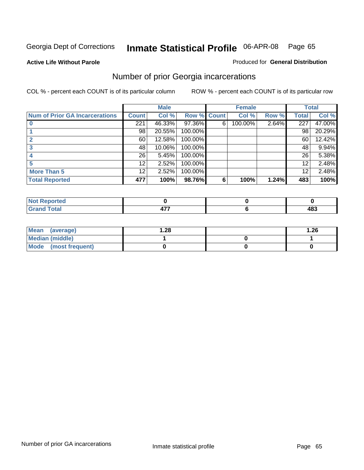**Active Life Without Parole** 

#### Produced for **General Distribution**

# Number of prior Georgia incarcerations

|                                |              | <b>Male</b> |         |              | <b>Female</b> |       |       | <b>Total</b> |
|--------------------------------|--------------|-------------|---------|--------------|---------------|-------|-------|--------------|
| Num of Prior GA Incarcerations | <b>Count</b> | Col %       | Row %   | <b>Count</b> | Col %         | Row % | Total | Col %        |
|                                | 221          | 46.33%      | 97.36%  | 6            | 100.00%       | 2.64% | 227   | 47.00%       |
|                                | 98           | 20.55%      | 100.00% |              |               |       | 98    | 20.29%       |
|                                | 60           | 12.58%      | 100.00% |              |               |       | 60    | 12.42%       |
|                                | 48           | 10.06%      | 100.00% |              |               |       | 48    | 9.94%        |
|                                | 26           | 5.45%       | 100.00% |              |               |       | 26    | 5.38%        |
|                                | 12           | 2.52%       | 100.00% |              |               |       | 12    | 2.48%        |
| <b>More Than 5</b>             | 12           | 2.52%       | 100.00% |              |               |       | 12    | 2.48%        |
| <b>Total Reported</b>          | 477          | 100%        | 98.76%  | 6            | 100%          | 1.24% | 483   | 100%         |

| .<br>тео<br>w |   |            |
|---------------|---|------------|
| $\sim$        | . | 100<br>40J |

| Mean (average)       | 28. ا | .26 |
|----------------------|-------|-----|
| Median (middle)      |       |     |
| Mode (most frequent) |       |     |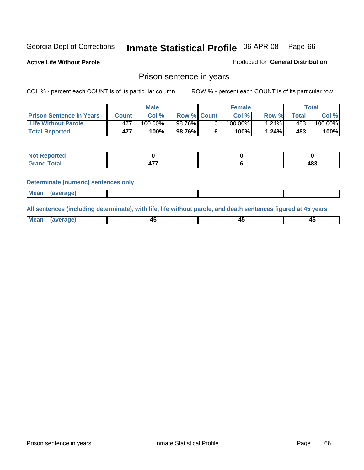**Active Life Without Parole** 

Produced for **General Distribution**

### Prison sentence in years

COL % - percent each COUNT is of its particular column ROW % - percent each COUNT is of its particular row

|                                 | <b>Male</b> |            |                    | <b>Female</b> |            |       | Total |         |
|---------------------------------|-------------|------------|--------------------|---------------|------------|-------|-------|---------|
| <b>Prison Sentence In Years</b> | Count       | Col %1     | <b>Row % Count</b> |               | Col %      | Row % | Total | Col %   |
| <b>Life Without Parole</b>      |             | $100.00\%$ | 98.76%             |               | $100.00\%$ | .24%  | 483'  | 100.00% |
| <b>Total Reported</b>           | 477         | 100%       | 98.76%             |               | 100%       | 1.24% | 483   | 100%    |

| <b>eported</b>                   |     |     |
|----------------------------------|-----|-----|
| <b>Total</b><br>$\mathbf{v}$ and | --- | 483 |

#### **Determinate (numeric) sentences only**

|--|

**All sentences (including determinate), with life, life without parole, and death sentences figured at 45 years**

| Me:<br>апет<br>.<br>᠇<br>$\sim$ | -- | т.<br>$\sim$ |
|---------------------------------|----|--------------|
|---------------------------------|----|--------------|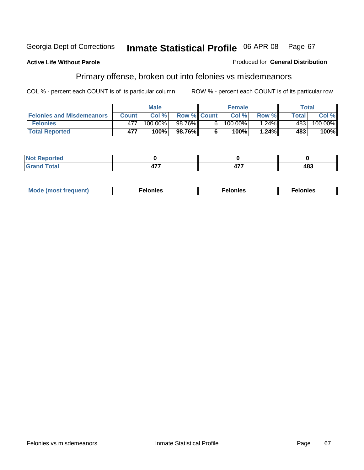#### **Active Life Without Parole**

#### Produced for **General Distribution**

# Primary offense, broken out into felonies vs misdemeanors

|                                  | <b>Male</b>  |         |                    | <b>Female</b> |         |          | Total        |                       |
|----------------------------------|--------------|---------|--------------------|---------------|---------|----------|--------------|-----------------------|
| <b>Felonies and Misdemeanors</b> | <b>Count</b> | Col%    | <b>Row % Count</b> |               | Col%    | Row %    | <b>Total</b> | Col %                 |
| <b>Felonies</b>                  | 477          | 100.00% | 98.76%             | 61            | 100.00% | $1.24\%$ | 483          | $100.\overline{00\%}$ |
| <b>Total Reported</b>            | 477          | 100%    | 98.76%I            |               | 100%    | 1.24%    | 483          | 100%                  |

| <b>Not</b><br><b>Reported</b><br>$\sim$                |                          |                     |     |
|--------------------------------------------------------|--------------------------|---------------------|-----|
| $f$ otal<br>Gran<br>uai<br>$\mathbf{v}$ . $\mathbf{u}$ | $\overline{\phantom{a}}$ | $\mathbf{r}$<br>. . | 483 |

| M<br>$\cdots$<br>пю.<br>. | nies<br>. | . |
|---------------------------|-----------|---|
|---------------------------|-----------|---|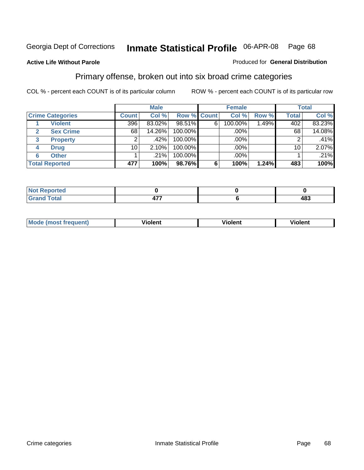#### **Active Life Without Parole**

#### Produced for **General Distribution**

### Primary offense, broken out into six broad crime categories

|                         | <b>Male</b>     |        |                    | <b>Female</b> |         |       | <b>Total</b> |        |
|-------------------------|-----------------|--------|--------------------|---------------|---------|-------|--------------|--------|
| <b>Crime Categories</b> | <b>Count</b>    | Col %  | <b>Row % Count</b> |               | Col %   | Row % | <b>Total</b> | Col %  |
| <b>Violent</b>          | 396             | 83.02% | 98.51%             | 6             | 100.00% | 1.49% | 402          | 83.23% |
| <b>Sex Crime</b><br>2   | 68              | 14.26% | 100.00%            |               | .00%    |       | 68           | 14.08% |
| 3<br><b>Property</b>    | 2               | .42%   | 100.00%            |               | .00%    |       |              | .41%   |
| <b>Drug</b><br>4        | 10 <sub>1</sub> | 2.10%  | 100.00%            |               | .00%    |       | 10           | 2.07%  |
| <b>Other</b><br>6       |                 | .21%   | 100.00%            |               | .00%    |       |              | .21%   |
| <b>Total Reported</b>   | 477             | 100%   | 98.76%             | 6             | 100%    | 1.24% | 483          | 100%   |

| Reported<br>$\sim$             |           |     |
|--------------------------------|-----------|-----|
| <b>Total</b><br><b>U</b> ldliu | ---<br>т. | 483 |

| Mo | n n | winlor" | ılen' |
|----|-----|---------|-------|
|    |     |         |       |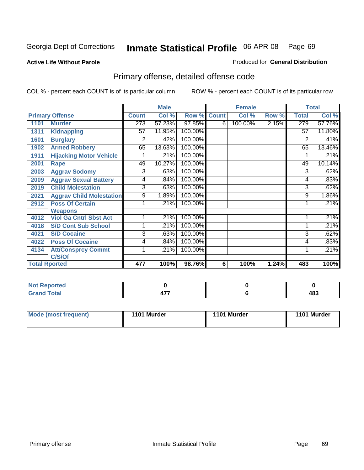#### **Active Life Without Parole**

#### Produced for **General Distribution**

# Primary offense, detailed offense code

|      |                                 |              | <b>Male</b> |         |              | <b>Female</b> |       |                | <b>Total</b> |
|------|---------------------------------|--------------|-------------|---------|--------------|---------------|-------|----------------|--------------|
|      | <b>Primary Offense</b>          | <b>Count</b> | Col %       | Row %   | <b>Count</b> | Col %         | Row % | <b>Total</b>   | Col %        |
| 1101 | <b>Murder</b>                   | 273          | 57.23%      | 97.85%  | 6            | 100.00%       | 2.15% | 279            | 57.76%       |
| 1311 | <b>Kidnapping</b>               | 57           | 11.95%      | 100.00% |              |               |       | 57             | 11.80%       |
| 1601 | <b>Burglary</b>                 | 2            | .42%        | 100.00% |              |               |       | $\overline{2}$ | .41%         |
| 1902 | <b>Armed Robbery</b>            | 65           | 13.63%      | 100.00% |              |               |       | 65             | 13.46%       |
| 1911 | <b>Hijacking Motor Vehicle</b>  |              | .21%        | 100.00% |              |               |       |                | .21%         |
| 2001 | Rape                            | 49           | 10.27%      | 100.00% |              |               |       | 49             | 10.14%       |
| 2003 | <b>Aggrav Sodomy</b>            | 3            | .63%        | 100.00% |              |               |       | 3              | .62%         |
| 2009 | <b>Aggrav Sexual Battery</b>    | 4            | .84%        | 100.00% |              |               |       | 4              | .83%         |
| 2019 | <b>Child Molestation</b>        | 3            | .63%        | 100.00% |              |               |       | 3              | .62%         |
| 2021 | <b>Aggrav Child Molestation</b> | 9            | 1.89%       | 100.00% |              |               |       | 9              | 1.86%        |
| 2912 | <b>Poss Of Certain</b>          |              | .21%        | 100.00% |              |               |       |                | .21%         |
|      | <b>Weapons</b>                  |              |             |         |              |               |       |                |              |
| 4012 | <b>Viol Ga Cntrl Sbst Act</b>   |              | .21%        | 100.00% |              |               |       |                | .21%         |
| 4018 | <b>S/D Cont Sub School</b>      |              | .21%        | 100.00% |              |               |       |                | .21%         |
| 4021 | <b>S/D Cocaine</b>              | 3            | .63%        | 100.00% |              |               |       | 3              | .62%         |
| 4022 | <b>Poss Of Cocaine</b>          | 4            | .84%        | 100.00% |              |               |       | 4              | .83%         |
| 4134 | <b>Att/Consprcy Commt</b>       | 1            | .21%        | 100.00% |              |               |       |                | .21%         |
|      | C/S/Of                          |              |             |         |              |               |       |                |              |
|      | <b>Total Rported</b>            | 477          | 100%        | 98.76%  | 6            | 100%          | 1.24% | 483            | 100%         |

| <b>Not Reported</b> |                |     |
|---------------------|----------------|-----|
| <b>Total</b>        | 4<br><b>TI</b> | 483 |

| Mode (most frequent) | 1101 Murder | 1101 Murder | 1101 Murder |
|----------------------|-------------|-------------|-------------|
|----------------------|-------------|-------------|-------------|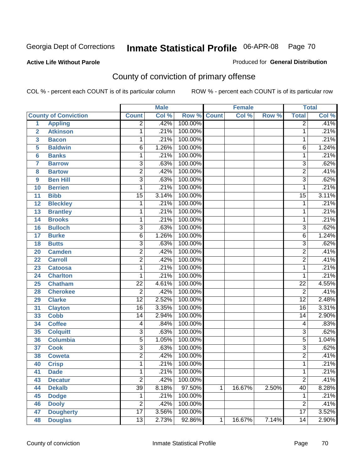#### **Active Life Without Parole**

### Produced for **General Distribution**

# County of conviction of primary offense

|                         |                             |                           | <b>Male</b> |             |   | <b>Female</b> |       |                 | <b>Total</b> |
|-------------------------|-----------------------------|---------------------------|-------------|-------------|---|---------------|-------|-----------------|--------------|
|                         | <b>County of Conviction</b> | <b>Count</b>              | Col %       | Row % Count |   | Col %         | Row % | <b>Total</b>    | Col %        |
| 1                       | <b>Appling</b>              | $\overline{2}$            | .42%        | 100.00%     |   |               |       | $\overline{2}$  | .41%         |
| $\overline{2}$          | <b>Atkinson</b>             | 1                         | .21%        | 100.00%     |   |               |       | 1               | .21%         |
| $\overline{\mathbf{3}}$ | <b>Bacon</b>                | $\mathbf{1}$              | .21%        | 100.00%     |   |               |       | 1               | .21%         |
| 5                       | <b>Baldwin</b>              | $\overline{6}$            | 1.26%       | 100.00%     |   |               |       | 6               | 1.24%        |
| 6                       | <b>Banks</b>                | 1                         | .21%        | 100.00%     |   |               |       | 1               | .21%         |
| $\overline{7}$          | <b>Barrow</b>               | $\overline{3}$            | .63%        | 100.00%     |   |               |       | $\overline{3}$  | .62%         |
| 8                       | <b>Bartow</b>               | $\overline{2}$            | .42%        | 100.00%     |   |               |       | $\overline{2}$  | .41%         |
| 9                       | <b>Ben Hill</b>             | $\overline{\overline{3}}$ | .63%        | 100.00%     |   |               |       | $\overline{3}$  | .62%         |
| 10                      | <b>Berrien</b>              | 1                         | .21%        | 100.00%     |   |               |       | 1               | .21%         |
| 11                      | <b>Bibb</b>                 | $\overline{15}$           | 3.14%       | 100.00%     |   |               |       | $\overline{15}$ | 3.11%        |
| 12                      | <b>Bleckley</b>             | 1                         | .21%        | 100.00%     |   |               |       | 1               | .21%         |
| 13                      | <b>Brantley</b>             | 1                         | .21%        | 100.00%     |   |               |       | 1               | .21%         |
| 14                      | <b>Brooks</b>               | 1                         | .21%        | 100.00%     |   |               |       | 1               | .21%         |
| 16                      | <b>Bulloch</b>              | $\overline{3}$            | .63%        | 100.00%     |   |               |       | $\overline{3}$  | .62%         |
| 17                      | <b>Burke</b>                | $\overline{6}$            | 1.26%       | 100.00%     |   |               |       | $\overline{6}$  | 1.24%        |
| 18                      | <b>Butts</b>                | $\overline{3}$            | .63%        | 100.00%     |   |               |       | $\overline{3}$  | .62%         |
| 20                      | <b>Camden</b>               | $\overline{2}$            | .42%        | 100.00%     |   |               |       | $\overline{2}$  | .41%         |
| 22                      | <b>Carroll</b>              | $\overline{2}$            | .42%        | 100.00%     |   |               |       | $\overline{2}$  | .41%         |
| 23                      | <b>Catoosa</b>              | 1                         | .21%        | 100.00%     |   |               |       | 1               | .21%         |
| 24                      | <b>Charlton</b>             | 1                         | .21%        | 100.00%     |   |               |       | 1               | .21%         |
| 25                      | <b>Chatham</b>              | $\overline{22}$           | 4.61%       | 100.00%     |   |               |       | $\overline{22}$ | 4.55%        |
| 28                      | <b>Cherokee</b>             | $\overline{2}$            | .42%        | 100.00%     |   |               |       | $\overline{2}$  | .41%         |
| 29                      | <b>Clarke</b>               | $\overline{12}$           | 2.52%       | 100.00%     |   |               |       | $\overline{12}$ | 2.48%        |
| 31                      | <b>Clayton</b>              | $\overline{16}$           | 3.35%       | 100.00%     |   |               |       | $\overline{16}$ | 3.31%        |
| 33                      | <b>Cobb</b>                 | 14                        | 2.94%       | 100.00%     |   |               |       | 14              | 2.90%        |
| 34                      | <b>Coffee</b>               | 4                         | .84%        | 100.00%     |   |               |       | 4               | .83%         |
| 35                      | <b>Colquitt</b>             | $\overline{3}$            | .63%        | 100.00%     |   |               |       | $\overline{3}$  | .62%         |
| 36                      | <b>Columbia</b>             | $\overline{5}$            | 1.05%       | 100.00%     |   |               |       | $\overline{5}$  | 1.04%        |
| 37                      | <b>Cook</b>                 | $\overline{3}$            | .63%        | 100.00%     |   |               |       | $\overline{3}$  | .62%         |
| 38                      | <b>Coweta</b>               | $\overline{2}$            | .42%        | 100.00%     |   |               |       | $\overline{2}$  | .41%         |
| 40                      | <b>Crisp</b>                | 1                         | .21%        | 100.00%     |   |               |       | 1               | .21%         |
| 41                      | <b>Dade</b>                 | 1                         | .21%        | 100.00%     |   |               |       | 1               | .21%         |
| 43                      | <b>Decatur</b>              | $\overline{2}$            | .42%        | 100.00%     |   |               |       | $\overline{2}$  | .41%         |
| 44                      | <b>Dekalb</b>               | $\overline{39}$           | 8.18%       | 97.50%      | 1 | 16.67%        | 2.50% | $\overline{40}$ | 8.28%        |
| 45                      | <b>Dodge</b>                | 1                         | .21%        | 100.00%     |   |               |       | 1               | .21%         |
| 46                      | <b>Dooly</b>                | $\overline{2}$            | .42%        | 100.00%     |   |               |       | $\overline{2}$  | .41%         |
| 47                      | <b>Dougherty</b>            | $\overline{17}$           | 3.56%       | 100.00%     |   |               |       | $\overline{17}$ | 3.52%        |
| 48                      | <b>Douglas</b>              | $\overline{13}$           | 2.73%       | 92.86%      | 1 | 16.67%        | 7.14% | $\overline{14}$ | 2.90%        |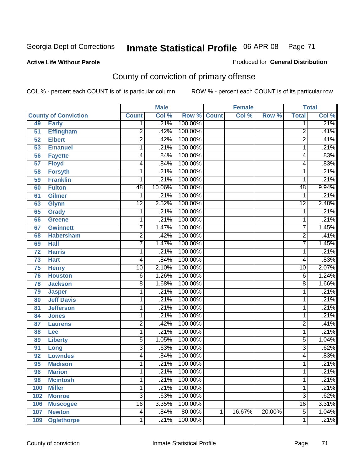**Active Life Without Parole** 

Produced for **General Distribution**

# County of conviction of primary offense

|     |                             |                         | <b>Male</b> |             |   | <b>Female</b> |        |                 | <b>Total</b>               |
|-----|-----------------------------|-------------------------|-------------|-------------|---|---------------|--------|-----------------|----------------------------|
|     | <b>County of Conviction</b> | <b>Count</b>            | Col %       | Row % Count |   | Col %         | Row %  | <b>Total</b>    | $\overline{\text{Col }\%}$ |
| 49  | <b>Early</b>                | 1                       | .21%        | 100.00%     |   |               |        | $\overline{1}$  | .21%                       |
| 51  | <b>Effingham</b>            | $\overline{2}$          | .42%        | 100.00%     |   |               |        | $\overline{2}$  | .41%                       |
| 52  | <b>Elbert</b>               | $\overline{2}$          | .42%        | 100.00%     |   |               |        | $\overline{2}$  | .41%                       |
| 53  | <b>Emanuel</b>              | 1                       | .21%        | 100.00%     |   |               |        | 1               | .21%                       |
| 56  | <b>Fayette</b>              | 4                       | .84%        | 100.00%     |   |               |        | 4               | .83%                       |
| 57  | <b>Floyd</b>                | 4                       | .84%        | 100.00%     |   |               |        | 4               | .83%                       |
| 58  | <b>Forsyth</b>              | 1                       | .21%        | 100.00%     |   |               |        | 1               | .21%                       |
| 59  | <b>Franklin</b>             | 1                       | .21%        | 100.00%     |   |               |        | 1               | .21%                       |
| 60  | <b>Fulton</b>               | 48                      | 10.06%      | 100.00%     |   |               |        | 48              | 9.94%                      |
| 61  | <b>Gilmer</b>               | 1                       | .21%        | 100.00%     |   |               |        | 1               | .21%                       |
| 63  | <b>Glynn</b>                | $\overline{12}$         | 2.52%       | 100.00%     |   |               |        | $\overline{12}$ | 2.48%                      |
| 65  | <b>Grady</b>                | 1                       | .21%        | 100.00%     |   |               |        | $\mathbf 1$     | .21%                       |
| 66  | <b>Greene</b>               | 1                       | .21%        | 100.00%     |   |               |        | $\mathbf{1}$    | .21%                       |
| 67  | <b>Gwinnett</b>             | $\overline{7}$          | 1.47%       | 100.00%     |   |               |        | $\overline{7}$  | 1.45%                      |
| 68  | <b>Habersham</b>            | $\overline{2}$          | .42%        | 100.00%     |   |               |        | $\overline{2}$  | .41%                       |
| 69  | <b>Hall</b>                 | 7                       | 1.47%       | 100.00%     |   |               |        | $\overline{7}$  | 1.45%                      |
| 72  | <b>Harris</b>               | 1                       | .21%        | 100.00%     |   |               |        | 1               | .21%                       |
| 73  | <b>Hart</b>                 | $\overline{\mathbf{4}}$ | .84%        | 100.00%     |   |               |        | 4               | .83%                       |
| 75  | <b>Henry</b>                | $\overline{10}$         | 2.10%       | 100.00%     |   |               |        | $\overline{10}$ | 2.07%                      |
| 76  | <b>Houston</b>              | 6                       | 1.26%       | 100.00%     |   |               |        | 6               | 1.24%                      |
| 78  | <b>Jackson</b>              | $\overline{8}$          | 1.68%       | 100.00%     |   |               |        | 8               | 1.66%                      |
| 79  | <b>Jasper</b>               | 1                       | .21%        | 100.00%     |   |               |        | 1               | .21%                       |
| 80  | <b>Jeff Davis</b>           | 1                       | .21%        | 100.00%     |   |               |        | 1               | .21%                       |
| 81  | <b>Jefferson</b>            | 1                       | .21%        | 100.00%     |   |               |        | 1               | .21%                       |
| 84  | <b>Jones</b>                | 1                       | .21%        | 100.00%     |   |               |        | 1               | .21%                       |
| 87  | <b>Laurens</b>              | $\overline{2}$          | .42%        | 100.00%     |   |               |        | $\overline{2}$  | .41%                       |
| 88  | Lee                         | 1                       | .21%        | 100.00%     |   |               |        | $\mathbf 1$     | .21%                       |
| 89  | <b>Liberty</b>              | $\overline{5}$          | 1.05%       | 100.00%     |   |               |        | 5               | 1.04%                      |
| 91  | Long                        | $\overline{3}$          | .63%        | 100.00%     |   |               |        | $\overline{3}$  | .62%                       |
| 92  | <b>Lowndes</b>              | 4                       | .84%        | 100.00%     |   |               |        | 4               | .83%                       |
| 95  | <b>Madison</b>              | 1                       | .21%        | 100.00%     |   |               |        | 1               | .21%                       |
| 96  | <b>Marion</b>               | 1                       | .21%        | 100.00%     |   |               |        | 1               | .21%                       |
| 98  | <b>Mcintosh</b>             | 1                       | .21%        | 100.00%     |   |               |        | $\overline{1}$  | .21%                       |
| 100 | <b>Miller</b>               | 1                       | .21%        | 100.00%     |   |               |        | $\mathbf{1}$    | .21%                       |
| 102 | <b>Monroe</b>               | $\overline{3}$          | .63%        | 100.00%     |   |               |        | $\overline{3}$  | .62%                       |
| 106 | <b>Muscogee</b>             | $\overline{16}$         | 3.35%       | 100.00%     |   |               |        | 16              | 3.31%                      |
| 107 | <b>Newton</b>               | 4                       | .84%        | 80.00%      | 1 | 16.67%        | 20.00% | $\overline{5}$  | 1.04%                      |
| 109 | <b>Oglethorpe</b>           | 1                       | .21%        | 100.00%     |   |               |        | $\mathbf{1}$    | .21%                       |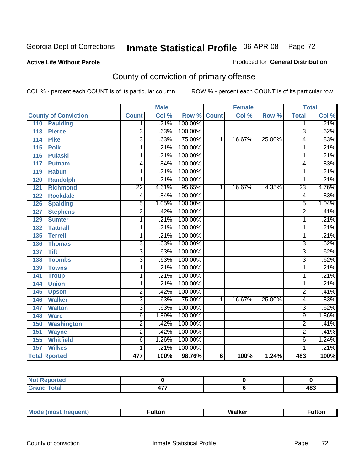#### **Active Life Without Parole**

### Produced for **General Distribution**

# County of conviction of primary offense

|                                 |                 | <b>Male</b> |                    |                | <b>Female</b> |        |                | <b>Total</b>               |
|---------------------------------|-----------------|-------------|--------------------|----------------|---------------|--------|----------------|----------------------------|
| <b>County of Conviction</b>     | <b>Count</b>    | Col %       | <b>Row % Count</b> |                | Col %         | Row %  | <b>Total</b>   | $\overline{\text{Col }^9}$ |
| <b>Paulding</b><br>110          | 1.              | .21%        | 100.00%            |                |               |        | 1              | .21%                       |
| <b>Pierce</b><br>113            | $\overline{3}$  | .63%        | 100.00%            |                |               |        | $\overline{3}$ | .62%                       |
| <b>Pike</b><br>114              | $\overline{3}$  | .63%        | 75.00%             | 1              | 16.67%        | 25.00% | 4              | .83%                       |
| $\overline{115}$<br><b>Polk</b> | 1               | .21%        | 100.00%            |                |               |        | 1              | .21%                       |
| 116<br><b>Pulaski</b>           | 1               | .21%        | 100.00%            |                |               |        | 1              | .21%                       |
| 117<br><b>Putnam</b>            | 4               | .84%        | 100.00%            |                |               |        | 4              | .83%                       |
| 119<br><b>Rabun</b>             | 1               | .21%        | 100.00%            |                |               |        | 1              | .21%                       |
| <b>Randolph</b><br>120          | 1               | .21%        | 100.00%            |                |               |        | 1              | .21%                       |
| <b>Richmond</b><br>121          | $\overline{22}$ | 4.61%       | 95.65%             | 1              | 16.67%        | 4.35%  | 23             | 4.76%                      |
| <b>Rockdale</b><br>122          | $\overline{4}$  | .84%        | 100.00%            |                |               |        | $\overline{4}$ | .83%                       |
| <b>Spalding</b><br>126          | $\overline{5}$  | 1.05%       | 100.00%            |                |               |        | 5              | 1.04%                      |
| <b>Stephens</b><br>127          | $\overline{2}$  | .42%        | 100.00%            |                |               |        | $\overline{2}$ | .41%                       |
| 129<br><b>Sumter</b>            | $\overline{1}$  | .21%        | 100.00%            |                |               |        | 1              | .21%                       |
| <b>Tattnall</b><br>132          | 1               | .21%        | 100.00%            |                |               |        | 1              | .21%                       |
| <b>Terrell</b><br>135           | 1               | .21%        | 100.00%            |                |               |        | 1              | .21%                       |
| 136<br><b>Thomas</b>            | $\overline{3}$  | .63%        | 100.00%            |                |               |        | $\overline{3}$ | .62%                       |
| <b>Tift</b><br>137              | $\overline{3}$  | .63%        | 100.00%            |                |               |        | $\overline{3}$ | .62%                       |
| <b>Toombs</b><br>138            | $\overline{3}$  | .63%        | 100.00%            |                |               |        | $\overline{3}$ | .62%                       |
| 139<br><b>Towns</b>             | 1               | .21%        | 100.00%            |                |               |        | 1              | .21%                       |
| 141<br><b>Troup</b>             | 1               | .21%        | 100.00%            |                |               |        | 1              | .21%                       |
| <b>Union</b><br>144             | 1               | .21%        | 100.00%            |                |               |        | 1              | .21%                       |
| 145<br><b>Upson</b>             | $\overline{2}$  | .42%        | 100.00%            |                |               |        | $\overline{2}$ | .41%                       |
| <b>Walker</b><br>146            | $\overline{3}$  | .63%        | 75.00%             | 1              | 16.67%        | 25.00% | 4              | .83%                       |
| <b>Walton</b><br>147            | $\overline{3}$  | .63%        | 100.00%            |                |               |        | $\overline{3}$ | .62%                       |
| <b>Ware</b><br>148              | $\overline{9}$  | 1.89%       | 100.00%            |                |               |        | $\overline{9}$ | 1.86%                      |
| <b>Washington</b><br>150        | $\overline{2}$  | .42%        | 100.00%            |                |               |        | $\overline{2}$ | .41%                       |
| 151<br><b>Wayne</b>             | $\overline{2}$  | .42%        | 100.00%            |                |               |        | $\overline{2}$ | .41%                       |
| 155<br><b>Whitfield</b>         | $\overline{6}$  | 1.26%       | 100.00%            |                |               |        | $\overline{6}$ | 1.24%                      |
| <b>Wilkes</b><br>157            | 1               | .21%        | 100.00%            |                |               |        | 1              | .21%                       |
| <b>Total Rported</b>            | 477             | 100%        | 98.76%             | $6\phantom{1}$ | 100%          | 1.24%  | 483            | 100%                       |

| leu<br>. |          |            |
|----------|----------|------------|
| _____    | ---<br>. | ៱៱៱<br>40J |

|  | M |  | Malkar | ultoı |
|--|---|--|--------|-------|
|--|---|--|--------|-------|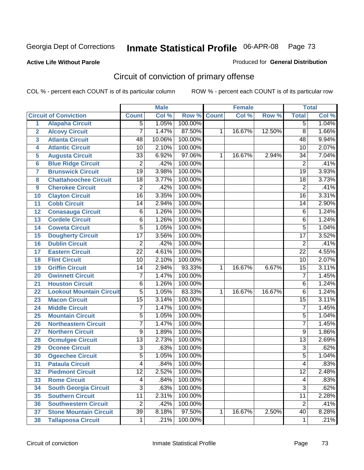**Active Life Without Parole** 

Produced for **General Distribution**

# Circuit of conviction of primary offense

|                         |                                 |                 | <b>Male</b> |             |   | <b>Female</b> |        |                 | <b>Total</b> |
|-------------------------|---------------------------------|-----------------|-------------|-------------|---|---------------|--------|-----------------|--------------|
|                         | <b>Circuit of Conviction</b>    | <b>Count</b>    | Col %       | Row % Count |   | Col %         | Row %  | <b>Total</b>    | Col %        |
| $\overline{1}$          | <b>Alapaha Circuit</b>          | 5               | 1.05%       | 100.00%     |   |               |        | $\overline{5}$  | 1.04%        |
| $\overline{2}$          | <b>Alcovy Circuit</b>           | 7               | 1.47%       | 87.50%      | 1 | 16.67%        | 12.50% | $\overline{8}$  | 1.66%        |
| $\overline{\mathbf{3}}$ | <b>Atlanta Circuit</b>          | $\overline{48}$ | 10.06%      | 100.00%     |   |               |        | $\overline{48}$ | 9.94%        |
| 4                       | <b>Atlantic Circuit</b>         | 10              | 2.10%       | 100.00%     |   |               |        | 10              | 2.07%        |
| 5                       | <b>Augusta Circuit</b>          | $\overline{33}$ | 6.92%       | 97.06%      | 1 | 16.67%        | 2.94%  | $\overline{34}$ | 7.04%        |
| $6\phantom{a}$          | <b>Blue Ridge Circuit</b>       | $\overline{2}$  | .42%        | 100.00%     |   |               |        | $\overline{2}$  | .41%         |
| 7                       | <b>Brunswick Circuit</b>        | $\overline{19}$ | 3.98%       | 100.00%     |   |               |        | $\overline{19}$ | 3.93%        |
| 8                       | <b>Chattahoochee Circuit</b>    | 18              | 3.77%       | 100.00%     |   |               |        | 18              | 3.73%        |
| $\boldsymbol{9}$        | <b>Cherokee Circuit</b>         | $\overline{2}$  | .42%        | 100.00%     |   |               |        | $\overline{2}$  | .41%         |
| 10                      | <b>Clayton Circuit</b>          | $\overline{16}$ | 3.35%       | 100.00%     |   |               |        | $\overline{16}$ | 3.31%        |
| 11                      | <b>Cobb Circuit</b>             | $\overline{14}$ | 2.94%       | 100.00%     |   |               |        | 14              | 2.90%        |
| 12                      | <b>Conasauga Circuit</b>        | 6               | 1.26%       | 100.00%     |   |               |        | $\,6$           | 1.24%        |
| 13                      | <b>Cordele Circuit</b>          | $\overline{6}$  | 1.26%       | 100.00%     |   |               |        | 6               | 1.24%        |
| 14                      | <b>Coweta Circuit</b>           | $\overline{5}$  | 1.05%       | 100.00%     |   |               |        | $\overline{5}$  | 1.04%        |
| 15                      | <b>Dougherty Circuit</b>        | $\overline{17}$ | 3.56%       | 100.00%     |   |               |        | $\overline{17}$ | 3.52%        |
| 16                      | <b>Dublin Circuit</b>           | $\overline{2}$  | .42%        | 100.00%     |   |               |        | $\overline{2}$  | .41%         |
| 17                      | <b>Eastern Circuit</b>          | $\overline{22}$ | 4.61%       | 100.00%     |   |               |        | $\overline{22}$ | 4.55%        |
| 18                      | <b>Flint Circuit</b>            | $\overline{10}$ | 2.10%       | 100.00%     |   |               |        | 10              | 2.07%        |
| 19                      | <b>Griffin Circuit</b>          | 14              | 2.94%       | 93.33%      | 1 | 16.67%        | 6.67%  | $\overline{15}$ | 3.11%        |
| 20                      | <b>Gwinnett Circuit</b>         | 7               | 1.47%       | 100.00%     |   |               |        | 7               | 1.45%        |
| 21                      | <b>Houston Circuit</b>          | $\overline{6}$  | 1.26%       | 100.00%     |   |               |        | 6               | 1.24%        |
| 22                      | <b>Lookout Mountain Circuit</b> | $\overline{5}$  | 1.05%       | 83.33%      | 1 | 16.67%        | 16.67% | $\overline{6}$  | 1.24%        |
| 23                      | <b>Macon Circuit</b>            | $\overline{15}$ | 3.14%       | 100.00%     |   |               |        | $\overline{15}$ | 3.11%        |
| 24                      | <b>Middle Circuit</b>           | 7               | 1.47%       | 100.00%     |   |               |        | 7               | 1.45%        |
| 25                      | <b>Mountain Circuit</b>         | $\overline{5}$  | 1.05%       | 100.00%     |   |               |        | 5               | 1.04%        |
| 26                      | <b>Northeastern Circuit</b>     | 7               | 1.47%       | 100.00%     |   |               |        | $\overline{7}$  | 1.45%        |
| 27                      | <b>Northern Circuit</b>         | $\overline{9}$  | 1.89%       | 100.00%     |   |               |        | 9               | 1.86%        |
| 28                      | <b>Ocmulgee Circuit</b>         | $\overline{13}$ | 2.73%       | 100.00%     |   |               |        | $\overline{13}$ | 2.69%        |
| 29                      | <b>Oconee Circuit</b>           | $\overline{3}$  | .63%        | 100.00%     |   |               |        | $\overline{3}$  | .62%         |
| 30                      | <b>Ogeechee Circuit</b>         | 5               | 1.05%       | 100.00%     |   |               |        | 5               | 1.04%        |
| 31                      | <b>Pataula Circuit</b>          | $\overline{4}$  | .84%        | 100.00%     |   |               |        | 4               | .83%         |
| 32                      | <b>Piedmont Circuit</b>         | 12              | 2.52%       | 100.00%     |   |               |        | 12              | 2.48%        |
| 33                      | <b>Rome Circuit</b>             | $\overline{4}$  | .84%        | 100.00%     |   |               |        | 4               | .83%         |
| 34                      | <b>South Georgia Circuit</b>    | $\overline{3}$  | .63%        | 100.00%     |   |               |        | $\overline{3}$  | .62%         |
| 35                      | <b>Southern Circuit</b>         | $\overline{11}$ | 2.31%       | 100.00%     |   |               |        | $\overline{11}$ | 2.28%        |
| 36                      | <b>Southwestern Circuit</b>     | 2               | .42%        | 100.00%     |   |               |        | $\overline{2}$  | .41%         |
| 37                      | <b>Stone Mountain Circuit</b>   | $\overline{39}$ | 8.18%       | 97.50%      | 1 | 16.67%        | 2.50%  | 40              | 8.28%        |
| 38                      | <b>Tallapoosa Circuit</b>       | $\mathbf{1}$    | .21%        | 100.00%     |   |               |        | $\mathbf{1}$    | .21%         |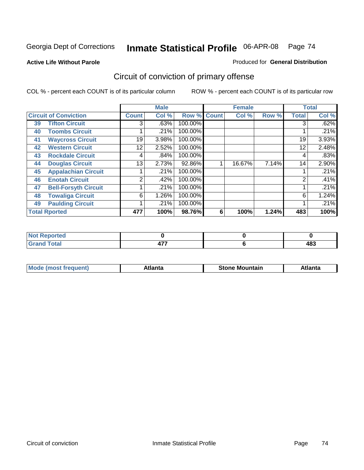**Active Life Without Parole** 

Produced for **General Distribution**

# Circuit of conviction of primary offense

|    |                              |              | <b>Male</b> |             |   | <b>Female</b> |       |              | <b>Total</b> |
|----|------------------------------|--------------|-------------|-------------|---|---------------|-------|--------------|--------------|
|    | <b>Circuit of Conviction</b> | <b>Count</b> | Col %       | Row % Count |   | Col %         | Row % | <b>Total</b> | Col %        |
| 39 | <b>Tifton Circuit</b>        | 3            | .63%        | 100.00%     |   |               |       | 3            | .62%         |
| 40 | <b>Toombs Circuit</b>        |              | .21%        | 100.00%     |   |               |       |              | .21%         |
| 41 | <b>Waycross Circuit</b>      | 19           | 3.98%       | 100.00%     |   |               |       | 19           | 3.93%        |
| 42 | <b>Western Circuit</b>       | 12           | 2.52%       | 100.00%     |   |               |       | 12           | 2.48%        |
| 43 | <b>Rockdale Circuit</b>      | 4            | .84%        | 100.00%     |   |               |       | 4            | .83%         |
| 44 | <b>Douglas Circuit</b>       | 13           | 2.73%       | 92.86%      |   | 16.67%        | 7.14% | 14           | 2.90%        |
| 45 | <b>Appalachian Circuit</b>   |              | .21%        | 100.00%     |   |               |       |              | .21%         |
| 46 | <b>Enotah Circuit</b>        | 2            | .42%        | 100.00%     |   |               |       | 2            | .41%         |
| 47 | <b>Bell-Forsyth Circuit</b>  |              | .21%        | 100.00%     |   |               |       |              | .21%         |
| 48 | <b>Towaliga Circuit</b>      | 6            | 1.26%       | 100.00%     |   |               |       | 6            | 1.24%        |
| 49 | <b>Paulding Circuit</b>      |              | .21%        | 100.00%     |   |               |       |              | .21%         |
|    | <b>Total Rported</b>         | 477          | 100%        | 98.76%      | 6 | 100%          | 1.24% | 483          | 100%         |

| rted<br>NI.                  |                                    |            |
|------------------------------|------------------------------------|------------|
| $\sim$<br>υιαι<br><b>VIU</b> | $\rightarrow -$<br><br><b>TI</b> . | 10O<br>4оә |

| īМ<br>----<br>taın<br>----<br>514<br>MOL<br>нс |
|------------------------------------------------|
|------------------------------------------------|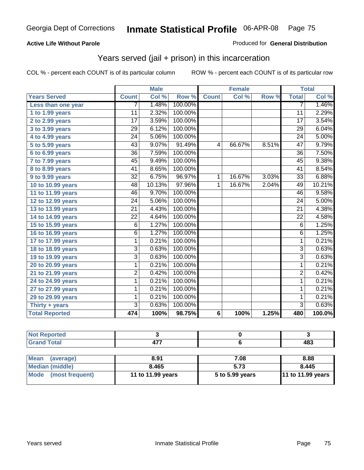#### **Active Life Without Parole**

#### Produced for **General Distribution**

### Years served (jail + prison) in this incarceration

|                       |                 | <b>Male</b> |         |              | <b>Female</b> |       |                 | <b>Total</b> |
|-----------------------|-----------------|-------------|---------|--------------|---------------|-------|-----------------|--------------|
| <b>Years Served</b>   | <b>Count</b>    | Col %       | Row %   | <b>Count</b> | Col %         | Row % | <b>Total</b>    | Col %        |
| Less than one year    | 7               | 1.48%       | 100.00% |              |               |       | 7               | 1.46%        |
| 1 to 1.99 years       | $\overline{11}$ | 2.32%       | 100.00% |              |               |       | $\overline{11}$ | 2.29%        |
| 2 to 2.99 years       | 17              | 3.59%       | 100.00% |              |               |       | $\overline{17}$ | 3.54%        |
| 3 to 3.99 years       | $\overline{29}$ | 6.12%       | 100.00% |              |               |       | $\overline{29}$ | 6.04%        |
| 4 to 4.99 years       | $\overline{24}$ | 5.06%       | 100.00% |              |               |       | $\overline{24}$ | 5.00%        |
| 5 to 5.99 years       | $\overline{43}$ | 9.07%       | 91.49%  | 4            | 66.67%        | 8.51% | 47              | 9.79%        |
| 6 to 6.99 years       | $\overline{36}$ | 7.59%       | 100.00% |              |               |       | $\overline{36}$ | 7.50%        |
| 7 to 7.99 years       | 45              | 9.49%       | 100.00% |              |               |       | 45              | 9.38%        |
| 8 to 8.99 years       | 41              | 8.65%       | 100.00% |              |               |       | $\overline{41}$ | 8.54%        |
| 9 to 9.99 years       | $\overline{32}$ | 6.75%       | 96.97%  | 1            | 16.67%        | 3.03% | $\overline{33}$ | 6.88%        |
| 10 to 10.99 years     | 48              | 10.13%      | 97.96%  | 1            | 16.67%        | 2.04% | 49              | 10.21%       |
| 11 to 11.99 years     | $\overline{46}$ | 9.70%       | 100.00% |              |               |       | $\overline{46}$ | 9.58%        |
| 12 to 12.99 years     | 24              | 5.06%       | 100.00% |              |               |       | 24              | 5.00%        |
| 13 to 13.99 years     | $\overline{21}$ | 4.43%       | 100.00% |              |               |       | $\overline{21}$ | 4.38%        |
| 14 to 14.99 years     | $\overline{22}$ | 4.64%       | 100.00% |              |               |       | $\overline{22}$ | 4.58%        |
| 15 to 15.99 years     | $\overline{6}$  | 1.27%       | 100.00% |              |               |       | $\overline{6}$  | 1.25%        |
| 16 to 16.99 years     | $\overline{6}$  | 1.27%       | 100.00% |              |               |       | $\overline{6}$  | 1.25%        |
| 17 to 17.99 years     | $\overline{1}$  | 0.21%       | 100.00% |              |               |       | $\overline{1}$  | 0.21%        |
| 18 to 18.99 years     | $\overline{3}$  | 0.63%       | 100.00% |              |               |       | $\overline{3}$  | 0.63%        |
| 19 to 19.99 years     | $\overline{3}$  | 0.63%       | 100.00% |              |               |       | $\overline{3}$  | 0.63%        |
| 20 to 20.99 years     | 1               | 0.21%       | 100.00% |              |               |       | 1               | 0.21%        |
| 21 to 21.99 years     | 2               | 0.42%       | 100.00% |              |               |       | $\overline{2}$  | 0.42%        |
| 24 to 24.99 years     | 1               | 0.21%       | 100.00% |              |               |       | 1               | 0.21%        |
| 27 to 27.99 years     | 1               | 0.21%       | 100.00% |              |               |       | 1               | 0.21%        |
| 29 to 29.99 years     | 1               | 0.21%       | 100.00% |              |               |       | $\mathbf 1$     | 0.21%        |
| Thirty + years        | $\overline{3}$  | 0.63%       | 100.00% |              |               |       | $\overline{3}$  | 0.63%        |
| <b>Total Reported</b> | 474             | 100%        | 98.75%  | 6            | 100%          | 1.25% | 480             | 100.0%       |

| <b>Not Reported</b>            |                   |                 |                   |
|--------------------------------|-------------------|-----------------|-------------------|
| <b>Grand Total</b>             | 477               |                 | 483               |
|                                |                   |                 |                   |
| <b>Mean</b><br>(average)       | 8.91              | 7.08            | 8.88              |
| <b>Median (middle)</b>         | 8.465             | 5.73            | 8.445             |
| <b>Mode</b><br>(most frequent) | 11 to 11.99 years | 5 to 5.99 years | 11 to 11.99 years |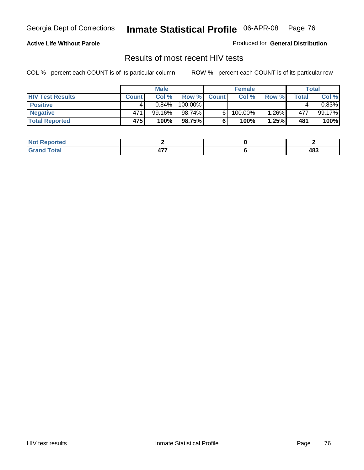#### **Active Life Without Parole**

Produced for **General Distribution**

### Results of most recent HIV tests

|                         |              | <b>Male</b> |         |              | <b>Female</b> |       |       | Total  |
|-------------------------|--------------|-------------|---------|--------------|---------------|-------|-------|--------|
| <b>HIV Test Results</b> | <b>Count</b> | Col %       | Row %   | <b>Count</b> | Col %         | Row % | Total | Col %  |
| <b>Positive</b>         |              | $0.84\%$    | 100.00% |              |               |       |       | 0.83%  |
| <b>Negative</b>         | 471          | $99.16\%$   | 98.74%  |              | 100.00%       | 1.26% | 477   | 99.17% |
| <b>Total Reported</b>   | 475          | 100%        | 98.75%  |              | 100%          | 1.25% | 481   | 100%   |

| <b>Not Reported</b> |            |     |
|---------------------|------------|-----|
| <b>Total</b>        | --<br>$ -$ | 483 |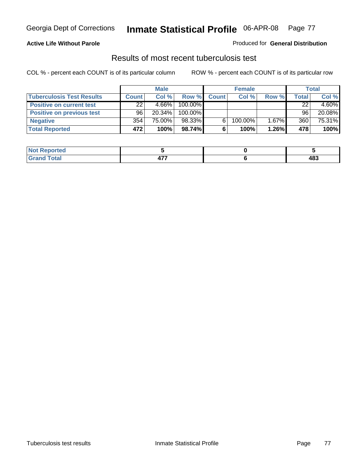#### **Active Life Without Parole**

#### Produced for **General Distribution**

### Results of most recent tuberculosis test

|                                  |              | <b>Male</b> |         |              | <b>Female</b> |       |       | Total    |
|----------------------------------|--------------|-------------|---------|--------------|---------------|-------|-------|----------|
| <b>Tuberculosis Test Results</b> | <b>Count</b> | Col%        | Row %   | <b>Count</b> | Col%          | Row % | Total | Col %    |
| <b>Positive on current test</b>  | 22           | $4.66\%$    | 100.00% |              |               |       | 22    | $4.60\%$ |
| <b>Positive on previous test</b> | 96           | $20.34\%$   | 100.00% |              |               |       | 96    | 20.08%   |
| <b>Negative</b>                  | 354          | 75.00%      | 98.33%  | 6.           | 100.00%       | 1.67% | 360   | 75.31%   |
| <b>Total Reported</b>            | 472          | 100%        | 98.74%  | 6            | 100%          | 1.26% | 478   | 100%     |

| <b>Not</b><br>. Reported |     |     |
|--------------------------|-----|-----|
| <b>Total</b>             | --- | 483 |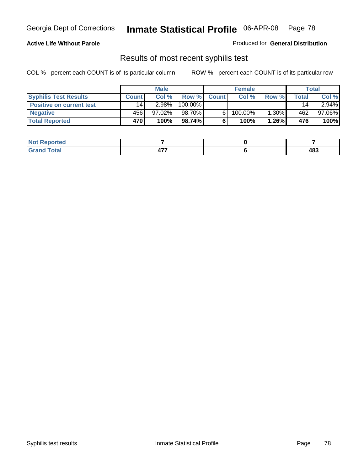#### **Active Life Without Parole**

Produced for **General Distribution**

### Results of most recent syphilis test

|                                 |              | <b>Male</b> |         |              | <b>Female</b> |       |       | Total     |
|---------------------------------|--------------|-------------|---------|--------------|---------------|-------|-------|-----------|
| <b>Syphilis Test Results</b>    | <b>Count</b> | Col %       | Row %   | <b>Count</b> | Col %         | Row % | Total | Col %     |
| <b>Positive on current test</b> | 14           | $2.98\%$    | 100.00% |              |               |       | 14    | $2.94\%$  |
| <b>Negative</b>                 | 456          | $97.02\%$   | 98.70%  |              | 100.00%       | 1.30% | 462   | $97.06\%$ |
| <b>Total Reported</b>           | <b>470</b>   | 100%        | 98.74%  |              | 100%          | 1.26% | 476   | 100%      |

| <b>Not Reported</b> |   |     |
|---------------------|---|-----|
| <b>Grand Total</b>  | . | 483 |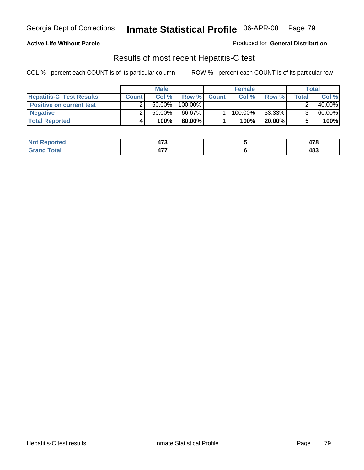#### **Active Life Without Parole**

Produced for **General Distribution**

### Results of most recent Hepatitis-C test

|                                 | <b>Male</b>  |           |         | <b>Female</b> |         |           | Total |        |
|---------------------------------|--------------|-----------|---------|---------------|---------|-----------|-------|--------|
| <b>Hepatitis-C Test Results</b> | <b>Count</b> | Col %     | Row %   | <b>Count</b>  | Col %   | Row %     | Total | Col %  |
| <b>Positive on current test</b> |              | $50.00\%$ | 100.00% |               |         |           |       | 40.00% |
| <b>Negative</b>                 |              | $50.00\%$ | 66.67%  |               | 100.00% | 33.33%    |       | 60.00% |
| <b>Total Reported</b>           |              | 100%      | 80.00%I |               | 100%    | $20.00\%$ |       | 100%   |

| <b>Not Reported</b> | $\rightarrow$<br>41 J | ---<br>41 O |
|---------------------|-----------------------|-------------|
| <b>Total</b>        | .<br><u>тı.</u>       | 483         |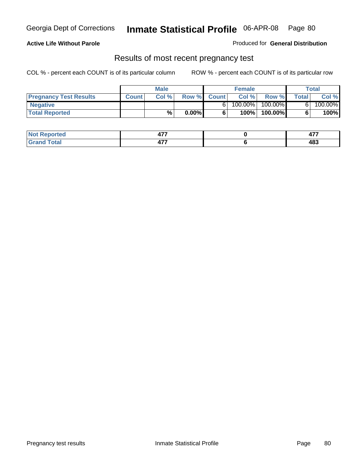#### **Active Life Without Parole**

Produced for **General Distribution**

### Results of most recent pregnancy test

|                               | <b>Male</b>  |      |          | <b>Female</b> |            |         | <b>Total</b> |         |
|-------------------------------|--------------|------|----------|---------------|------------|---------|--------------|---------|
| <b>Pregnancy Test Results</b> | <b>Count</b> | Col% | Row %    | <b>Count</b>  | Col %      | Row %   | Total        | Col %   |
| <b>Negative</b>               |              |      |          |               | $100.00\%$ | 100.00% |              | 100.00% |
| <b>Total Reported</b>         |              | $\%$ | $0.00\%$ |               | 100%।      | 100.00% |              | 100%    |

| <b>eported</b> | ---<br>$ -$       | $\overline{a}$<br><b>TII</b> |
|----------------|-------------------|------------------------------|
| 'otal<br>_____ | ---<br><u>тı.</u> | 483                          |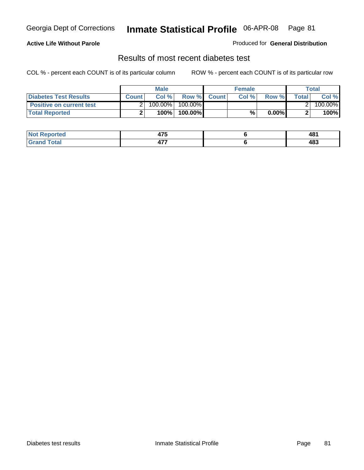#### **Active Life Without Parole**

Produced for **General Distribution**

### Results of most recent diabetes test

|                                 | <b>Male</b>  |            |                  | <b>Female</b> |       |          | Total |         |
|---------------------------------|--------------|------------|------------------|---------------|-------|----------|-------|---------|
| <b>Diabetes Test Results</b>    | <b>Count</b> | Col %      | Row % Count      |               | Col % | Row %    | Total | Col %   |
| <b>Positive on current test</b> |              | $100.00\%$ | 100.00% <b>I</b> |               |       |          |       | 100.00% |
| <b>Total Reported</b>           |              | $100\%$    | 100.00%          |               | %     | $0.00\%$ |       | 100%    |

| orted        | $\rightarrow -$<br>- 1 J | 481<br>$ -$ |
|--------------|--------------------------|-------------|
| <b>Total</b> | ---<br>TI 1              | 483         |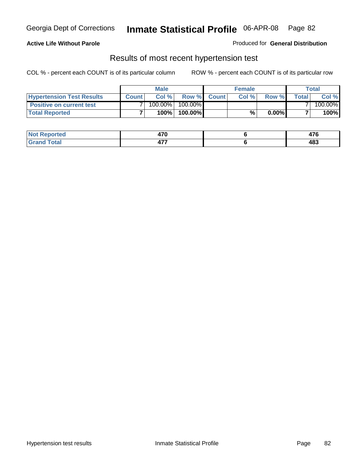#### **Active Life Without Parole**

#### Produced for **General Distribution**

### Results of most recent hypertension test

|                                  |              | <b>Male</b> |            |             | <b>Female</b> |          |        | Total   |
|----------------------------------|--------------|-------------|------------|-------------|---------------|----------|--------|---------|
| <b>Hypertension Test Results</b> | <b>Count</b> | Col %       |            | Row % Count | Col%          | Row %    | Totall | Col %   |
| <b>Positive on current test</b>  |              | 100.00%     | $100.00\%$ |             |               |          |        | 100.00% |
| <b>Total Reported</b>            |              | 100%        | 100.00%    |             | %,            | $0.00\%$ |        | 100%    |

| <b>Reported</b>      | 17N<br>47 V      | $\rightarrow$<br>-c |
|----------------------|------------------|---------------------|
| <b>otal</b><br>_____ | ---<br><u>т.</u> | 483                 |